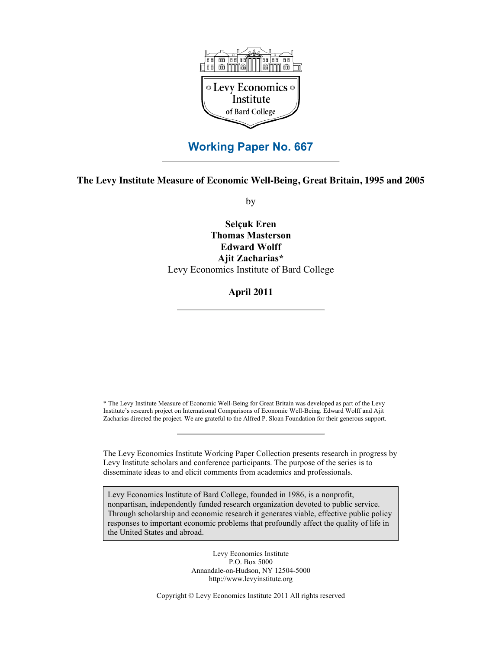

# **Working Paper No. 667**

**The Levy Institute Measure of Economic Well-Being, Great Britain, 1995 and 2005**

by

**Selçuk Eren Thomas Masterson Edward Wolff Ajit Zacharias\*** Levy Economics Institute of Bard College

**April 2011**

\* The Levy Institute Measure of Economic Well-Being for Great Britain was developed as part of the Levy Institute's research project on International Comparisons of Economic Well-Being. Edward Wolff and Ajit Zacharias directed the project. We are grateful to the Alfred P. Sloan Foundation for their generous support.

The Levy Economics Institute Working Paper Collection presents research in progress by Levy Institute scholars and conference participants. The purpose of the series is to disseminate ideas to and elicit comments from academics and professionals.

Levy Economics Institute of Bard College, founded in 1986, is a nonprofit, nonpartisan, independently funded research organization devoted to public service. Through scholarship and economic research it generates viable, effective public policy responses to important economic problems that profoundly affect the quality of life in the United States and abroad.

> Levy Economics Institute P.O. Box 5000 Annandale-on-Hudson, NY 12504-5000 http://www.levyinstitute.org

Copyright © Levy Economics Institute 2011 All rights reserved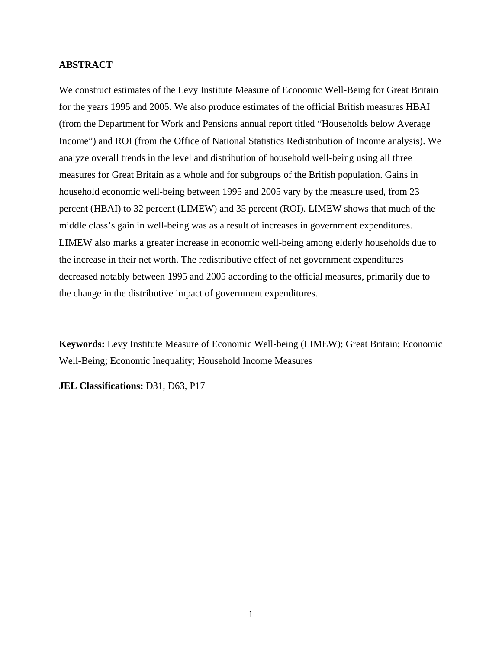## **ABSTRACT**

We construct estimates of the Levy Institute Measure of Economic Well-Being for Great Britain for the years 1995 and 2005. We also produce estimates of the official British measures HBAI (from the Department for Work and Pensions annual report titled "Households below Average Income") and ROI (from the Office of National Statistics Redistribution of Income analysis). We analyze overall trends in the level and distribution of household well-being using all three measures for Great Britain as a whole and for subgroups of the British population. Gains in household economic well-being between 1995 and 2005 vary by the measure used, from 23 percent (HBAI) to 32 percent (LIMEW) and 35 percent (ROI). LIMEW shows that much of the middle class's gain in well-being was as a result of increases in government expenditures. LIMEW also marks a greater increase in economic well-being among elderly households due to the increase in their net worth. The redistributive effect of net government expenditures decreased notably between 1995 and 2005 according to the official measures, primarily due to the change in the distributive impact of government expenditures.

**Keywords:** Levy Institute Measure of Economic Well-being (LIMEW); Great Britain; Economic Well-Being; Economic Inequality; Household Income Measures

**JEL Classifications:** D31, D63, P17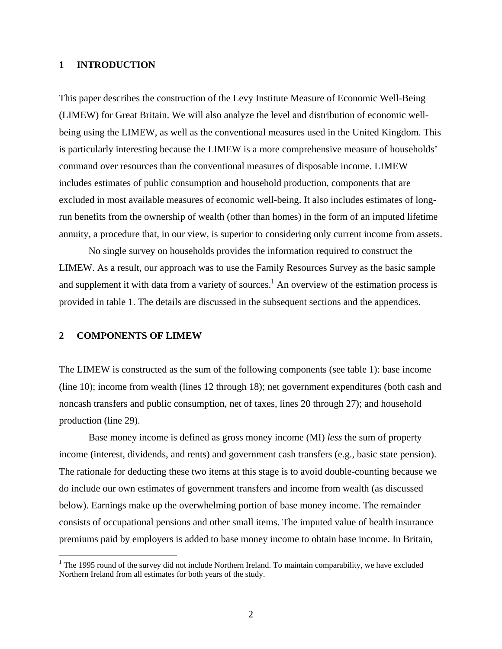## **1 INTRODUCTION**

This paper describes the construction of the Levy Institute Measure of Economic Well-Being (LIMEW) for Great Britain. We will also analyze the level and distribution of economic wellbeing using the LIMEW, as well as the conventional measures used in the United Kingdom. This is particularly interesting because the LIMEW is a more comprehensive measure of households' command over resources than the conventional measures of disposable income. LIMEW includes estimates of public consumption and household production, components that are excluded in most available measures of economic well-being. It also includes estimates of longrun benefits from the ownership of wealth (other than homes) in the form of an imputed lifetime annuity, a procedure that, in our view, is superior to considering only current income from assets.

No single survey on households provides the information required to construct the LIMEW. As a result, our approach was to use the Family Resources Survey as the basic sample and supplement it with data from a variety of sources.<sup>1</sup> An overview of the estimation process is provided in table 1. The details are discussed in the subsequent sections and the appendices.

#### **2 COMPONENTS OF LIMEW**

The LIMEW is constructed as the sum of the following components (see table 1): base income (line 10); income from wealth (lines 12 through 18); net government expenditures (both cash and noncash transfers and public consumption, net of taxes, lines 20 through 27); and household production (line 29).

Base money income is defined as gross money income (MI) *less* the sum of property income (interest, dividends, and rents) and government cash transfers (e.g., basic state pension). The rationale for deducting these two items at this stage is to avoid double-counting because we do include our own estimates of government transfers and income from wealth (as discussed below). Earnings make up the overwhelming portion of base money income. The remainder consists of occupational pensions and other small items. The imputed value of health insurance premiums paid by employers is added to base money income to obtain base income. In Britain,

<sup>&</sup>lt;sup>1</sup> The 1995 round of the survey did not include Northern Ireland. To maintain comparability, we have excluded Northern Ireland from all estimates for both years of the study.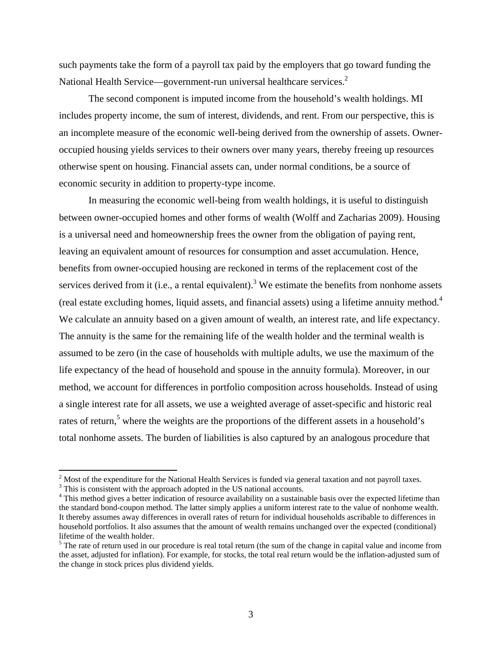such payments take the form of a payroll tax paid by the employers that go toward funding the National Health Service—government-run universal healthcare services. $2$ 

The second component is imputed income from the household's wealth holdings. MI includes property income, the sum of interest, dividends, and rent. From our perspective, this is an incomplete measure of the economic well-being derived from the ownership of assets. Owneroccupied housing yields services to their owners over many years, thereby freeing up resources otherwise spent on housing. Financial assets can, under normal conditions, be a source of economic security in addition to property-type income.

In measuring the economic well-being from wealth holdings, it is useful to distinguish between owner-occupied homes and other forms of wealth (Wolff and Zacharias 2009). Housing is a universal need and homeownership frees the owner from the obligation of paying rent, leaving an equivalent amount of resources for consumption and asset accumulation. Hence, benefits from owner-occupied housing are reckoned in terms of the replacement cost of the services derived from it (i.e., a rental equivalent).<sup>3</sup> We estimate the benefits from nonhome assets (real estate excluding homes, liquid assets, and financial assets) using a lifetime annuity method.4 We calculate an annuity based on a given amount of wealth, an interest rate, and life expectancy. The annuity is the same for the remaining life of the wealth holder and the terminal wealth is assumed to be zero (in the case of households with multiple adults, we use the maximum of the life expectancy of the head of household and spouse in the annuity formula). Moreover, in our method, we account for differences in portfolio composition across households. Instead of using a single interest rate for all assets, we use a weighted average of asset-specific and historic real rates of return,<sup>5</sup> where the weights are the proportions of the different assets in a household's total nonhome assets. The burden of liabilities is also captured by an analogous procedure that

<sup>&</sup>lt;sup>2</sup> Most of the expenditure for the National Health Services is funded via general taxation and not payroll taxes.

<sup>&</sup>lt;sup>3</sup> This is consistent with the approach adopted in the US national accounts.

<sup>&</sup>lt;sup>4</sup> This method gives a better indication of resource availability on a sustainable basis over the expected lifetime than the standard bond-coupon method. The latter simply applies a uniform interest rate to the value of nonhome wealth. It thereby assumes away differences in overall rates of return for individual households ascribable to differences in household portfolios. It also assumes that the amount of wealth remains unchanged over the expected (conditional) lifetime of the wealth holder.

 $<sup>5</sup>$  The rate of return used in our procedure is real total return (the sum of the change in capital value and income from</sup> the asset, adjusted for inflation). For example, for stocks, the total real return would be the inflation-adjusted sum of the change in stock prices plus dividend yields.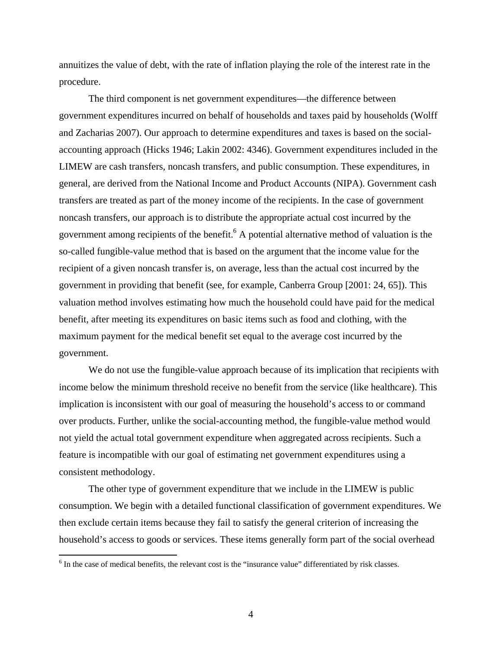annuitizes the value of debt, with the rate of inflation playing the role of the interest rate in the procedure.

The third component is net government expenditures—the difference between government expenditures incurred on behalf of households and taxes paid by households (Wolff and Zacharias 2007). Our approach to determine expenditures and taxes is based on the socialaccounting approach (Hicks 1946; Lakin 2002: 4346). Government expenditures included in the LIMEW are cash transfers, noncash transfers, and public consumption. These expenditures, in general, are derived from the National Income and Product Accounts (NIPA). Government cash transfers are treated as part of the money income of the recipients. In the case of government noncash transfers, our approach is to distribute the appropriate actual cost incurred by the government among recipients of the benefit.<sup>6</sup> A potential alternative method of valuation is the so-called fungible-value method that is based on the argument that the income value for the recipient of a given noncash transfer is, on average, less than the actual cost incurred by the government in providing that benefit (see, for example, Canberra Group [2001: 24, 65]). This valuation method involves estimating how much the household could have paid for the medical benefit, after meeting its expenditures on basic items such as food and clothing, with the maximum payment for the medical benefit set equal to the average cost incurred by the government.

We do not use the fungible-value approach because of its implication that recipients with income below the minimum threshold receive no benefit from the service (like healthcare). This implication is inconsistent with our goal of measuring the household's access to or command over products. Further, unlike the social-accounting method, the fungible-value method would not yield the actual total government expenditure when aggregated across recipients. Such a feature is incompatible with our goal of estimating net government expenditures using a consistent methodology.

The other type of government expenditure that we include in the LIMEW is public consumption. We begin with a detailed functional classification of government expenditures. We then exclude certain items because they fail to satisfy the general criterion of increasing the household's access to goods or services. These items generally form part of the social overhead

<sup>&</sup>lt;sup>6</sup> In the case of medical benefits, the relevant cost is the "insurance value" differentiated by risk classes.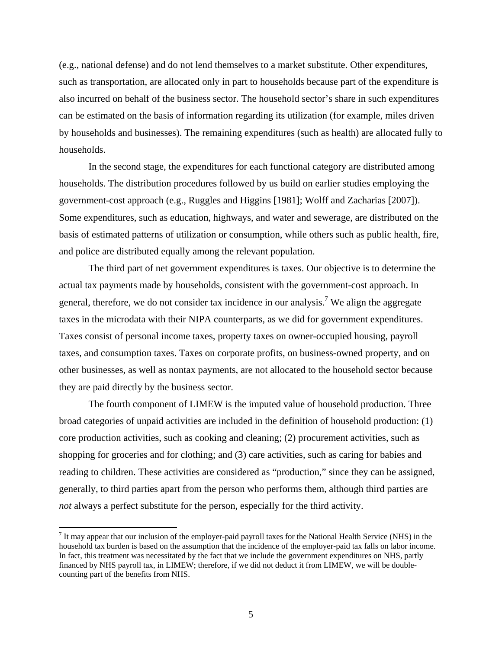(e.g., national defense) and do not lend themselves to a market substitute. Other expenditures, such as transportation, are allocated only in part to households because part of the expenditure is also incurred on behalf of the business sector. The household sector's share in such expenditures can be estimated on the basis of information regarding its utilization (for example, miles driven by households and businesses). The remaining expenditures (such as health) are allocated fully to households.

In the second stage, the expenditures for each functional category are distributed among households. The distribution procedures followed by us build on earlier studies employing the government-cost approach (e.g., Ruggles and Higgins [1981]; Wolff and Zacharias [2007]). Some expenditures, such as education, highways, and water and sewerage, are distributed on the basis of estimated patterns of utilization or consumption, while others such as public health, fire, and police are distributed equally among the relevant population.

The third part of net government expenditures is taxes. Our objective is to determine the actual tax payments made by households, consistent with the government-cost approach. In general, therefore, we do not consider tax incidence in our analysis.<sup>7</sup> We align the aggregate taxes in the microdata with their NIPA counterparts, as we did for government expenditures. Taxes consist of personal income taxes, property taxes on owner-occupied housing, payroll taxes, and consumption taxes. Taxes on corporate profits, on business-owned property, and on other businesses, as well as nontax payments, are not allocated to the household sector because they are paid directly by the business sector.

The fourth component of LIMEW is the imputed value of household production. Three broad categories of unpaid activities are included in the definition of household production: (1) core production activities, such as cooking and cleaning; (2) procurement activities, such as shopping for groceries and for clothing; and (3) care activities, such as caring for babies and reading to children. These activities are considered as "production," since they can be assigned, generally, to third parties apart from the person who performs them, although third parties are *not* always a perfect substitute for the person, especially for the third activity.

 $<sup>7</sup>$  It may appear that our inclusion of the employer-paid payroll taxes for the National Health Service (NHS) in the</sup> household tax burden is based on the assumption that the incidence of the employer-paid tax falls on labor income. In fact, this treatment was necessitated by the fact that we include the government expenditures on NHS, partly financed by NHS payroll tax, in LIMEW; therefore, if we did not deduct it from LIMEW, we will be doublecounting part of the benefits from NHS.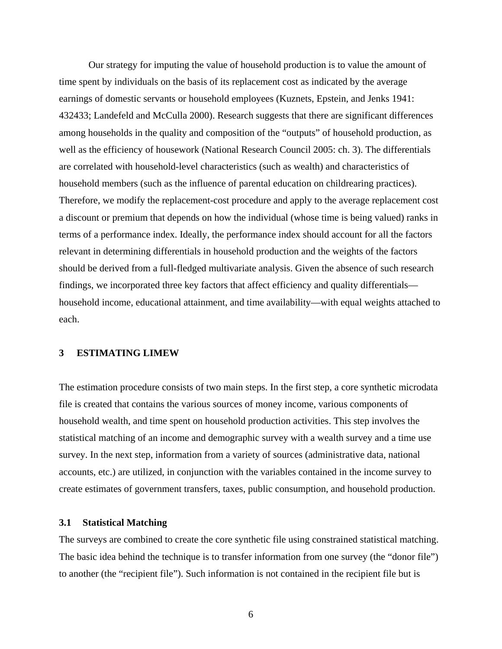Our strategy for imputing the value of household production is to value the amount of time spent by individuals on the basis of its replacement cost as indicated by the average earnings of domestic servants or household employees (Kuznets, Epstein, and Jenks 1941: 432433; Landefeld and McCulla 2000). Research suggests that there are significant differences among households in the quality and composition of the "outputs" of household production, as well as the efficiency of housework (National Research Council 2005: ch. 3). The differentials are correlated with household-level characteristics (such as wealth) and characteristics of household members (such as the influence of parental education on childrearing practices). Therefore, we modify the replacement-cost procedure and apply to the average replacement cost a discount or premium that depends on how the individual (whose time is being valued) ranks in terms of a performance index. Ideally, the performance index should account for all the factors relevant in determining differentials in household production and the weights of the factors should be derived from a full-fledged multivariate analysis. Given the absence of such research findings, we incorporated three key factors that affect efficiency and quality differentials household income, educational attainment, and time availability—with equal weights attached to each.

### **3 ESTIMATING LIMEW**

The estimation procedure consists of two main steps. In the first step, a core synthetic microdata file is created that contains the various sources of money income, various components of household wealth, and time spent on household production activities. This step involves the statistical matching of an income and demographic survey with a wealth survey and a time use survey. In the next step, information from a variety of sources (administrative data, national accounts, etc.) are utilized, in conjunction with the variables contained in the income survey to create estimates of government transfers, taxes, public consumption, and household production.

# **3.1 Statistical Matching**

The surveys are combined to create the core synthetic file using constrained statistical matching. The basic idea behind the technique is to transfer information from one survey (the "donor file") to another (the "recipient file"). Such information is not contained in the recipient file but is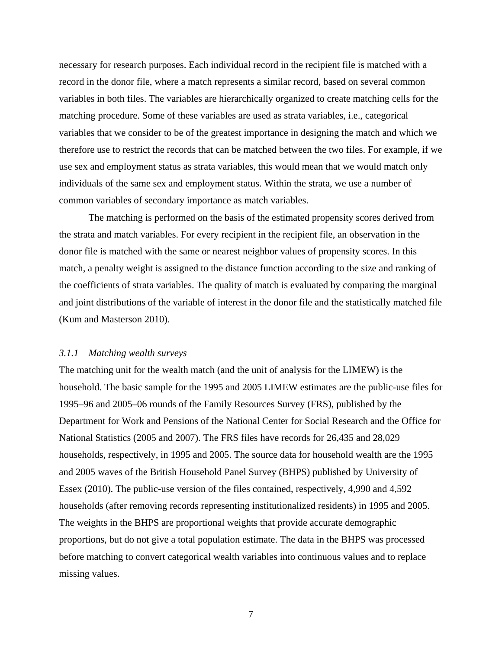necessary for research purposes. Each individual record in the recipient file is matched with a record in the donor file, where a match represents a similar record, based on several common variables in both files. The variables are hierarchically organized to create matching cells for the matching procedure. Some of these variables are used as strata variables, i.e., categorical variables that we consider to be of the greatest importance in designing the match and which we therefore use to restrict the records that can be matched between the two files. For example, if we use sex and employment status as strata variables, this would mean that we would match only individuals of the same sex and employment status. Within the strata, we use a number of common variables of secondary importance as match variables.

The matching is performed on the basis of the estimated propensity scores derived from the strata and match variables. For every recipient in the recipient file, an observation in the donor file is matched with the same or nearest neighbor values of propensity scores. In this match, a penalty weight is assigned to the distance function according to the size and ranking of the coefficients of strata variables. The quality of match is evaluated by comparing the marginal and joint distributions of the variable of interest in the donor file and the statistically matched file (Kum and Masterson 2010).

### *3.1.1 Matching wealth surveys*

The matching unit for the wealth match (and the unit of analysis for the LIMEW) is the household. The basic sample for the 1995 and 2005 LIMEW estimates are the public-use files for 1995–96 and 2005–06 rounds of the Family Resources Survey (FRS), published by the Department for Work and Pensions of the National Center for Social Research and the Office for National Statistics (2005 and 2007). The FRS files have records for 26,435 and 28,029 households, respectively, in 1995 and 2005. The source data for household wealth are the 1995 and 2005 waves of the British Household Panel Survey (BHPS) published by University of Essex (2010). The public-use version of the files contained, respectively, 4,990 and 4,592 households (after removing records representing institutionalized residents) in 1995 and 2005. The weights in the BHPS are proportional weights that provide accurate demographic proportions, but do not give a total population estimate. The data in the BHPS was processed before matching to convert categorical wealth variables into continuous values and to replace missing values.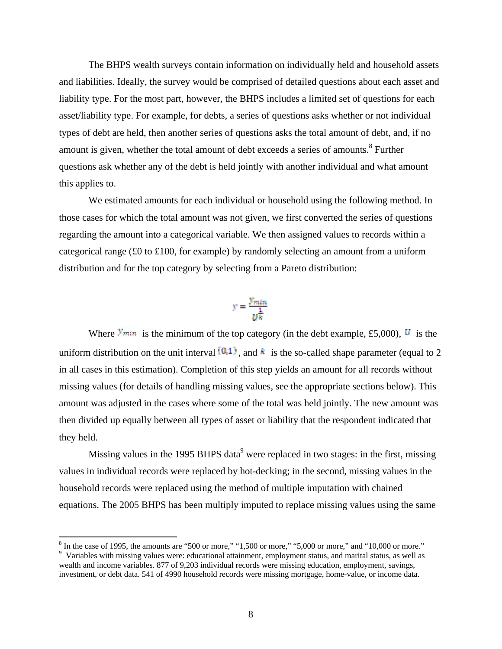The BHPS wealth surveys contain information on individually held and household assets and liabilities. Ideally, the survey would be comprised of detailed questions about each asset and liability type. For the most part, however, the BHPS includes a limited set of questions for each asset/liability type. For example, for debts, a series of questions asks whether or not individual types of debt are held, then another series of questions asks the total amount of debt, and, if no amount is given, whether the total amount of debt exceeds a series of amounts.<sup>8</sup> Further questions ask whether any of the debt is held jointly with another individual and what amount this applies to.

We estimated amounts for each individual or household using the following method. In those cases for which the total amount was not given, we first converted the series of questions regarding the amount into a categorical variable. We then assigned values to records within a categorical range (£0 to £100, for example) by randomly selecting an amount from a uniform distribution and for the top category by selecting from a Pareto distribution:

$$
y = \frac{y_{\min}}{u^{\frac{1}{k}}}
$$

Where  $\frac{\text{y}_{\text{min}}}{\text{s}}$  is the minimum of the top category (in the debt example, £5,000),  $\boldsymbol{U}$  is the uniform distribution on the unit interval  $[0,1]$ , and  $k$  is the so-called shape parameter (equal to 2 in all cases in this estimation). Completion of this step yields an amount for all records without missing values (for details of handling missing values, see the appropriate sections below). This amount was adjusted in the cases where some of the total was held jointly. The new amount was then divided up equally between all types of asset or liability that the respondent indicated that they held.

Missing values in the 1995 BHPS data<sup>9</sup> were replaced in two stages: in the first, missing values in individual records were replaced by hot-decking; in the second, missing values in the household records were replaced using the method of multiple imputation with chained equations. The 2005 BHPS has been multiply imputed to replace missing values using the same

 $8$  In the case of 1995, the amounts are "500 or more," "1,500 or more," "5,000 or more," and "10,000 or more."

<sup>&</sup>lt;sup>9</sup> Variables with missing values were: educational attainment, employment status, and marital status, as well as wealth and income variables. 877 of 9,203 individual records were missing education, employment, savings, investment, or debt data. 541 of 4990 household records were missing mortgage, home-value, or income data.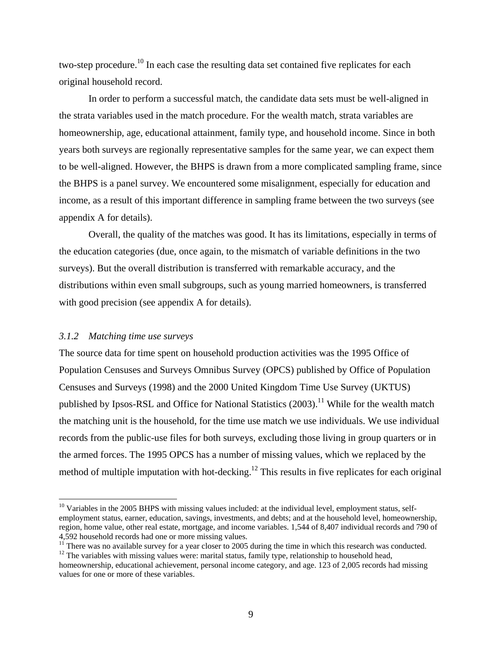two-step procedure.<sup>10</sup> In each case the resulting data set contained five replicates for each original household record.

In order to perform a successful match, the candidate data sets must be well-aligned in the strata variables used in the match procedure. For the wealth match, strata variables are homeownership, age, educational attainment, family type, and household income. Since in both years both surveys are regionally representative samples for the same year, we can expect them to be well-aligned. However, the BHPS is drawn from a more complicated sampling frame, since the BHPS is a panel survey. We encountered some misalignment, especially for education and income, as a result of this important difference in sampling frame between the two surveys (see appendix A for details).

Overall, the quality of the matches was good. It has its limitations, especially in terms of the education categories (due, once again, to the mismatch of variable definitions in the two surveys). But the overall distribution is transferred with remarkable accuracy, and the distributions within even small subgroups, such as young married homeowners, is transferred with good precision (see appendix A for details).

## *3.1.2 Matching time use surveys*

The source data for time spent on household production activities was the 1995 Office of Population Censuses and Surveys Omnibus Survey (OPCS) published by Office of Population Censuses and Surveys (1998) and the 2000 United Kingdom Time Use Survey (UKTUS) published by Ipsos-RSL and Office for National Statistics  $(2003)$ .<sup>11</sup> While for the wealth match the matching unit is the household, for the time use match we use individuals. We use individual records from the public-use files for both surveys, excluding those living in group quarters or in the armed forces. The 1995 OPCS has a number of missing values, which we replaced by the method of multiple imputation with hot-decking.<sup>12</sup> This results in five replicates for each original

<sup>&</sup>lt;sup>10</sup> Variables in the 2005 BHPS with missing values included: at the individual level, employment status, selfemployment status, earner, education, savings, investments, and debts; and at the household level, homeownership, region, home value, other real estate, mortgage, and income variables. 1,544 of 8,407 individual records and 790 of 4,592 household records had one or more missing values.

<sup>&</sup>lt;sup>11</sup> There was no available survey for a year closer to 2005 during the time in which this research was conducted.

 $12$  The variables with missing values were: marital status, family type, relationship to household head,

homeownership, educational achievement, personal income category, and age. 123 of 2,005 records had missing values for one or more of these variables.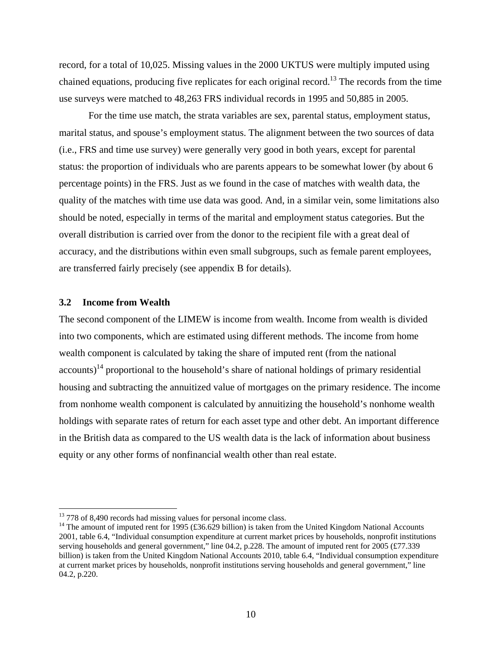record, for a total of 10,025. Missing values in the 2000 UKTUS were multiply imputed using chained equations, producing five replicates for each original record.<sup>13</sup> The records from the time use surveys were matched to 48,263 FRS individual records in 1995 and 50,885 in 2005.

For the time use match, the strata variables are sex, parental status, employment status, marital status, and spouse's employment status. The alignment between the two sources of data (i.e., FRS and time use survey) were generally very good in both years, except for parental status: the proportion of individuals who are parents appears to be somewhat lower (by about 6 percentage points) in the FRS. Just as we found in the case of matches with wealth data, the quality of the matches with time use data was good. And, in a similar vein, some limitations also should be noted, especially in terms of the marital and employment status categories. But the overall distribution is carried over from the donor to the recipient file with a great deal of accuracy, and the distributions within even small subgroups, such as female parent employees, are transferred fairly precisely (see appendix B for details).

## **3.2 Income from Wealth**

The second component of the LIMEW is income from wealth. Income from wealth is divided into two components, which are estimated using different methods. The income from home wealth component is calculated by taking the share of imputed rent (from the national  $3\text{a}$  accounts)<sup>14</sup> proportional to the household's share of national holdings of primary residential housing and subtracting the annuitized value of mortgages on the primary residence. The income from nonhome wealth component is calculated by annuitizing the household's nonhome wealth holdings with separate rates of return for each asset type and other debt. An important difference in the British data as compared to the US wealth data is the lack of information about business equity or any other forms of nonfinancial wealth other than real estate.

<sup>&</sup>lt;sup>13</sup> 778 of 8,490 records had missing values for personal income class.

<sup>&</sup>lt;sup>14</sup> The amount of imputed rent for 1995 (£36.629 billion) is taken from the United Kingdom National Accounts 2001, table 6.4, "Individual consumption expenditure at current market prices by households, nonprofit institutions serving households and general government," line 04.2, p.228. The amount of imputed rent for 2005 (£77.339) billion) is taken from the United Kingdom National Accounts 2010, table 6.4, "Individual consumption expenditure at current market prices by households, nonprofit institutions serving households and general government," line 04.2, p.220.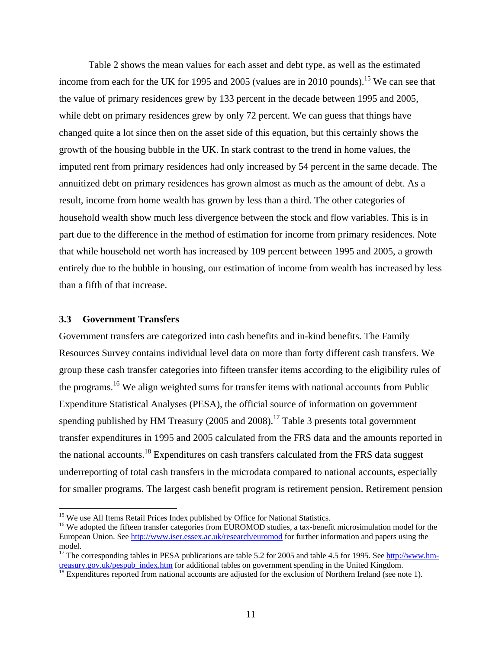Table 2 shows the mean values for each asset and debt type, as well as the estimated income from each for the UK for 1995 and 2005 (values are in 2010 pounds).<sup>15</sup> We can see that the value of primary residences grew by 133 percent in the decade between 1995 and 2005, while debt on primary residences grew by only 72 percent. We can guess that things have changed quite a lot since then on the asset side of this equation, but this certainly shows the growth of the housing bubble in the UK. In stark contrast to the trend in home values, the imputed rent from primary residences had only increased by 54 percent in the same decade. The annuitized debt on primary residences has grown almost as much as the amount of debt. As a result, income from home wealth has grown by less than a third. The other categories of household wealth show much less divergence between the stock and flow variables. This is in part due to the difference in the method of estimation for income from primary residences. Note that while household net worth has increased by 109 percent between 1995 and 2005, a growth entirely due to the bubble in housing, our estimation of income from wealth has increased by less than a fifth of that increase.

#### **3.3 Government Transfers**

Government transfers are categorized into cash benefits and in-kind benefits. The Family Resources Survey contains individual level data on more than forty different cash transfers. We group these cash transfer categories into fifteen transfer items according to the eligibility rules of the programs.<sup>16</sup> We align weighted sums for transfer items with national accounts from Public Expenditure Statistical Analyses (PESA), the official source of information on government spending published by HM Treasury (2005 and 2008).<sup>17</sup> Table 3 presents total government transfer expenditures in 1995 and 2005 calculated from the FRS data and the amounts reported in the national accounts.<sup>18</sup> Expenditures on cash transfers calculated from the FRS data suggest underreporting of total cash transfers in the microdata compared to national accounts, especially for smaller programs. The largest cash benefit program is retirement pension. Retirement pension

<sup>&</sup>lt;sup>15</sup> We use All Items Retail Prices Index published by Office for National Statistics.

<sup>&</sup>lt;sup>16</sup> We adopted the fifteen transfer categories from EUROMOD studies, a tax-benefit microsimulation model for the European Union. See http://www.iser.essex.ac.uk/research/euromod for further information and papers using the model.

<sup>&</sup>lt;sup>17</sup> The corresponding tables in PESA publications are table 5.2 for 2005 and table 4.5 for 1995. See http://www.hmtreasury.gov.uk/pespub\_index.htm for additional tables on government spending in the United Kingdom.<br><sup>18</sup> Expenditures reported from national accounts are adjusted for the exclusion of Northern Ireland (see note 1).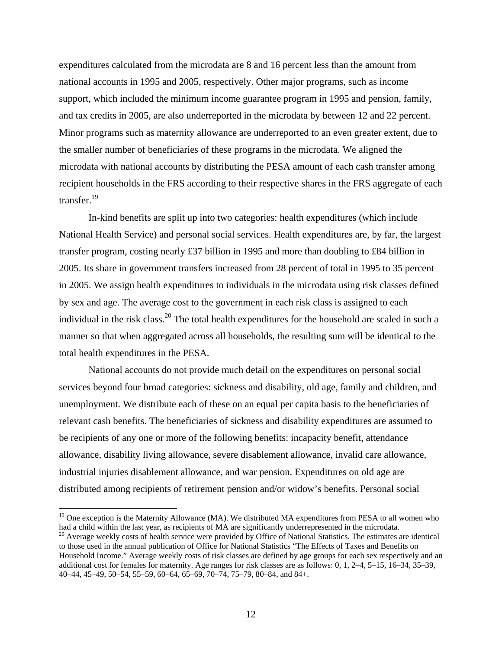expenditures calculated from the microdata are 8 and 16 percent less than the amount from national accounts in 1995 and 2005, respectively. Other major programs, such as income support, which included the minimum income guarantee program in 1995 and pension, family, and tax credits in 2005, are also underreported in the microdata by between 12 and 22 percent. Minor programs such as maternity allowance are underreported to an even greater extent, due to the smaller number of beneficiaries of these programs in the microdata. We aligned the microdata with national accounts by distributing the PESA amount of each cash transfer among recipient households in the FRS according to their respective shares in the FRS aggregate of each transfer.<sup>19</sup>

In-kind benefits are split up into two categories: health expenditures (which include National Health Service) and personal social services. Health expenditures are, by far, the largest transfer program, costing nearly £37 billion in 1995 and more than doubling to £84 billion in 2005. Its share in government transfers increased from 28 percent of total in 1995 to 35 percent in 2005. We assign health expenditures to individuals in the microdata using risk classes defined by sex and age. The average cost to the government in each risk class is assigned to each individual in the risk class.<sup>20</sup> The total health expenditures for the household are scaled in such a manner so that when aggregated across all households, the resulting sum will be identical to the total health expenditures in the PESA.

National accounts do not provide much detail on the expenditures on personal social services beyond four broad categories: sickness and disability, old age, family and children, and unemployment. We distribute each of these on an equal per capita basis to the beneficiaries of relevant cash benefits. The beneficiaries of sickness and disability expenditures are assumed to be recipients of any one or more of the following benefits: incapacity benefit, attendance allowance, disability living allowance, severe disablement allowance, invalid care allowance, industrial injuries disablement allowance, and war pension. Expenditures on old age are distributed among recipients of retirement pension and/or widow's benefits. Personal social

<sup>&</sup>lt;sup>19</sup> One exception is the Maternity Allowance (MA). We distributed MA expenditures from PESA to all women who had a child within the last year, as recipients of MA are significantly underrepresented in the microdata.

 $20$  Average weekly costs of health service were provided by Office of National Statistics. The estimates are identical to those used in the annual publication of Office for National Statistics "The Effects of Taxes and Benefits on Household Income." Average weekly costs of risk classes are defined by age groups for each sex respectively and an additional cost for females for maternity. Age ranges for risk classes are as follows: 0, 1, 2–4, 5–15, 16–34, 35–39, 40–44, 45–49, 50–54, 55–59, 60–64, 65–69, 70–74, 75–79, 80–84, and 84+.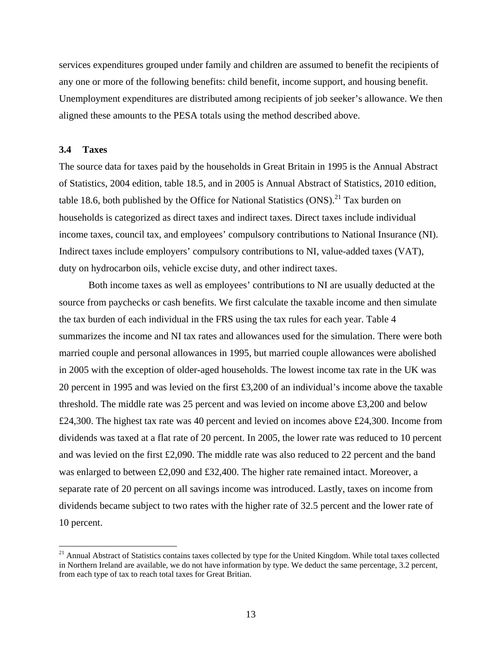services expenditures grouped under family and children are assumed to benefit the recipients of any one or more of the following benefits: child benefit, income support, and housing benefit. Unemployment expenditures are distributed among recipients of job seeker's allowance. We then aligned these amounts to the PESA totals using the method described above.

## **3.4 Taxes**

The source data for taxes paid by the households in Great Britain in 1995 is the Annual Abstract of Statistics, 2004 edition, table 18.5, and in 2005 is Annual Abstract of Statistics, 2010 edition, table 18.6, both published by the Office for National Statistics  $(ONS)^{21}$  Tax burden on households is categorized as direct taxes and indirect taxes. Direct taxes include individual income taxes, council tax, and employees' compulsory contributions to National Insurance (NI). Indirect taxes include employers' compulsory contributions to NI, value-added taxes (VAT), duty on hydrocarbon oils, vehicle excise duty, and other indirect taxes.

Both income taxes as well as employees' contributions to NI are usually deducted at the source from paychecks or cash benefits. We first calculate the taxable income and then simulate the tax burden of each individual in the FRS using the tax rules for each year. Table 4 summarizes the income and NI tax rates and allowances used for the simulation. There were both married couple and personal allowances in 1995, but married couple allowances were abolished in 2005 with the exception of older-aged households. The lowest income tax rate in the UK was 20 percent in 1995 and was levied on the first £3,200 of an individual's income above the taxable threshold. The middle rate was 25 percent and was levied on income above £3,200 and below £24,300. The highest tax rate was 40 percent and levied on incomes above £24,300. Income from dividends was taxed at a flat rate of 20 percent. In 2005, the lower rate was reduced to 10 percent and was levied on the first £2,090. The middle rate was also reduced to 22 percent and the band was enlarged to between £2,090 and £32,400. The higher rate remained intact. Moreover, a separate rate of 20 percent on all savings income was introduced. Lastly, taxes on income from dividends became subject to two rates with the higher rate of 32.5 percent and the lower rate of 10 percent.

 $21$  Annual Abstract of Statistics contains taxes collected by type for the United Kingdom. While total taxes collected in Northern Ireland are available, we do not have information by type. We deduct the same percentage, 3.2 percent, from each type of tax to reach total taxes for Great Britian.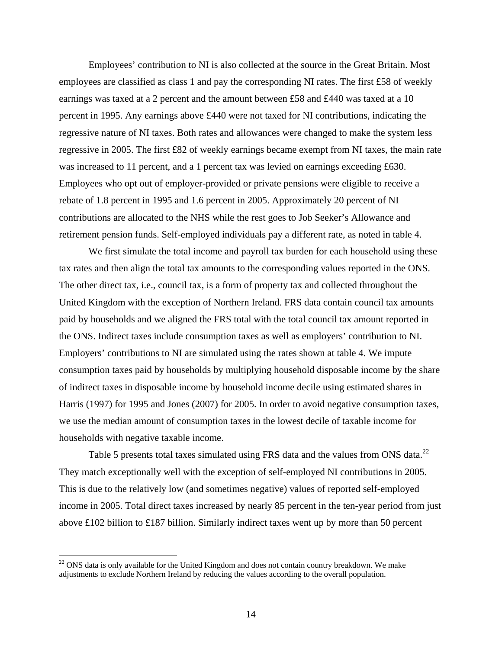Employees' contribution to NI is also collected at the source in the Great Britain. Most employees are classified as class 1 and pay the corresponding NI rates. The first £58 of weekly earnings was taxed at a 2 percent and the amount between £58 and £440 was taxed at a 10 percent in 1995. Any earnings above £440 were not taxed for NI contributions, indicating the regressive nature of NI taxes. Both rates and allowances were changed to make the system less regressive in 2005. The first £82 of weekly earnings became exempt from NI taxes, the main rate was increased to 11 percent, and a 1 percent tax was levied on earnings exceeding £630. Employees who opt out of employer-provided or private pensions were eligible to receive a rebate of 1.8 percent in 1995 and 1.6 percent in 2005. Approximately 20 percent of NI contributions are allocated to the NHS while the rest goes to Job Seeker's Allowance and retirement pension funds. Self-employed individuals pay a different rate, as noted in table 4.

We first simulate the total income and payroll tax burden for each household using these tax rates and then align the total tax amounts to the corresponding values reported in the ONS. The other direct tax, i.e., council tax, is a form of property tax and collected throughout the United Kingdom with the exception of Northern Ireland. FRS data contain council tax amounts paid by households and we aligned the FRS total with the total council tax amount reported in the ONS. Indirect taxes include consumption taxes as well as employers' contribution to NI. Employers' contributions to NI are simulated using the rates shown at table 4. We impute consumption taxes paid by households by multiplying household disposable income by the share of indirect taxes in disposable income by household income decile using estimated shares in Harris (1997) for 1995 and Jones (2007) for 2005. In order to avoid negative consumption taxes, we use the median amount of consumption taxes in the lowest decile of taxable income for households with negative taxable income.

Table 5 presents total taxes simulated using FRS data and the values from ONS data.<sup>22</sup> They match exceptionally well with the exception of self-employed NI contributions in 2005. This is due to the relatively low (and sometimes negative) values of reported self-employed income in 2005. Total direct taxes increased by nearly 85 percent in the ten-year period from just above £102 billion to £187 billion. Similarly indirect taxes went up by more than 50 percent

<sup>&</sup>lt;sup>22</sup> ONS data is only available for the United Kingdom and does not contain country breakdown. We make adjustments to exclude Northern Ireland by reducing the values according to the overall population.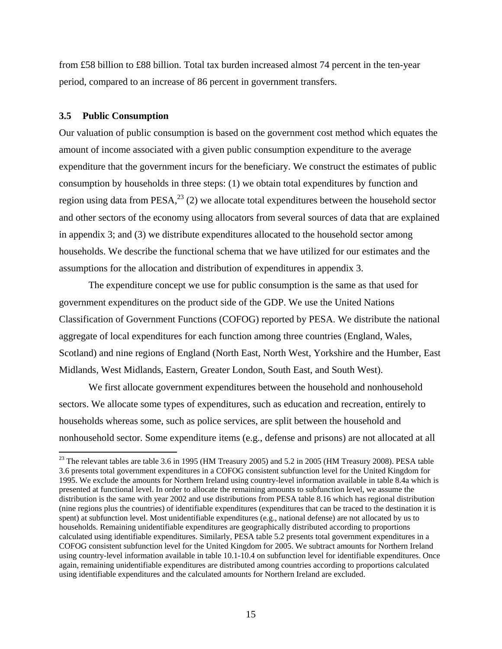from £58 billion to £88 billion. Total tax burden increased almost 74 percent in the ten-year period, compared to an increase of 86 percent in government transfers.

#### **3.5 Public Consumption**

Our valuation of public consumption is based on the government cost method which equates the amount of income associated with a given public consumption expenditure to the average expenditure that the government incurs for the beneficiary. We construct the estimates of public consumption by households in three steps: (1) we obtain total expenditures by function and region using data from PESA,  $^{23}$  (2) we allocate total expenditures between the household sector and other sectors of the economy using allocators from several sources of data that are explained in appendix 3; and (3) we distribute expenditures allocated to the household sector among households. We describe the functional schema that we have utilized for our estimates and the assumptions for the allocation and distribution of expenditures in appendix 3.

The expenditure concept we use for public consumption is the same as that used for government expenditures on the product side of the GDP. We use the United Nations Classification of Government Functions (COFOG) reported by PESA. We distribute the national aggregate of local expenditures for each function among three countries (England, Wales, Scotland) and nine regions of England (North East, North West, Yorkshire and the Humber, East Midlands, West Midlands, Eastern, Greater London, South East, and South West).

We first allocate government expenditures between the household and nonhousehold sectors. We allocate some types of expenditures, such as education and recreation, entirely to households whereas some, such as police services, are split between the household and nonhousehold sector. Some expenditure items (e.g., defense and prisons) are not allocated at all

<sup>&</sup>lt;sup>23</sup> The relevant tables are table 3.6 in 1995 (HM Treasury 2005) and 5.2 in 2005 (HM Treasury 2008). PESA table 3.6 presents total government expenditures in a COFOG consistent subfunction level for the United Kingdom for 1995. We exclude the amounts for Northern Ireland using country-level information available in table 8.4a which is presented at functional level. In order to allocate the remaining amounts to subfunction level, we assume the distribution is the same with year 2002 and use distributions from PESA table 8.16 which has regional distribution (nine regions plus the countries) of identifiable expenditures (expenditures that can be traced to the destination it is spent) at subfunction level. Most unidentifiable expenditures (e.g., national defense) are not allocated by us to households. Remaining unidentifiable expenditures are geographically distributed according to proportions calculated using identifiable expenditures. Similarly, PESA table 5.2 presents total government expenditures in a COFOG consistent subfunction level for the United Kingdom for 2005. We subtract amounts for Northern Ireland using country-level information available in table 10.1-10.4 on subfunction level for identifiable expenditures. Once again, remaining unidentifiable expenditures are distributed among countries according to proportions calculated using identifiable expenditures and the calculated amounts for Northern Ireland are excluded.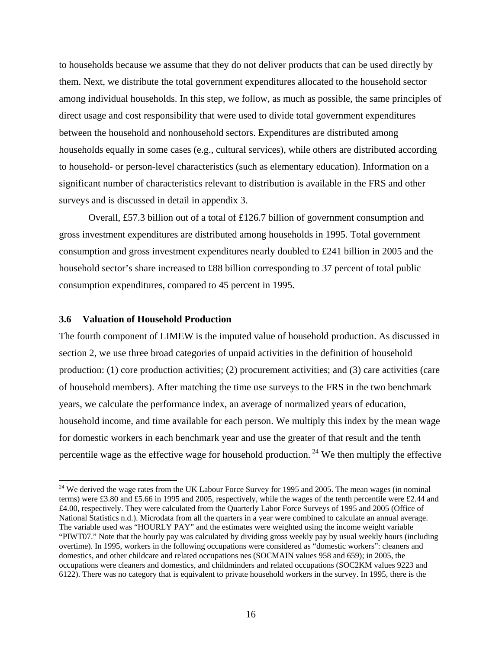to households because we assume that they do not deliver products that can be used directly by them. Next, we distribute the total government expenditures allocated to the household sector among individual households. In this step, we follow, as much as possible, the same principles of direct usage and cost responsibility that were used to divide total government expenditures between the household and nonhousehold sectors. Expenditures are distributed among households equally in some cases (e.g., cultural services), while others are distributed according to household- or person-level characteristics (such as elementary education). Information on a significant number of characteristics relevant to distribution is available in the FRS and other surveys and is discussed in detail in appendix 3.

Overall, £57.3 billion out of a total of £126.7 billion of government consumption and gross investment expenditures are distributed among households in 1995. Total government consumption and gross investment expenditures nearly doubled to £241 billion in 2005 and the household sector's share increased to £88 billion corresponding to 37 percent of total public consumption expenditures, compared to 45 percent in 1995.

#### **3.6 Valuation of Household Production**

The fourth component of LIMEW is the imputed value of household production. As discussed in section 2, we use three broad categories of unpaid activities in the definition of household production: (1) core production activities; (2) procurement activities; and (3) care activities (care of household members). After matching the time use surveys to the FRS in the two benchmark years, we calculate the performance index, an average of normalized years of education, household income, and time available for each person. We multiply this index by the mean wage for domestic workers in each benchmark year and use the greater of that result and the tenth percentile wage as the effective wage for household production.<sup>24</sup> We then multiply the effective

<sup>&</sup>lt;sup>24</sup> We derived the wage rates from the UK Labour Force Survey for 1995 and 2005. The mean wages (in nominal terms) were £3.80 and £5.66 in 1995 and 2005, respectively, while the wages of the tenth percentile were £2.44 and £4.00, respectively. They were calculated from the Quarterly Labor Force Surveys of 1995 and 2005 (Office of National Statistics n.d.). Microdata from all the quarters in a year were combined to calculate an annual average. The variable used was "HOURLY PAY" and the estimates were weighted using the income weight variable "PIWT07." Note that the hourly pay was calculated by dividing gross weekly pay by usual weekly hours (including overtime). In 1995, workers in the following occupations were considered as "domestic workers": cleaners and domestics, and other childcare and related occupations nes (SOCMAIN values 958 and 659); in 2005, the occupations were cleaners and domestics, and childminders and related occupations (SOC2KM values 9223 and 6122). There was no category that is equivalent to private household workers in the survey. In 1995, there is the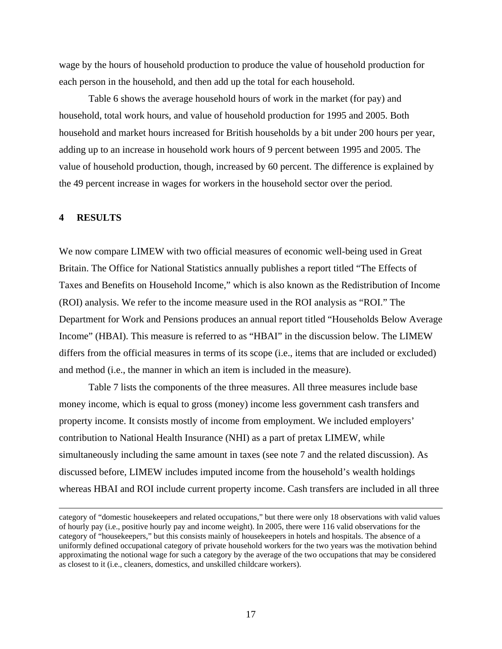wage by the hours of household production to produce the value of household production for each person in the household, and then add up the total for each household.

Table 6 shows the average household hours of work in the market (for pay) and household, total work hours, and value of household production for 1995 and 2005. Both household and market hours increased for British households by a bit under 200 hours per year, adding up to an increase in household work hours of 9 percent between 1995 and 2005. The value of household production, though, increased by 60 percent. The difference is explained by the 49 percent increase in wages for workers in the household sector over the period.

# **4 RESULTS**

We now compare LIMEW with two official measures of economic well-being used in Great Britain. The Office for National Statistics annually publishes a report titled "The Effects of Taxes and Benefits on Household Income," which is also known as the Redistribution of Income (ROI) analysis. We refer to the income measure used in the ROI analysis as "ROI." The Department for Work and Pensions produces an annual report titled "Households Below Average Income" (HBAI). This measure is referred to as "HBAI" in the discussion below. The LIMEW differs from the official measures in terms of its scope (i.e., items that are included or excluded) and method (i.e., the manner in which an item is included in the measure).

Table 7 lists the components of the three measures. All three measures include base money income, which is equal to gross (money) income less government cash transfers and property income. It consists mostly of income from employment. We included employers' contribution to National Health Insurance (NHI) as a part of pretax LIMEW, while simultaneously including the same amount in taxes (see note 7 and the related discussion). As discussed before, LIMEW includes imputed income from the household's wealth holdings whereas HBAI and ROI include current property income. Cash transfers are included in all three

<u> 1989 - Johann Stein, marwolaethau a gweledydd a ganlad y ganlad y ganlad y ganlad y ganlad y ganlad y ganlad</u>

category of "domestic housekeepers and related occupations," but there were only 18 observations with valid values of hourly pay (i.e., positive hourly pay and income weight). In 2005, there were 116 valid observations for the category of "housekeepers," but this consists mainly of housekeepers in hotels and hospitals. The absence of a uniformly defined occupational category of private household workers for the two years was the motivation behind approximating the notional wage for such a category by the average of the two occupations that may be considered as closest to it (i.e., cleaners, domestics, and unskilled childcare workers).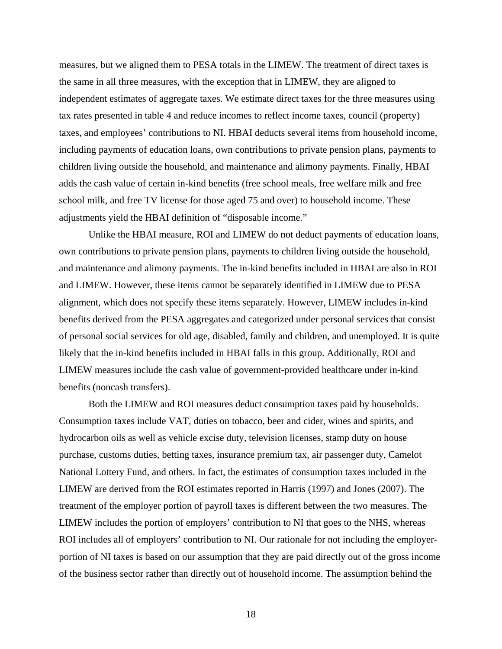measures, but we aligned them to PESA totals in the LIMEW. The treatment of direct taxes is the same in all three measures, with the exception that in LIMEW, they are aligned to independent estimates of aggregate taxes. We estimate direct taxes for the three measures using tax rates presented in table 4 and reduce incomes to reflect income taxes, council (property) taxes, and employees' contributions to NI. HBAI deducts several items from household income, including payments of education loans, own contributions to private pension plans, payments to children living outside the household, and maintenance and alimony payments. Finally, HBAI adds the cash value of certain in-kind benefits (free school meals, free welfare milk and free school milk, and free TV license for those aged 75 and over) to household income. These adjustments yield the HBAI definition of "disposable income."

Unlike the HBAI measure, ROI and LIMEW do not deduct payments of education loans, own contributions to private pension plans, payments to children living outside the household, and maintenance and alimony payments. The in-kind benefits included in HBAI are also in ROI and LIMEW. However, these items cannot be separately identified in LIMEW due to PESA alignment, which does not specify these items separately. However, LIMEW includes in-kind benefits derived from the PESA aggregates and categorized under personal services that consist of personal social services for old age, disabled, family and children, and unemployed. It is quite likely that the in-kind benefits included in HBAI falls in this group. Additionally, ROI and LIMEW measures include the cash value of government-provided healthcare under in-kind benefits (noncash transfers).

Both the LIMEW and ROI measures deduct consumption taxes paid by households. Consumption taxes include VAT, duties on tobacco, beer and cider, wines and spirits, and hydrocarbon oils as well as vehicle excise duty, television licenses, stamp duty on house purchase, customs duties, betting taxes, insurance premium tax, air passenger duty, Camelot National Lottery Fund, and others. In fact, the estimates of consumption taxes included in the LIMEW are derived from the ROI estimates reported in Harris (1997) and Jones (2007). The treatment of the employer portion of payroll taxes is different between the two measures. The LIMEW includes the portion of employers' contribution to NI that goes to the NHS, whereas ROI includes all of employers' contribution to NI. Our rationale for not including the employerportion of NI taxes is based on our assumption that they are paid directly out of the gross income of the business sector rather than directly out of household income. The assumption behind the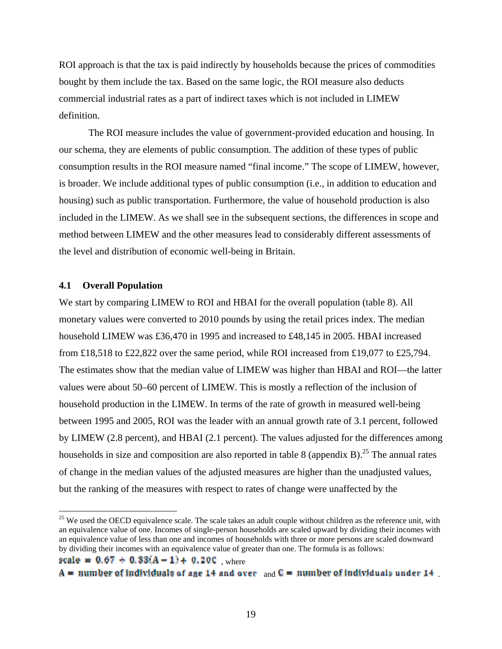ROI approach is that the tax is paid indirectly by households because the prices of commodities bought by them include the tax. Based on the same logic, the ROI measure also deducts commercial industrial rates as a part of indirect taxes which is not included in LIMEW definition.

The ROI measure includes the value of government-provided education and housing. In our schema, they are elements of public consumption. The addition of these types of public consumption results in the ROI measure named "final income." The scope of LIMEW, however, is broader. We include additional types of public consumption (i.e., in addition to education and housing) such as public transportation. Furthermore, the value of household production is also included in the LIMEW. As we shall see in the subsequent sections, the differences in scope and method between LIMEW and the other measures lead to considerably different assessments of the level and distribution of economic well-being in Britain.

## **4.1 Overall Population**

We start by comparing LIMEW to ROI and HBAI for the overall population (table 8). All monetary values were converted to 2010 pounds by using the retail prices index. The median household LIMEW was £36,470 in 1995 and increased to £48,145 in 2005. HBAI increased from £18,518 to £22,822 over the same period, while ROI increased from £19,077 to £25,794. The estimates show that the median value of LIMEW was higher than HBAI and ROI—the latter values were about 50–60 percent of LIMEW. This is mostly a reflection of the inclusion of household production in the LIMEW. In terms of the rate of growth in measured well-being between 1995 and 2005, ROI was the leader with an annual growth rate of 3.1 percent, followed by LIMEW (2.8 percent), and HBAI (2.1 percent). The values adjusted for the differences among households in size and composition are also reported in table 8 (appendix B).<sup>25</sup> The annual rates of change in the median values of the adjusted measures are higher than the unadjusted values, but the ranking of the measures with respect to rates of change were unaffected by the

scale =  $0.67 + 0.33(A - 1) + 0.20C$ , where

 $A =$  number of individuals of age 14 and over  $_{\text{and}} C =$  number of individuals under 14

 $25$  We used the OECD equivalence scale. The scale takes an adult couple without children as the reference unit, with an equivalence value of one. Incomes of single-person households are scaled upward by dividing their incomes with an equivalence value of less than one and incomes of households with three or more persons are scaled downward by dividing their incomes with an equivalence value of greater than one. The formula is as follows: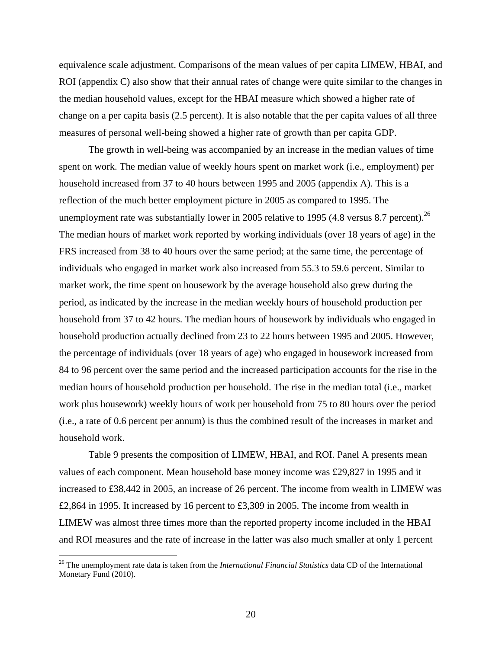equivalence scale adjustment. Comparisons of the mean values of per capita LIMEW, HBAI, and ROI (appendix C) also show that their annual rates of change were quite similar to the changes in the median household values, except for the HBAI measure which showed a higher rate of change on a per capita basis (2.5 percent). It is also notable that the per capita values of all three measures of personal well-being showed a higher rate of growth than per capita GDP.

The growth in well-being was accompanied by an increase in the median values of time spent on work. The median value of weekly hours spent on market work (i.e., employment) per household increased from 37 to 40 hours between 1995 and 2005 (appendix A). This is a reflection of the much better employment picture in 2005 as compared to 1995. The unemployment rate was substantially lower in 2005 relative to 1995 (4.8 versus 8.7 percent).<sup>26</sup> The median hours of market work reported by working individuals (over 18 years of age) in the FRS increased from 38 to 40 hours over the same period; at the same time, the percentage of individuals who engaged in market work also increased from 55.3 to 59.6 percent. Similar to market work, the time spent on housework by the average household also grew during the period, as indicated by the increase in the median weekly hours of household production per household from 37 to 42 hours. The median hours of housework by individuals who engaged in household production actually declined from 23 to 22 hours between 1995 and 2005. However, the percentage of individuals (over 18 years of age) who engaged in housework increased from 84 to 96 percent over the same period and the increased participation accounts for the rise in the median hours of household production per household. The rise in the median total (i.e., market work plus housework) weekly hours of work per household from 75 to 80 hours over the period (i.e., a rate of 0.6 percent per annum) is thus the combined result of the increases in market and household work.

Table 9 presents the composition of LIMEW, HBAI, and ROI. Panel A presents mean values of each component. Mean household base money income was £29,827 in 1995 and it increased to £38,442 in 2005, an increase of 26 percent. The income from wealth in LIMEW was £2,864 in 1995. It increased by 16 percent to £3,309 in 2005. The income from wealth in LIMEW was almost three times more than the reported property income included in the HBAI and ROI measures and the rate of increase in the latter was also much smaller at only 1 percent

<sup>26</sup> The unemployment rate data is taken from the *International Financial Statistics* data CD of the International Monetary Fund (2010).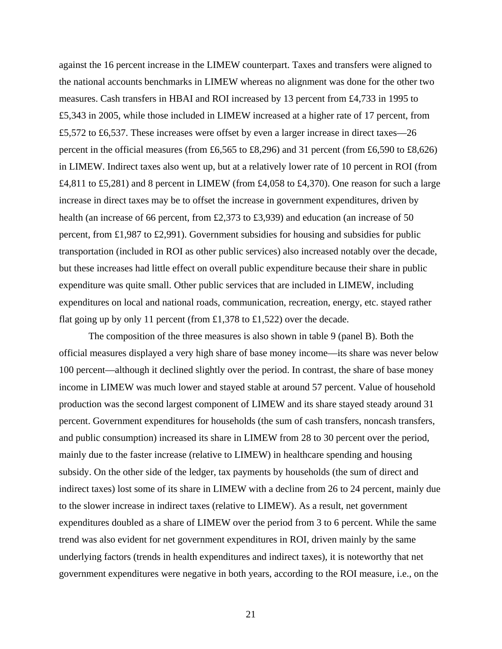against the 16 percent increase in the LIMEW counterpart. Taxes and transfers were aligned to the national accounts benchmarks in LIMEW whereas no alignment was done for the other two measures. Cash transfers in HBAI and ROI increased by 13 percent from £4,733 in 1995 to £5,343 in 2005, while those included in LIMEW increased at a higher rate of 17 percent, from £5,572 to £6,537. These increases were offset by even a larger increase in direct taxes—26 percent in the official measures (from £6,565 to £8,296) and 31 percent (from £6,590 to £8,626) in LIMEW. Indirect taxes also went up, but at a relatively lower rate of 10 percent in ROI (from £4,811 to £5,281) and 8 percent in LIMEW (from £4,058 to £4,370). One reason for such a large increase in direct taxes may be to offset the increase in government expenditures, driven by health (an increase of 66 percent, from £2,373 to £3,939) and education (an increase of 50 percent, from £1,987 to £2,991). Government subsidies for housing and subsidies for public transportation (included in ROI as other public services) also increased notably over the decade, but these increases had little effect on overall public expenditure because their share in public expenditure was quite small. Other public services that are included in LIMEW, including expenditures on local and national roads, communication, recreation, energy, etc. stayed rather flat going up by only 11 percent (from £1,378 to £1,522) over the decade.

The composition of the three measures is also shown in table 9 (panel B). Both the official measures displayed a very high share of base money income—its share was never below 100 percent—although it declined slightly over the period. In contrast, the share of base money income in LIMEW was much lower and stayed stable at around 57 percent. Value of household production was the second largest component of LIMEW and its share stayed steady around 31 percent. Government expenditures for households (the sum of cash transfers, noncash transfers, and public consumption) increased its share in LIMEW from 28 to 30 percent over the period, mainly due to the faster increase (relative to LIMEW) in healthcare spending and housing subsidy. On the other side of the ledger, tax payments by households (the sum of direct and indirect taxes) lost some of its share in LIMEW with a decline from 26 to 24 percent, mainly due to the slower increase in indirect taxes (relative to LIMEW). As a result, net government expenditures doubled as a share of LIMEW over the period from 3 to 6 percent. While the same trend was also evident for net government expenditures in ROI, driven mainly by the same underlying factors (trends in health expenditures and indirect taxes), it is noteworthy that net government expenditures were negative in both years, according to the ROI measure, i.e., on the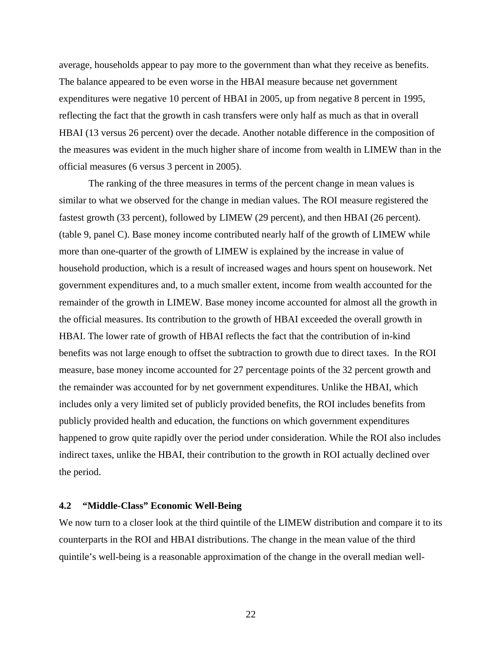average, households appear to pay more to the government than what they receive as benefits. The balance appeared to be even worse in the HBAI measure because net government expenditures were negative 10 percent of HBAI in 2005, up from negative 8 percent in 1995, reflecting the fact that the growth in cash transfers were only half as much as that in overall HBAI (13 versus 26 percent) over the decade. Another notable difference in the composition of the measures was evident in the much higher share of income from wealth in LIMEW than in the official measures (6 versus 3 percent in 2005).

The ranking of the three measures in terms of the percent change in mean values is similar to what we observed for the change in median values. The ROI measure registered the fastest growth (33 percent), followed by LIMEW (29 percent), and then HBAI (26 percent). (table 9, panel C). Base money income contributed nearly half of the growth of LIMEW while more than one-quarter of the growth of LIMEW is explained by the increase in value of household production, which is a result of increased wages and hours spent on housework. Net government expenditures and, to a much smaller extent, income from wealth accounted for the remainder of the growth in LIMEW. Base money income accounted for almost all the growth in the official measures. Its contribution to the growth of HBAI exceeded the overall growth in HBAI. The lower rate of growth of HBAI reflects the fact that the contribution of in-kind benefits was not large enough to offset the subtraction to growth due to direct taxes. In the ROI measure, base money income accounted for 27 percentage points of the 32 percent growth and the remainder was accounted for by net government expenditures. Unlike the HBAI, which includes only a very limited set of publicly provided benefits, the ROI includes benefits from publicly provided health and education, the functions on which government expenditures happened to grow quite rapidly over the period under consideration. While the ROI also includes indirect taxes, unlike the HBAI, their contribution to the growth in ROI actually declined over the period.

# **4.2 "Middle-Class" Economic Well-Being**

We now turn to a closer look at the third quintile of the LIMEW distribution and compare it to its counterparts in the ROI and HBAI distributions. The change in the mean value of the third quintile's well-being is a reasonable approximation of the change in the overall median well-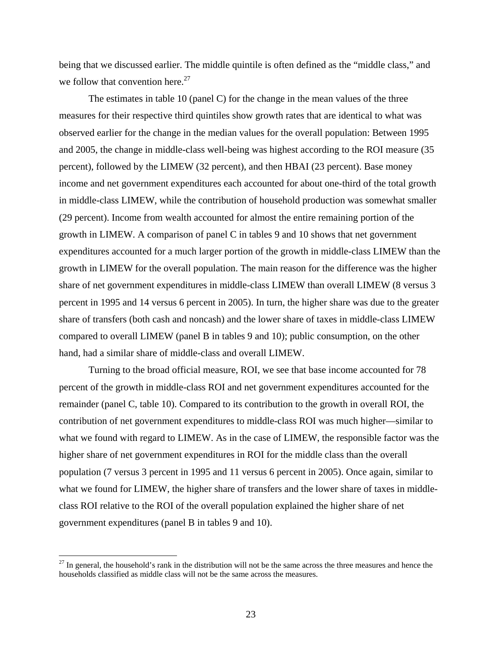being that we discussed earlier. The middle quintile is often defined as the "middle class," and we follow that convention here. $27$ 

The estimates in table 10 (panel C) for the change in the mean values of the three measures for their respective third quintiles show growth rates that are identical to what was observed earlier for the change in the median values for the overall population: Between 1995 and 2005, the change in middle-class well-being was highest according to the ROI measure (35 percent), followed by the LIMEW (32 percent), and then HBAI (23 percent). Base money income and net government expenditures each accounted for about one-third of the total growth in middle-class LIMEW, while the contribution of household production was somewhat smaller (29 percent). Income from wealth accounted for almost the entire remaining portion of the growth in LIMEW. A comparison of panel C in tables 9 and 10 shows that net government expenditures accounted for a much larger portion of the growth in middle-class LIMEW than the growth in LIMEW for the overall population. The main reason for the difference was the higher share of net government expenditures in middle-class LIMEW than overall LIMEW (8 versus 3 percent in 1995 and 14 versus 6 percent in 2005). In turn, the higher share was due to the greater share of transfers (both cash and noncash) and the lower share of taxes in middle-class LIMEW compared to overall LIMEW (panel B in tables 9 and 10); public consumption, on the other hand, had a similar share of middle-class and overall LIMEW.

Turning to the broad official measure, ROI, we see that base income accounted for 78 percent of the growth in middle-class ROI and net government expenditures accounted for the remainder (panel C, table 10). Compared to its contribution to the growth in overall ROI, the contribution of net government expenditures to middle-class ROI was much higher—similar to what we found with regard to LIMEW. As in the case of LIMEW, the responsible factor was the higher share of net government expenditures in ROI for the middle class than the overall population (7 versus 3 percent in 1995 and 11 versus 6 percent in 2005). Once again, similar to what we found for LIMEW, the higher share of transfers and the lower share of taxes in middleclass ROI relative to the ROI of the overall population explained the higher share of net government expenditures (panel B in tables 9 and 10).

 $27$  In general, the household's rank in the distribution will not be the same across the three measures and hence the households classified as middle class will not be the same across the measures.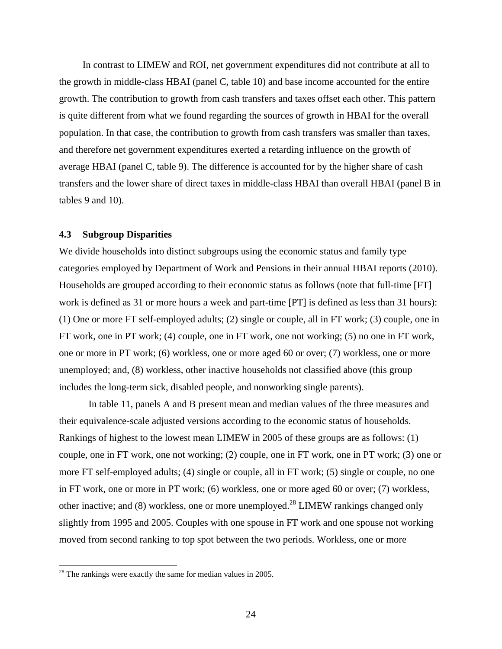In contrast to LIMEW and ROI, net government expenditures did not contribute at all to the growth in middle-class HBAI (panel C, table 10) and base income accounted for the entire growth. The contribution to growth from cash transfers and taxes offset each other. This pattern is quite different from what we found regarding the sources of growth in HBAI for the overall population. In that case, the contribution to growth from cash transfers was smaller than taxes, and therefore net government expenditures exerted a retarding influence on the growth of average HBAI (panel C, table 9). The difference is accounted for by the higher share of cash transfers and the lower share of direct taxes in middle-class HBAI than overall HBAI (panel B in tables 9 and 10).

## **4.3 Subgroup Disparities**

We divide households into distinct subgroups using the economic status and family type categories employed by Department of Work and Pensions in their annual HBAI reports (2010). Households are grouped according to their economic status as follows (note that full-time [FT] work is defined as 31 or more hours a week and part-time [PT] is defined as less than 31 hours): (1) One or more FT self-employed adults; (2) single or couple, all in FT work; (3) couple, one in FT work, one in PT work; (4) couple, one in FT work, one not working; (5) no one in FT work, one or more in PT work; (6) workless, one or more aged 60 or over; (7) workless, one or more unemployed; and, (8) workless, other inactive households not classified above (this group includes the long-term sick, disabled people, and nonworking single parents).

In table 11, panels A and B present mean and median values of the three measures and their equivalence-scale adjusted versions according to the economic status of households. Rankings of highest to the lowest mean LIMEW in 2005 of these groups are as follows: (1) couple, one in FT work, one not working; (2) couple, one in FT work, one in PT work; (3) one or more FT self-employed adults; (4) single or couple, all in FT work; (5) single or couple, no one in FT work, one or more in PT work; (6) workless, one or more aged 60 or over; (7) workless, other inactive; and (8) workless, one or more unemployed.<sup>28</sup> LIMEW rankings changed only slightly from 1995 and 2005. Couples with one spouse in FT work and one spouse not working moved from second ranking to top spot between the two periods. Workless, one or more

 $28$  The rankings were exactly the same for median values in 2005.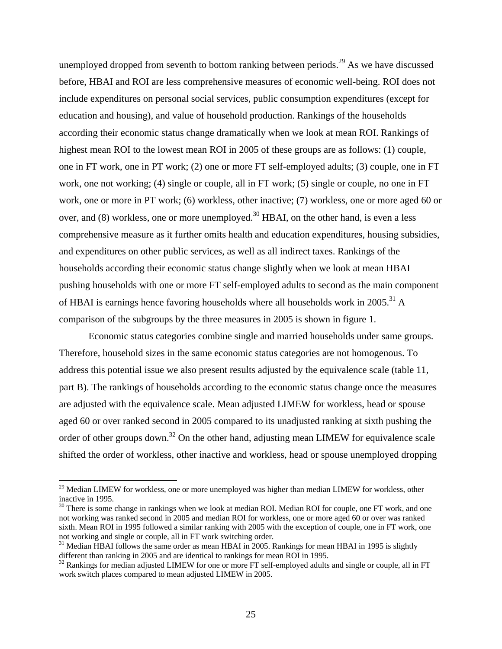unemployed dropped from seventh to bottom ranking between periods.<sup>29</sup> As we have discussed before, HBAI and ROI are less comprehensive measures of economic well-being. ROI does not include expenditures on personal social services, public consumption expenditures (except for education and housing), and value of household production. Rankings of the households according their economic status change dramatically when we look at mean ROI. Rankings of highest mean ROI to the lowest mean ROI in 2005 of these groups are as follows: (1) couple, one in FT work, one in PT work; (2) one or more FT self-employed adults; (3) couple, one in FT work, one not working; (4) single or couple, all in FT work; (5) single or couple, no one in FT work, one or more in PT work; (6) workless, other inactive; (7) workless, one or more aged 60 or over, and  $(8)$  workless, one or more unemployed.<sup>30</sup> HBAI, on the other hand, is even a less comprehensive measure as it further omits health and education expenditures, housing subsidies, and expenditures on other public services, as well as all indirect taxes. Rankings of the households according their economic status change slightly when we look at mean HBAI pushing households with one or more FT self-employed adults to second as the main component of HBAI is earnings hence favoring households where all households work in 2005.<sup>31</sup> A comparison of the subgroups by the three measures in 2005 is shown in figure 1.

Economic status categories combine single and married households under same groups. Therefore, household sizes in the same economic status categories are not homogenous. To address this potential issue we also present results adjusted by the equivalence scale (table 11, part B). The rankings of households according to the economic status change once the measures are adjusted with the equivalence scale. Mean adjusted LIMEW for workless, head or spouse aged 60 or over ranked second in 2005 compared to its unadjusted ranking at sixth pushing the order of other groups down.<sup>32</sup> On the other hand, adjusting mean LIMEW for equivalence scale shifted the order of workless, other inactive and workless, head or spouse unemployed dropping

 $^{29}$  Median LIMEW for workless, one or more unemployed was higher than median LIMEW for workless, other inactive in 1995.

 $30$  There is some change in rankings when we look at median ROI. Median ROI for couple, one FT work, and one not working was ranked second in 2005 and median ROI for workless, one or more aged 60 or over was ranked sixth. Mean ROI in 1995 followed a similar ranking with 2005 with the exception of couple, one in FT work, one not working and single or couple, all in FT work switching order.

 $31$  Median HBAI follows the same order as mean HBAI in 2005. Rankings for mean HBAI in 1995 is slightly different than ranking in 2005 and are identical to rankings for mean ROI in 1995.

 $32$  Rankings for median adjusted LIMEW for one or more FT self-employed adults and single or couple, all in FT work switch places compared to mean adjusted LIMEW in 2005.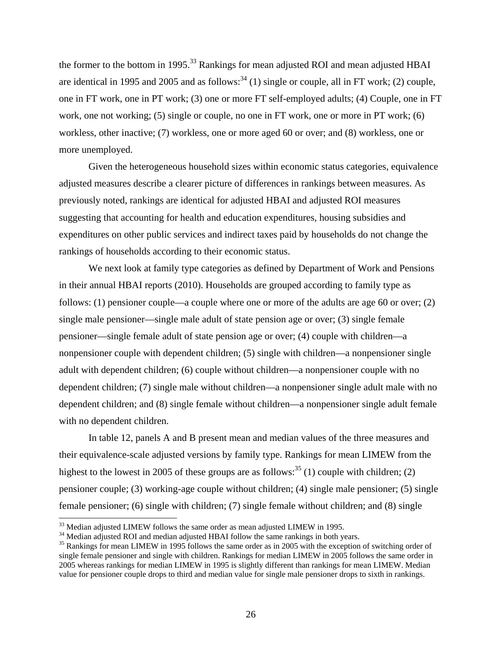the former to the bottom in 1995.<sup>33</sup> Rankings for mean adjusted ROI and mean adjusted HBAI are identical in 1995 and 2005 and as follows:  $34$  (1) single or couple, all in FT work; (2) couple, one in FT work, one in PT work; (3) one or more FT self-employed adults; (4) Couple, one in FT work, one not working; (5) single or couple, no one in FT work, one or more in PT work; (6) workless, other inactive; (7) workless, one or more aged 60 or over; and (8) workless, one or more unemployed.

Given the heterogeneous household sizes within economic status categories, equivalence adjusted measures describe a clearer picture of differences in rankings between measures. As previously noted, rankings are identical for adjusted HBAI and adjusted ROI measures suggesting that accounting for health and education expenditures, housing subsidies and expenditures on other public services and indirect taxes paid by households do not change the rankings of households according to their economic status.

We next look at family type categories as defined by Department of Work and Pensions in their annual HBAI reports (2010). Households are grouped according to family type as follows: (1) pensioner couple—a couple where one or more of the adults are age 60 or over; (2) single male pensioner—single male adult of state pension age or over; (3) single female pensioner—single female adult of state pension age or over; (4) couple with children—a nonpensioner couple with dependent children; (5) single with children—a nonpensioner single adult with dependent children; (6) couple without children—a nonpensioner couple with no dependent children; (7) single male without children—a nonpensioner single adult male with no dependent children; and (8) single female without children—a nonpensioner single adult female with no dependent children.

In table 12, panels A and B present mean and median values of the three measures and their equivalence-scale adjusted versions by family type. Rankings for mean LIMEW from the highest to the lowest in 2005 of these groups are as follows:<sup>35</sup> (1) couple with children; (2) pensioner couple; (3) working-age couple without children; (4) single male pensioner; (5) single female pensioner; (6) single with children; (7) single female without children; and (8) single

<sup>&</sup>lt;sup>33</sup> Median adjusted LIMEW follows the same order as mean adjusted LIMEW in 1995.

 $34$  Median adjusted ROI and median adjusted HBAI follow the same rankings in both years.<br> $35$  Rankings for mean LIMEW in 1995 follows the same order as in 2005 with the exception of switching order of single female pensioner and single with children. Rankings for median LIMEW in 2005 follows the same order in 2005 whereas rankings for median LIMEW in 1995 is slightly different than rankings for mean LIMEW. Median value for pensioner couple drops to third and median value for single male pensioner drops to sixth in rankings.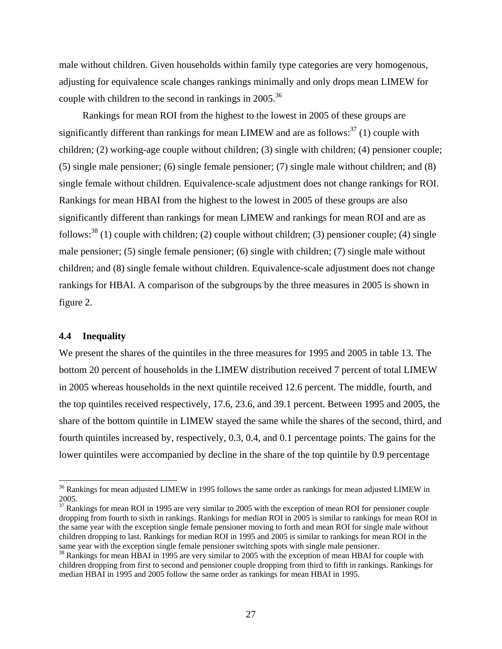male without children. Given households within family type categories are very homogenous, adjusting for equivalence scale changes rankings minimally and only drops mean LIMEW for couple with children to the second in rankings in  $2005$ .<sup>36</sup>

Rankings for mean ROI from the highest to the lowest in 2005 of these groups are significantly different than rankings for mean LIMEW and are as follows:  $37(1)$  couple with children; (2) working-age couple without children; (3) single with children; (4) pensioner couple; (5) single male pensioner; (6) single female pensioner; (7) single male without children; and (8) single female without children. Equivalence-scale adjustment does not change rankings for ROI. Rankings for mean HBAI from the highest to the lowest in 2005 of these groups are also significantly different than rankings for mean LIMEW and rankings for mean ROI and are as follows:<sup>38</sup> (1) couple with children; (2) couple without children; (3) pensioner couple; (4) single male pensioner; (5) single female pensioner; (6) single with children; (7) single male without children; and (8) single female without children. Equivalence-scale adjustment does not change rankings for HBAI. A comparison of the subgroups by the three measures in 2005 is shown in figure 2.

## **4.4 Inequality**

We present the shares of the quintiles in the three measures for 1995 and 2005 in table 13. The bottom 20 percent of households in the LIMEW distribution received 7 percent of total LIMEW in 2005 whereas households in the next quintile received 12.6 percent. The middle, fourth, and the top quintiles received respectively, 17.6, 23.6, and 39.1 percent. Between 1995 and 2005, the share of the bottom quintile in LIMEW stayed the same while the shares of the second, third, and fourth quintiles increased by, respectively, 0.3, 0.4, and 0.1 percentage points. The gains for the lower quintiles were accompanied by decline in the share of the top quintile by 0.9 percentage

<sup>&</sup>lt;sup>36</sup> Rankings for mean adjusted LIMEW in 1995 follows the same order as rankings for mean adjusted LIMEW in 2005.

<sup>&</sup>lt;sup>37</sup> Rankings for mean ROI in 1995 are very similar to 2005 with the exception of mean ROI for pensioner couple dropping from fourth to sixth in rankings. Rankings for median ROI in 2005 is similar to rankings for mean ROI in the same year with the exception single female pensioner moving to forth and mean ROI for single male without children dropping to last. Rankings for median ROI in 1995 and 2005 is similar to rankings for mean ROI in the same year with the exception single female pensioner switching spots with single male pensioner.

 $38$  Rankings for mean HBAI in 1995 are very similar to 2005 with the exception of mean HBAI for couple with children dropping from first to second and pensioner couple dropping from third to fifth in rankings. Rankings for median HBAI in 1995 and 2005 follow the same order as rankings for mean HBAI in 1995.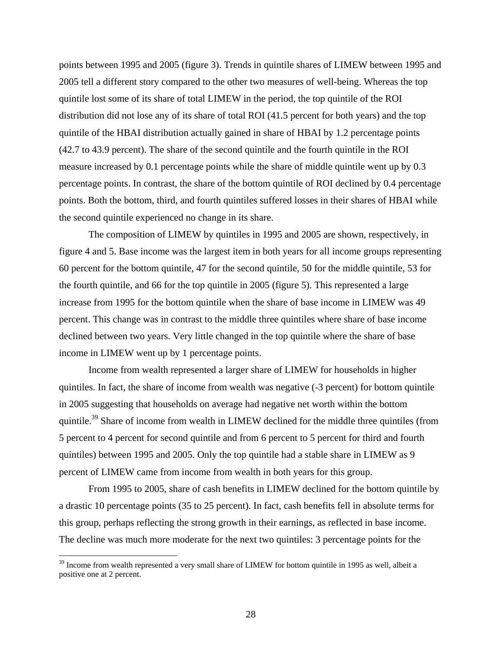points between 1995 and 2005 (figure 3). Trends in quintile shares of LIMEW between 1995 and 2005 tell a different story compared to the other two measures of well-being. Whereas the top quintile lost some of its share of total LIMEW in the period, the top quintile of the ROI distribution did not lose any of its share of total ROI (41.5 percent for both years) and the top quintile of the HBAI distribution actually gained in share of HBAI by 1.2 percentage points (42.7 to 43.9 percent). The share of the second quintile and the fourth quintile in the ROI measure increased by 0.1 percentage points while the share of middle quintile went up by 0.3 percentage points. In contrast, the share of the bottom quintile of ROI declined by 0.4 percentage points. Both the bottom, third, and fourth quintiles suffered losses in their shares of HBAI while the second quintile experienced no change in its share.

The composition of LIMEW by quintiles in 1995 and 2005 are shown, respectively, in figure 4 and 5. Base income was the largest item in both years for all income groups representing 60 percent for the bottom quintile, 47 for the second quintile, 50 for the middle quintile, 53 for the fourth quintile, and 66 for the top quintile in 2005 (figure 5). This represented a large increase from 1995 for the bottom quintile when the share of base income in LIMEW was 49 percent. This change was in contrast to the middle three quintiles where share of base income declined between two years. Very little changed in the top quintile where the share of base income in LIMEW went up by 1 percentage points.

Income from wealth represented a larger share of LIMEW for households in higher quintiles. In fact, the share of income from wealth was negative (-3 percent) for bottom quintile in 2005 suggesting that households on average had negative net worth within the bottom quintile.<sup>39</sup> Share of income from wealth in LIMEW declined for the middle three quintiles (from 5 percent to 4 percent for second quintile and from 6 percent to 5 percent for third and fourth quintiles) between 1995 and 2005. Only the top quintile had a stable share in LIMEW as 9 percent of LIMEW came from income from wealth in both years for this group.

From 1995 to 2005, share of cash benefits in LIMEW declined for the bottom quintile by a drastic 10 percentage points (35 to 25 percent). In fact, cash benefits fell in absolute terms for this group, perhaps reflecting the strong growth in their earnings, as reflected in base income. The decline was much more moderate for the next two quintiles: 3 percentage points for the

 $39$  Income from wealth represented a very small share of LIMEW for bottom quintile in 1995 as well, albeit a positive one at 2 percent.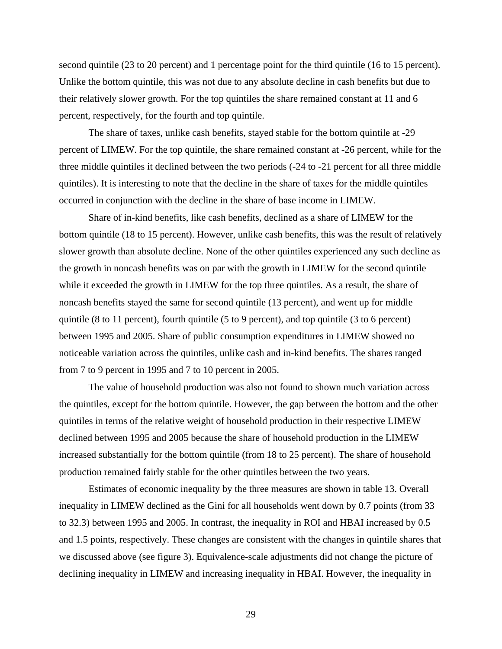second quintile (23 to 20 percent) and 1 percentage point for the third quintile (16 to 15 percent). Unlike the bottom quintile, this was not due to any absolute decline in cash benefits but due to their relatively slower growth. For the top quintiles the share remained constant at 11 and 6 percent, respectively, for the fourth and top quintile.

The share of taxes, unlike cash benefits, stayed stable for the bottom quintile at -29 percent of LIMEW. For the top quintile, the share remained constant at -26 percent, while for the three middle quintiles it declined between the two periods (-24 to -21 percent for all three middle quintiles). It is interesting to note that the decline in the share of taxes for the middle quintiles occurred in conjunction with the decline in the share of base income in LIMEW.

Share of in-kind benefits, like cash benefits, declined as a share of LIMEW for the bottom quintile (18 to 15 percent). However, unlike cash benefits, this was the result of relatively slower growth than absolute decline. None of the other quintiles experienced any such decline as the growth in noncash benefits was on par with the growth in LIMEW for the second quintile while it exceeded the growth in LIMEW for the top three quintiles. As a result, the share of noncash benefits stayed the same for second quintile (13 percent), and went up for middle quintile (8 to 11 percent), fourth quintile (5 to 9 percent), and top quintile (3 to 6 percent) between 1995 and 2005. Share of public consumption expenditures in LIMEW showed no noticeable variation across the quintiles, unlike cash and in-kind benefits. The shares ranged from 7 to 9 percent in 1995 and 7 to 10 percent in 2005.

The value of household production was also not found to shown much variation across the quintiles, except for the bottom quintile. However, the gap between the bottom and the other quintiles in terms of the relative weight of household production in their respective LIMEW declined between 1995 and 2005 because the share of household production in the LIMEW increased substantially for the bottom quintile (from 18 to 25 percent). The share of household production remained fairly stable for the other quintiles between the two years.

Estimates of economic inequality by the three measures are shown in table 13. Overall inequality in LIMEW declined as the Gini for all households went down by 0.7 points (from 33 to 32.3) between 1995 and 2005. In contrast, the inequality in ROI and HBAI increased by 0.5 and 1.5 points, respectively. These changes are consistent with the changes in quintile shares that we discussed above (see figure 3). Equivalence-scale adjustments did not change the picture of declining inequality in LIMEW and increasing inequality in HBAI. However, the inequality in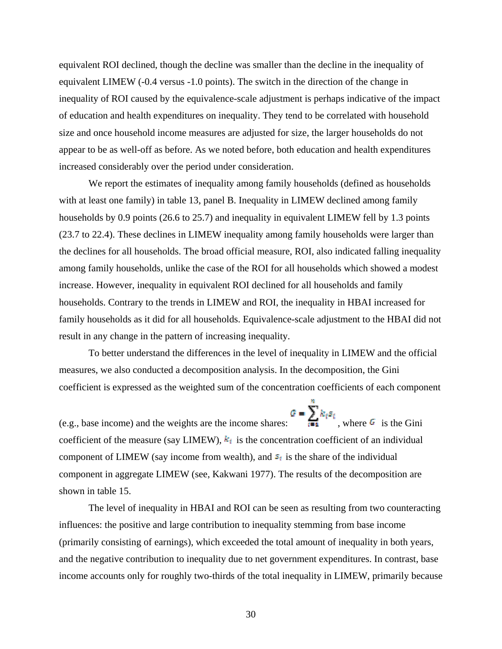equivalent ROI declined, though the decline was smaller than the decline in the inequality of equivalent LIMEW (-0.4 versus -1.0 points). The switch in the direction of the change in inequality of ROI caused by the equivalence-scale adjustment is perhaps indicative of the impact of education and health expenditures on inequality. They tend to be correlated with household size and once household income measures are adjusted for size, the larger households do not appear to be as well-off as before. As we noted before, both education and health expenditures increased considerably over the period under consideration.

We report the estimates of inequality among family households (defined as households with at least one family) in table 13, panel B. Inequality in LIMEW declined among family households by 0.9 points (26.6 to 25.7) and inequality in equivalent LIMEW fell by 1.3 points (23.7 to 22.4). These declines in LIMEW inequality among family households were larger than the declines for all households. The broad official measure, ROI, also indicated falling inequality among family households, unlike the case of the ROI for all households which showed a modest increase. However, inequality in equivalent ROI declined for all households and family households. Contrary to the trends in LIMEW and ROI, the inequality in HBAI increased for family households as it did for all households. Equivalence-scale adjustment to the HBAI did not result in any change in the pattern of increasing inequality.

To better understand the differences in the level of inequality in LIMEW and the official measures, we also conducted a decomposition analysis. In the decomposition, the Gini coefficient is expressed as the weighted sum of the concentration coefficients of each component

(e.g., base income) and the weights are the income shares:  $\frac{G - \sum_{i=1}^{n} k_i s_i}{n}$ , where G is the Gini coefficient of the measure (say LIMEW),  $k_i$  is the concentration coefficient of an individual component of LIMEW (say income from wealth), and  $s_i$  is the share of the individual component in aggregate LIMEW (see, Kakwani 1977). The results of the decomposition are shown in table 15.

The level of inequality in HBAI and ROI can be seen as resulting from two counteracting influences: the positive and large contribution to inequality stemming from base income (primarily consisting of earnings), which exceeded the total amount of inequality in both years, and the negative contribution to inequality due to net government expenditures. In contrast, base income accounts only for roughly two-thirds of the total inequality in LIMEW, primarily because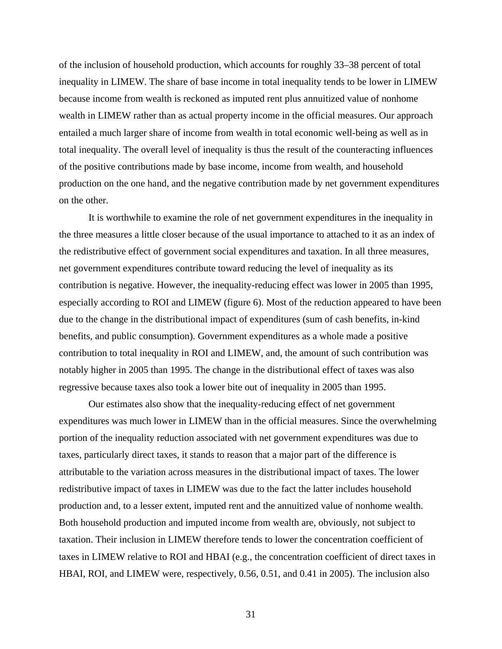of the inclusion of household production, which accounts for roughly 33–38 percent of total inequality in LIMEW. The share of base income in total inequality tends to be lower in LIMEW because income from wealth is reckoned as imputed rent plus annuitized value of nonhome wealth in LIMEW rather than as actual property income in the official measures. Our approach entailed a much larger share of income from wealth in total economic well-being as well as in total inequality. The overall level of inequality is thus the result of the counteracting influences of the positive contributions made by base income, income from wealth, and household production on the one hand, and the negative contribution made by net government expenditures on the other.

It is worthwhile to examine the role of net government expenditures in the inequality in the three measures a little closer because of the usual importance to attached to it as an index of the redistributive effect of government social expenditures and taxation. In all three measures, net government expenditures contribute toward reducing the level of inequality as its contribution is negative. However, the inequality-reducing effect was lower in 2005 than 1995, especially according to ROI and LIMEW (figure 6). Most of the reduction appeared to have been due to the change in the distributional impact of expenditures (sum of cash benefits, in-kind benefits, and public consumption). Government expenditures as a whole made a positive contribution to total inequality in ROI and LIMEW, and, the amount of such contribution was notably higher in 2005 than 1995. The change in the distributional effect of taxes was also regressive because taxes also took a lower bite out of inequality in 2005 than 1995.

Our estimates also show that the inequality-reducing effect of net government expenditures was much lower in LIMEW than in the official measures. Since the overwhelming portion of the inequality reduction associated with net government expenditures was due to taxes, particularly direct taxes, it stands to reason that a major part of the difference is attributable to the variation across measures in the distributional impact of taxes. The lower redistributive impact of taxes in LIMEW was due to the fact the latter includes household production and, to a lesser extent, imputed rent and the annuitized value of nonhome wealth. Both household production and imputed income from wealth are, obviously, not subject to taxation. Their inclusion in LIMEW therefore tends to lower the concentration coefficient of taxes in LIMEW relative to ROI and HBAI (e.g., the concentration coefficient of direct taxes in HBAI, ROI, and LIMEW were, respectively, 0.56, 0.51, and 0.41 in 2005). The inclusion also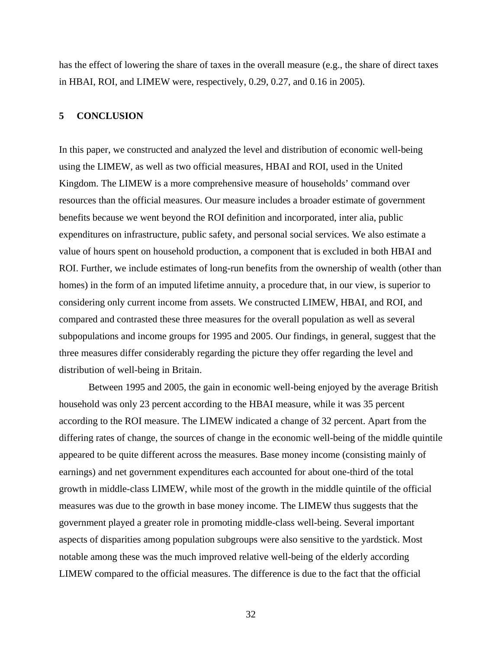has the effect of lowering the share of taxes in the overall measure (e.g., the share of direct taxes in HBAI, ROI, and LIMEW were, respectively, 0.29, 0.27, and 0.16 in 2005).

## **5 CONCLUSION**

In this paper, we constructed and analyzed the level and distribution of economic well-being using the LIMEW, as well as two official measures, HBAI and ROI, used in the United Kingdom. The LIMEW is a more comprehensive measure of households' command over resources than the official measures. Our measure includes a broader estimate of government benefits because we went beyond the ROI definition and incorporated, inter alia, public expenditures on infrastructure, public safety, and personal social services. We also estimate a value of hours spent on household production, a component that is excluded in both HBAI and ROI. Further, we include estimates of long-run benefits from the ownership of wealth (other than homes) in the form of an imputed lifetime annuity, a procedure that, in our view, is superior to considering only current income from assets. We constructed LIMEW, HBAI, and ROI, and compared and contrasted these three measures for the overall population as well as several subpopulations and income groups for 1995 and 2005. Our findings, in general, suggest that the three measures differ considerably regarding the picture they offer regarding the level and distribution of well-being in Britain.

Between 1995 and 2005, the gain in economic well-being enjoyed by the average British household was only 23 percent according to the HBAI measure, while it was 35 percent according to the ROI measure. The LIMEW indicated a change of 32 percent. Apart from the differing rates of change, the sources of change in the economic well-being of the middle quintile appeared to be quite different across the measures. Base money income (consisting mainly of earnings) and net government expenditures each accounted for about one-third of the total growth in middle-class LIMEW, while most of the growth in the middle quintile of the official measures was due to the growth in base money income. The LIMEW thus suggests that the government played a greater role in promoting middle-class well-being. Several important aspects of disparities among population subgroups were also sensitive to the yardstick. Most notable among these was the much improved relative well-being of the elderly according LIMEW compared to the official measures. The difference is due to the fact that the official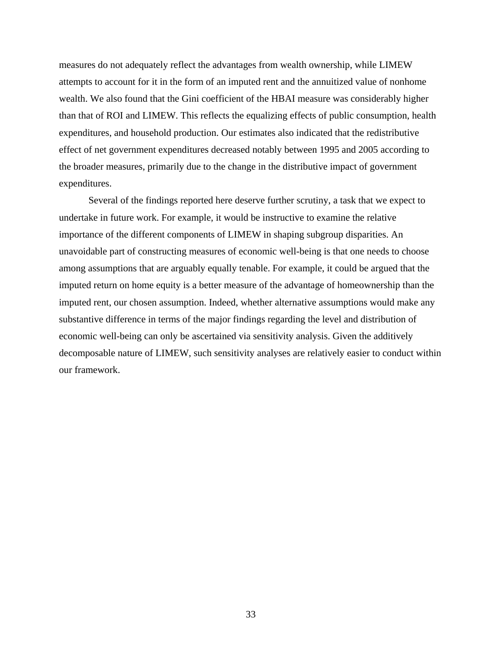measures do not adequately reflect the advantages from wealth ownership, while LIMEW attempts to account for it in the form of an imputed rent and the annuitized value of nonhome wealth. We also found that the Gini coefficient of the HBAI measure was considerably higher than that of ROI and LIMEW. This reflects the equalizing effects of public consumption, health expenditures, and household production. Our estimates also indicated that the redistributive effect of net government expenditures decreased notably between 1995 and 2005 according to the broader measures, primarily due to the change in the distributive impact of government expenditures.

Several of the findings reported here deserve further scrutiny, a task that we expect to undertake in future work. For example, it would be instructive to examine the relative importance of the different components of LIMEW in shaping subgroup disparities. An unavoidable part of constructing measures of economic well-being is that one needs to choose among assumptions that are arguably equally tenable. For example, it could be argued that the imputed return on home equity is a better measure of the advantage of homeownership than the imputed rent, our chosen assumption. Indeed, whether alternative assumptions would make any substantive difference in terms of the major findings regarding the level and distribution of economic well-being can only be ascertained via sensitivity analysis. Given the additively decomposable nature of LIMEW, such sensitivity analyses are relatively easier to conduct within our framework.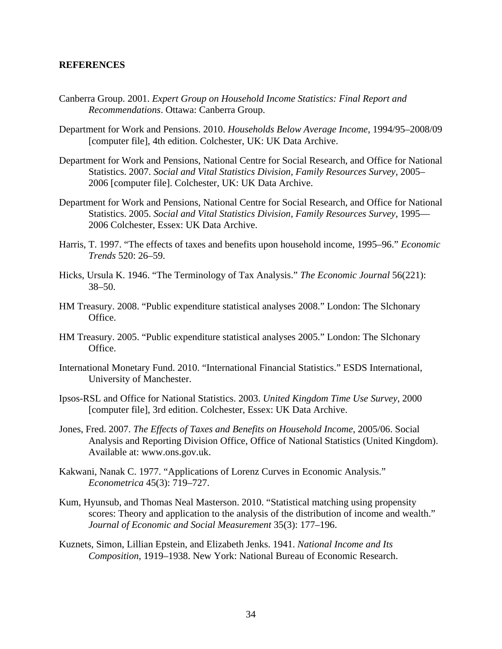## **REFERENCES**

- Canberra Group. 2001. *Expert Group on Household Income Statistics: Final Report and Recommendations*. Ottawa: Canberra Group.
- Department for Work and Pensions. 2010. *Households Below Average Income*, 1994/95–2008/09 [computer file], 4th edition. Colchester, UK: UK Data Archive.
- Department for Work and Pensions, National Centre for Social Research, and Office for National Statistics. 2007. *Social and Vital Statistics Division, Family Resources Survey*, 2005– 2006 [computer file]. Colchester, UK: UK Data Archive.
- Department for Work and Pensions, National Centre for Social Research, and Office for National Statistics. 2005. *Social and Vital Statistics Division, Family Resources Survey*, 1995— 2006 Colchester, Essex: UK Data Archive.
- Harris, T. 1997. "The effects of taxes and benefits upon household income, 1995–96." *Economic Trends* 520: 26–59.
- Hicks, Ursula K. 1946. "The Terminology of Tax Analysis." *The Economic Journal* 56(221): 38–50.
- HM Treasury. 2008. "Public expenditure statistical analyses 2008." London: The Slchonary Office.
- HM Treasury. 2005. "Public expenditure statistical analyses 2005." London: The Slchonary Office.
- International Monetary Fund. 2010. "International Financial Statistics." ESDS International, University of Manchester.
- Ipsos-RSL and Office for National Statistics. 2003. *United Kingdom Time Use Survey*, 2000 [computer file], 3rd edition. Colchester, Essex: UK Data Archive.
- Jones, Fred. 2007. *The Effects of Taxes and Benefits on Household Income*, 2005/06. Social Analysis and Reporting Division Office, Office of National Statistics (United Kingdom). Available at: www.ons.gov.uk.
- Kakwani, Nanak C. 1977. "Applications of Lorenz Curves in Economic Analysis." *Econometrica* 45(3): 719–727.
- Kum, Hyunsub, and Thomas Neal Masterson. 2010. "Statistical matching using propensity scores: Theory and application to the analysis of the distribution of income and wealth." *Journal of Economic and Social Measurement* 35(3): 177–196.
- Kuznets, Simon, Lillian Epstein, and Elizabeth Jenks. 1941. *National Income and Its Composition*, 1919–1938. New York: National Bureau of Economic Research.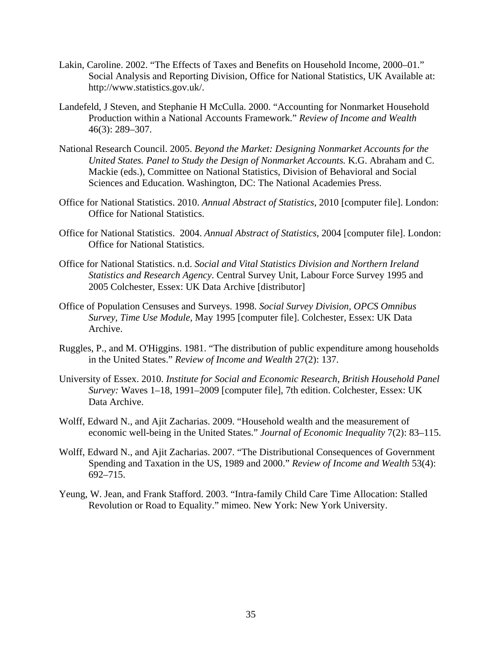- Lakin, Caroline. 2002. "The Effects of Taxes and Benefits on Household Income, 2000–01." Social Analysis and Reporting Division, Office for National Statistics, UK Available at: http://www.statistics.gov.uk/.
- Landefeld, J Steven, and Stephanie H McCulla. 2000. "Accounting for Nonmarket Household Production within a National Accounts Framework." *Review of Income and Wealth* 46(3): 289–307.
- National Research Council. 2005. *Beyond the Market: Designing Nonmarket Accounts for the United States. Panel to Study the Design of Nonmarket Accounts.* K.G. Abraham and C. Mackie (eds.), Committee on National Statistics, Division of Behavioral and Social Sciences and Education. Washington, DC: The National Academies Press.
- Office for National Statistics. 2010. *Annual Abstract of Statistics*, 2010 [computer file]. London: Office for National Statistics.
- Office for National Statistics. 2004. *Annual Abstract of Statistics*, 2004 [computer file]. London: Office for National Statistics.
- Office for National Statistics. n.d. *Social and Vital Statistics Division and Northern Ireland Statistics and Research Agency*. Central Survey Unit, Labour Force Survey 1995 and 2005 Colchester, Essex: UK Data Archive [distributor]
- Office of Population Censuses and Surveys. 1998. *Social Survey Division, OPCS Omnibus Survey, Time Use Module*, May 1995 [computer file]. Colchester, Essex: UK Data Archive.
- Ruggles, P., and M. O'Higgins. 1981. "The distribution of public expenditure among households in the United States." *Review of Income and Wealth* 27(2): 137.
- University of Essex. 2010. *Institute for Social and Economic Research, British Household Panel Survey:* Waves 1–18, 1991–2009 [computer file], 7th edition. Colchester, Essex: UK Data Archive.
- Wolff, Edward N., and Ajit Zacharias. 2009. "Household wealth and the measurement of economic well-being in the United States." *Journal of Economic Inequality* 7(2): 83–115.
- Wolff, Edward N., and Ajit Zacharias. 2007. "The Distributional Consequences of Government Spending and Taxation in the US, 1989 and 2000." *Review of Income and Wealth* 53(4): 692–715.
- Yeung, W. Jean, and Frank Stafford. 2003. "Intra-family Child Care Time Allocation: Stalled Revolution or Road to Equality." mimeo. New York: New York University.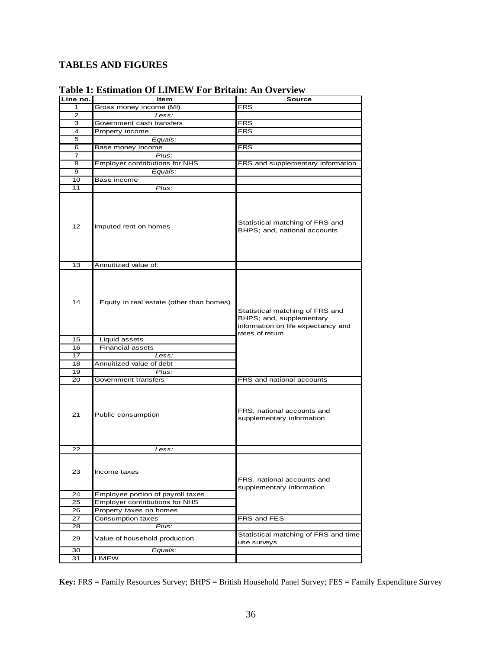## **TABLES AND FIGURES**

| Line no.        | <b>Item</b>                              | <b>Source</b>                                                                                                        |
|-----------------|------------------------------------------|----------------------------------------------------------------------------------------------------------------------|
| 1               | Gross money income (MI)                  | <b>FRS</b>                                                                                                           |
| 2               | Less:                                    |                                                                                                                      |
| 3               | Government cash transfers                | <b>FRS</b>                                                                                                           |
| 4               | Property income                          | <b>FRS</b>                                                                                                           |
| 5               | Equals:                                  |                                                                                                                      |
| 6               | Base money income                        | <b>FRS</b>                                                                                                           |
| 7               | Plus:                                    |                                                                                                                      |
|                 |                                          |                                                                                                                      |
| 8               | Employer contributions for NHS           | FRS and supplementary information                                                                                    |
| 9               | Equals:                                  |                                                                                                                      |
| 10              | Base income                              |                                                                                                                      |
| 11              | $\overline{Plus}$ :                      |                                                                                                                      |
| 12 <sup>2</sup> | Imputed rent on homes                    | Statistical matching of FRS and<br>BHPS; and, national accounts                                                      |
| 13              | Annuitized value of:                     |                                                                                                                      |
| 14              | Equity in real estate (other than homes) | Statistical matching of FRS and<br>BHPS; and, supplementary<br>information on life expectancy and<br>rates of return |
| 15              | Liquid assets                            |                                                                                                                      |
| 16              | <b>Financial assets</b>                  |                                                                                                                      |
| 17              | Less:                                    |                                                                                                                      |
| 18              | Annuitized value of debt                 |                                                                                                                      |
| 19              | Plus:                                    |                                                                                                                      |
| 20              | Government transfers                     | FRS and national accounts                                                                                            |
| 21              | Public consumption                       | FRS, national accounts and<br>supplementary information                                                              |
| 22              | Less:                                    |                                                                                                                      |
| 23              | Income taxes                             | FRS, national accounts and<br>supplementary information                                                              |
| 24              | Employee portion of payroll taxes        |                                                                                                                      |
| 25              | <b>Employer contributions for NHS</b>    |                                                                                                                      |
| 26              | Property taxes on homes                  |                                                                                                                      |
| 27              | <b>Consumption taxes</b>                 | FRS and FES                                                                                                          |
| 28              | Plus:                                    |                                                                                                                      |
| 29              | Value of household production            | Statistical matching of FRS and time-<br>use surveys                                                                 |
| 30              | Equals:                                  |                                                                                                                      |
| 31              | <b>LIMEW</b>                             |                                                                                                                      |
|                 |                                          |                                                                                                                      |

## **Table 1: Estimation Of LIMEW For Britain: An Overview**

**Key:** FRS = Family Resources Survey; BHPS = British Household Panel Survey; FES = Family Expenditure Survey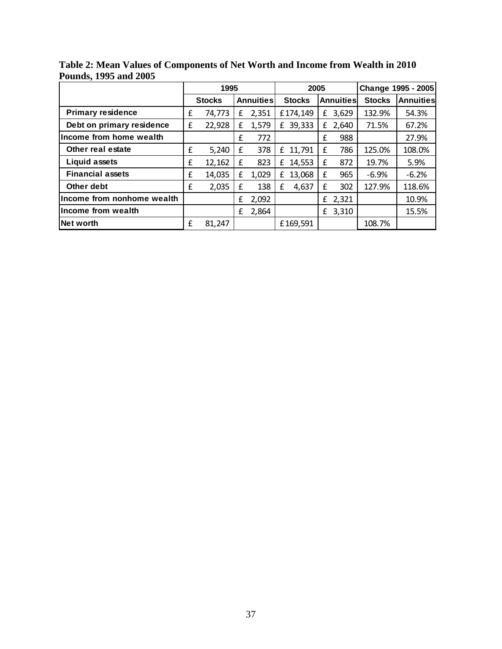|                            | 1995 |               |   |                  | 2005 |               |              |                  | Change 1995 - 2005 |           |  |
|----------------------------|------|---------------|---|------------------|------|---------------|--------------|------------------|--------------------|-----------|--|
|                            |      | <b>Stocks</b> |   | <b>Annuities</b> |      | <b>Stocks</b> |              | <b>Annuities</b> | <b>Stocks</b>      | Annuities |  |
| <b>Primary residence</b>   | £    | 74,773        | £ | 2,351            |      | £174,149      | £            | 3,629            | 132.9%             | 54.3%     |  |
| Debt on primary residence  | £    | 22,928        | £ | 1,579            | £    | 39,333        | £            | 2,640            | 71.5%              | 67.2%     |  |
| Income from home wealth    |      |               | £ | 772              |      |               | f            | 988              |                    | 27.9%     |  |
| Other real estate          | £    | 5,240         | £ | 378              | £    | 11,791        | $\mathbf{f}$ | 786              | 125.0%             | 108.0%    |  |
| <b>Liquid assets</b>       | £    | 12,162        | £ | 823              | £    | 14,553        | $\mathbf{f}$ | 872              | 19.7%              | 5.9%      |  |
| <b>Financial assets</b>    | £    | 14,035        | £ | 1,029            | £    | 13,068        | £            | 965              | $-6.9%$            | $-6.2%$   |  |
| Other debt                 | £    | 2,035         | £ | 138              | £    | 4,637         | £            | 302              | 127.9%             | 118.6%    |  |
| Income from nonhome wealth |      |               | £ | 2,092            |      |               |              | £ 2,321          |                    | 10.9%     |  |
| Income from wealth         |      |               | £ | 2,864            |      |               | £            | 3,310            |                    | 15.5%     |  |
| Net worth                  | £    | 81,247        |   |                  |      | £169,591      |              |                  | 108.7%             |           |  |

**Table 2: Mean Values of Components of Net Worth and Income from Wealth in 2010 Pounds, 1995 and 2005**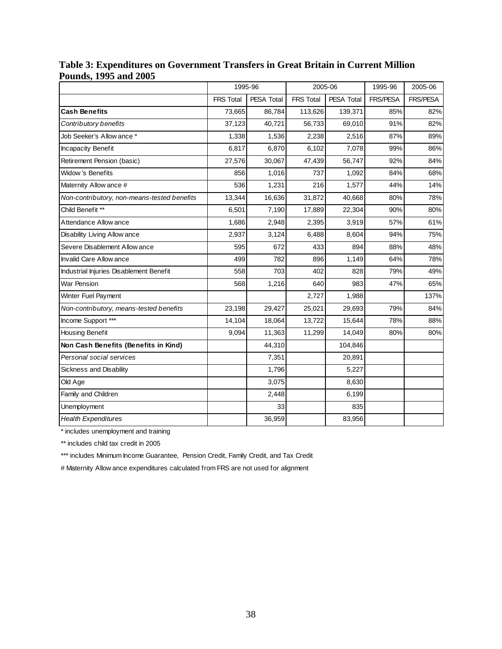|                                             | 1995-96          |                   | 2005-06          |                   | 1995-96         | 2005-06         |
|---------------------------------------------|------------------|-------------------|------------------|-------------------|-----------------|-----------------|
|                                             | <b>FRS Total</b> | <b>PESA Total</b> | <b>FRS Total</b> | <b>PESA Total</b> | <b>FRS/PESA</b> | <b>FRS/PESA</b> |
| <b>Cash Benefits</b>                        | 73,665           | 86,784            | 113,626          | 139,371           | 85%             | 82%             |
| Contributory benefits                       | 37,123           | 40,721            | 56,733           | 69,010            | 91%             | 82%             |
| Job Seeker's Allow ance *                   | 1,338            | 1,536             | 2,238            | 2,516             | 87%             | 89%             |
| <b>Incapacity Benefit</b>                   | 6,817            | 6,870             | 6,102            | 7,078             | 99%             | 86%             |
| Retirement Pension (basic)                  | 27,576           | 30,067            | 47,439           | 56,747            | 92%             | 84%             |
| Widow's Benefits                            | 856              | 1,016             | 737              | 1,092             | 84%             | 68%             |
| Maternity Allow ance #                      | 536              | 1,231             | 216              | 1,577             | 44%             | 14%             |
| Non-contributory, non-means-tested benefits | 13,344           | 16,636            | 31,872           | 40,668            | 80%             | 78%             |
| Child Benefit **                            | 6,501            | 7,190             | 17,889           | 22,304            | 90%             | 80%             |
| Attendance Allow ance                       | 1,686            | 2,948             | 2,395            | 3,919             | 57%             | 61%             |
| Disability Living Allow ance                | 2,937            | 3,124             | 6,488            | 8,604             | 94%             | 75%             |
| Severe Disablement Allow ance               | 595              | 672               | 433              | 894               | 88%             | 48%             |
| <b>Invalid Care Allow ance</b>              | 499              | 782               | 896              | 1,149             | 64%             | 78%             |
| Industrial Injuries Disablement Benefit     | 558              | 703               | 402              | 828               | 79%             | 49%             |
| <b>War Pension</b>                          | 568              | 1,216             | 640              | 983               | 47%             | 65%             |
| Winter Fuel Payment                         |                  |                   | 2,727            | 1,988             |                 | 137%            |
| Non-contributory, means-tested benefits     | 23,198           | 29,427            | 25,021           | 29,693            | 79%             | 84%             |
| Income Support ***                          | 14,104           | 18,064            | 13,722           | 15,644            | 78%             | 88%             |
| <b>Housing Benefit</b>                      | 9,094            | 11,363            | 11,299           | 14,049            | 80%             | 80%             |
| Non Cash Benefits (Benefits in Kind)        |                  | 44,310            |                  | 104,846           |                 |                 |
| Personal social services                    |                  | 7,351             |                  | 20,891            |                 |                 |
| Sickness and Disability                     |                  | 1,796             |                  | 5,227             |                 |                 |
| Old Age                                     |                  | 3,075             |                  | 8,630             |                 |                 |
| Family and Children                         |                  | 2,448             |                  | 6,199             |                 |                 |
| Unemployment                                |                  | 33                |                  | 835               |                 |                 |
| <b>Health Expenditures</b>                  |                  | 36,959            |                  | 83,956            |                 |                 |

**Table 3: Expenditures on Government Transfers in Great Britain in Current Million Pounds, 1995 and 2005** 

\* includes unemployment and training

\*\* includes child tax credit in 2005

\*\*\* includes Minimum Income Guarantee, Pension Credit, Family Credit, and Tax Credit

# Maternity Allow ance expenditures calculated from FRS are not used for alignment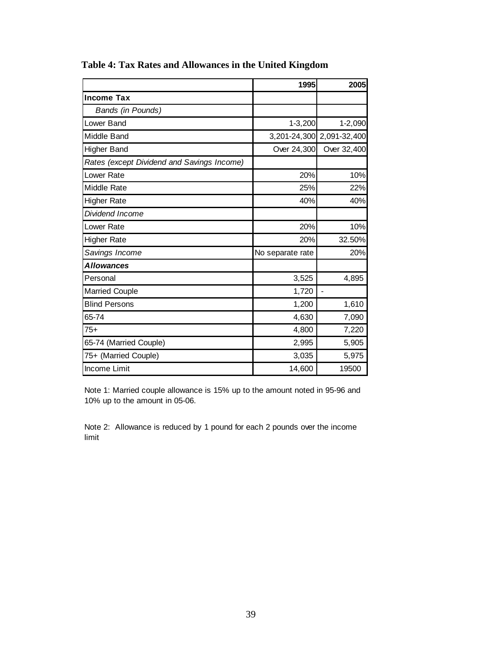|                                            | 1995             | 2005                      |
|--------------------------------------------|------------------|---------------------------|
| <b>Income Tax</b>                          |                  |                           |
| Bands (in Pounds)                          |                  |                           |
| Lower Band                                 | $1 - 3,200$      | 1-2,090                   |
| Middle Band                                |                  | 3,201-24,300 2,091-32,400 |
| <b>Higher Band</b>                         | Over 24,300      | Over 32,400               |
| Rates (except Dividend and Savings Income) |                  |                           |
| Lower Rate                                 | 20%              | 10%                       |
| <b>Middle Rate</b>                         | 25%              | 22%                       |
| <b>Higher Rate</b>                         | 40%              | 40%                       |
| Dividend Income                            |                  |                           |
| Lower Rate                                 | 20%              | 10%                       |
| <b>Higher Rate</b>                         | 20%              | 32.50%                    |
| Savings Income                             | No separate rate | 20%                       |
| <b>Allowances</b>                          |                  |                           |
| Personal                                   | 3,525            | 4,895                     |
| <b>Married Couple</b>                      | 1,720            | $\overline{a}$            |
| <b>Blind Persons</b>                       | 1,200            | 1,610                     |
| 65-74                                      | 4,630            | 7,090                     |
| $75+$                                      | 4,800            | 7,220                     |
| 65-74 (Married Couple)                     | 2,995            | 5,905                     |
| 75+ (Married Couple)                       | 3,035            | 5,975                     |
| <b>Income Limit</b>                        | 14,600           | 19500                     |

**Table 4: Tax Rates and Allowances in the United Kingdom** 

Note 1: Married couple allowance is 15% up to the amount noted in 95-96 and 10% up to the amount in 05-06.

Note 2: Allowance is reduced by 1 pound for each 2 pounds over the income limit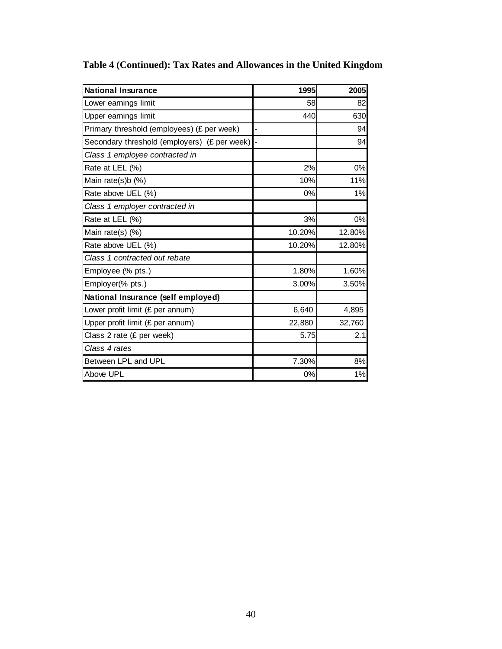| <b>National Insurance</b>                    | 1995   | 2005   |
|----------------------------------------------|--------|--------|
| Lower earnings limit                         | 58     | 82     |
| Upper earnings limit                         | 440    | 630    |
| Primary threshold (employees) (£ per week)   |        | 94     |
| Secondary threshold (employers) (£ per week) |        | 94     |
| Class 1 employee contracted in               |        |        |
| Rate at LEL (%)                              | 2%     | 0%     |
| Main rate(s)b (%)                            | 10%    | 11%    |
| Rate above UEL (%)                           | 0%     | 1%     |
| Class 1 employer contracted in               |        |        |
| Rate at LEL (%)                              | 3%     | 0%     |
| Main rate(s) (%)                             | 10.20% | 12.80% |
| Rate above UEL (%)                           | 10.20% | 12.80% |
| Class 1 contracted out rebate                |        |        |
| Employee (% pts.)                            | 1.80%  | 1.60%  |
| Employer(% pts.)                             | 3.00%  | 3.50%  |
| National Insurance (self employed)           |        |        |
| Lower profit limit (£ per annum)             | 6,640  | 4,895  |
| Upper profit limit (£ per annum)             | 22,880 | 32,760 |
| Class 2 rate (£ per week)                    | 5.75   | 2.1    |
| Class 4 rates                                |        |        |
| Between LPL and UPL                          | 7.30%  | 8%     |
| Above UPL                                    | 0%     | 1%     |

# **Table 4 (Continued): Tax Rates and Allowances in the United Kingdom**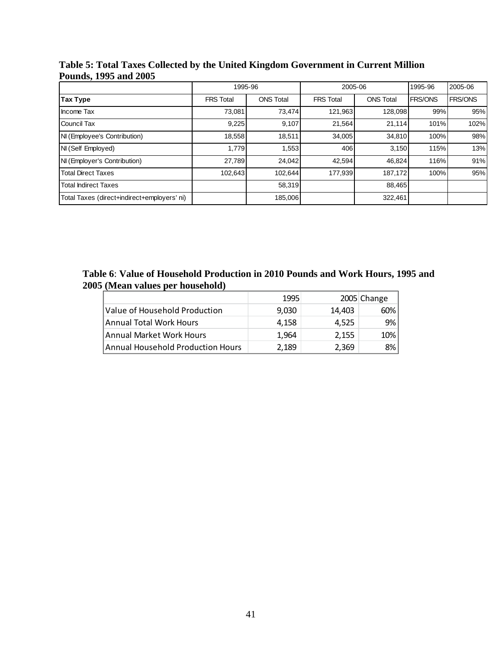| 1 Julius, 1779 and 2009                     |                  |                  |                  |                  |                |                |  |  |  |  |
|---------------------------------------------|------------------|------------------|------------------|------------------|----------------|----------------|--|--|--|--|
|                                             | 1995-96          |                  | 2005-06          |                  | 1995-96        | 2005-06        |  |  |  |  |
| Tax Type                                    | <b>FRS Total</b> | <b>ONS Total</b> | <b>FRS Total</b> | <b>ONS Total</b> | <b>FRS/ONS</b> | <b>FRS/ONS</b> |  |  |  |  |
| Income Tax                                  | 73,081           | 73,474           | 121,963          | 128,098          | 99%            | 95%            |  |  |  |  |
| <b>Council Tax</b>                          | 9,225            | 9,107            | 21.564           | 21.114           | 101%           | 102%           |  |  |  |  |
| NI (Employee's Contribution)                | 18,558           | 18,511           | 34.005           | 34,810           | 100%           | 98%            |  |  |  |  |
| NI (Self Employed)                          | 1,779            | 1,553            | 406              | 3,150            | 115%           | 13%            |  |  |  |  |
| NI (Employer's Contribution)                | 27,789           | 24,042           | 42,594           | 46.824           | 116%           | 91%            |  |  |  |  |
| <b>Total Direct Taxes</b>                   | 102,643          | 102,644          | 177,939          | 187,172          | 100%           | 95%            |  |  |  |  |
| <b>Total Indirect Taxes</b>                 |                  | 58,319           |                  | 88,465           |                |                |  |  |  |  |
| Total Taxes (direct+indirect+employers' ni) |                  | 185,006          |                  | 322,461          |                |                |  |  |  |  |

**Table 5: Total Taxes Collected by the United Kingdom Government in Current Million Pounds, 1995 and 2005** 

**Table 6**: **Value of Household Production in 2010 Pounds and Work Hours, 1995 and 2005 (Mean values per household)** 

|                                   | 1995  |        | 2005 Change |
|-----------------------------------|-------|--------|-------------|
| Value of Household Production     | 9,030 | 14.403 | 60%         |
| Annual Total Work Hours           | 4.158 | 4.525  | 9%          |
| Annual Market Work Hours          | 1.964 | 2,155  | 10%         |
| Annual Household Production Hours | 2,189 | 2,369  | 8%          |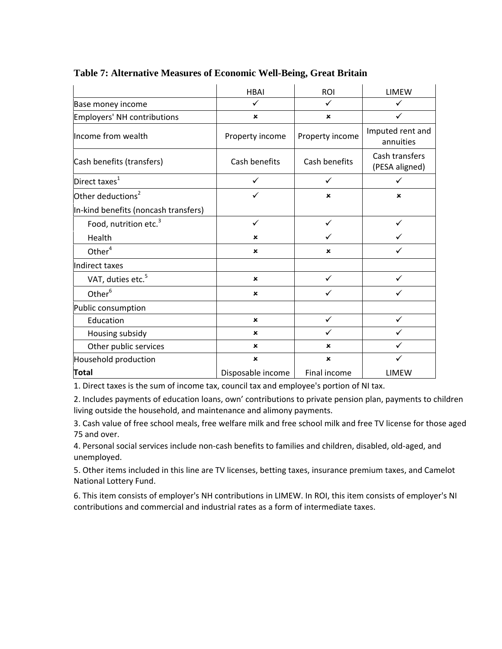|                                      | <b>HBAI</b>               | <b>ROI</b>      | <b>LIMEW</b>                     |
|--------------------------------------|---------------------------|-----------------|----------------------------------|
| Base money income                    | $\checkmark$              | ✓               | $\checkmark$                     |
| Employers' NH contributions          | $\pmb{\times}$            | $\pmb{\times}$  | $\checkmark$                     |
| Income from wealth                   | Property income           | Property income | Imputed rent and<br>annuities    |
| Cash benefits (transfers)            | Cash benefits             | Cash benefits   | Cash transfers<br>(PESA aligned) |
| Direct taxes $1$                     | ✓                         | ✓               | ✓                                |
| Other deductions <sup>2</sup>        | $\checkmark$              | $\pmb{\times}$  | $\pmb{\times}$                   |
| In-kind benefits (noncash transfers) |                           |                 |                                  |
| Food, nutrition etc. <sup>3</sup>    | $\checkmark$              | $\checkmark$    | ✓                                |
| Health                               | $\pmb{\times}$            | ✓               | ✓                                |
| Other $4$                            | ×                         | ×               | ✓                                |
| Indirect taxes                       |                           |                 |                                  |
| VAT, duties etc. <sup>5</sup>        | ×                         | ✓               | ✓                                |
| Other <sup>6</sup>                   | ×                         | ✓               | ✓                                |
| Public consumption                   |                           |                 |                                  |
| Education                            | $\boldsymbol{\mathsf{x}}$ | $\checkmark$    | $\checkmark$                     |
| Housing subsidy                      | ×                         | ✓               | ✓                                |
| Other public services                | ×                         | $\pmb{\times}$  | ✓                                |
| Household production                 | ×                         | $\pmb{\times}$  | $\checkmark$                     |
| Total                                | Disposable income         | Final income    | <b>LIMEW</b>                     |

### **Table 7: Alternative Measures of Economic Well-Being, Great Britain**

1. Direct taxes is the sum of income tax, council tax and employee's portion of NI tax.

2. Includes payments of education loans, own' contributions to private pension plan, payments to children living outside the household, and maintenance and alimony payments.

3. Cash value of free school meals, free welfare milk and free school milk and free TV license for those aged 75 and over.

4. Personal social services include non‐cash benefits to families and children, disabled, old‐aged, and unemployed.

5. Other items included in this line are TV licenses, betting taxes, insurance premium taxes, and Camelot National Lottery Fund.

6. This item consists of employer's NH contributions in LIMEW. In ROI, this item consists of employer's NI contributions and commercial and industrial rates as a form of intermediate taxes.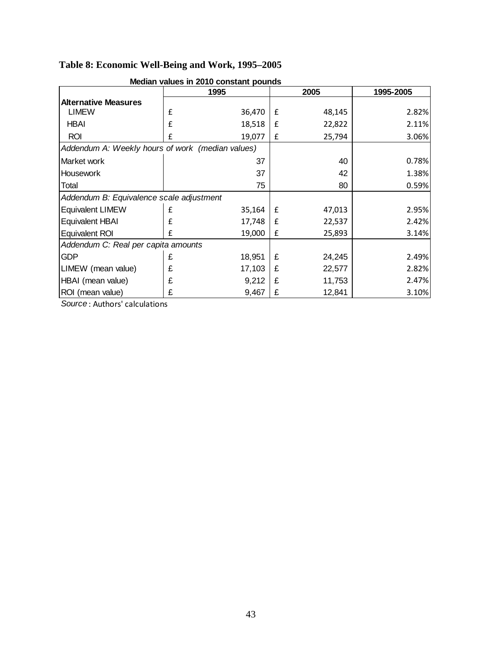# **Table 8: Economic Well-Being and Work, 1995–2005**

|                                                  | 1995 |        |   | 2005   | 1995-2005 |  |
|--------------------------------------------------|------|--------|---|--------|-----------|--|
| <b>Alternative Measures</b>                      |      |        |   |        |           |  |
| <b>LIMEW</b>                                     | £    | 36,470 | £ | 48,145 | 2.82%     |  |
| <b>HBAI</b>                                      | £    | 18,518 | £ | 22,822 | 2.11%     |  |
| <b>ROI</b>                                       | £    | 19,077 | £ | 25,794 | 3.06%     |  |
| Addendum A: Weekly hours of work (median values) |      |        |   |        |           |  |
| Market work                                      |      | 37     |   | 40     | 0.78%     |  |
| Housework                                        |      | 37     |   | 42     | 1.38%     |  |
| Total                                            |      | 75     |   | 80     | 0.59%     |  |
| Addendum B: Equivalence scale adjustment         |      |        |   |        |           |  |
| <b>Equivalent LIMEW</b>                          | £    | 35,164 | £ | 47,013 | 2.95%     |  |
| <b>Equivalent HBAI</b>                           | £    | 17,748 | £ | 22,537 | 2.42%     |  |
| Equivalent ROI                                   | £    | 19,000 | £ | 25,893 | 3.14%     |  |
| Addendum C: Real per capita amounts              |      |        |   |        |           |  |
| <b>GDP</b>                                       | £    | 18,951 | £ | 24,245 | 2.49%     |  |
| LIMEW (mean value)                               | £    | 17,103 | £ | 22,577 | 2.82%     |  |
| HBAI (mean value)                                | £    | 9,212  | £ | 11,753 | 2.47%     |  |
| ROI (mean value)                                 | £    | 9,467  | £ | 12,841 | 3.10%     |  |

### **Median values in 2010 constant pounds**

*Source* : Authors' calculations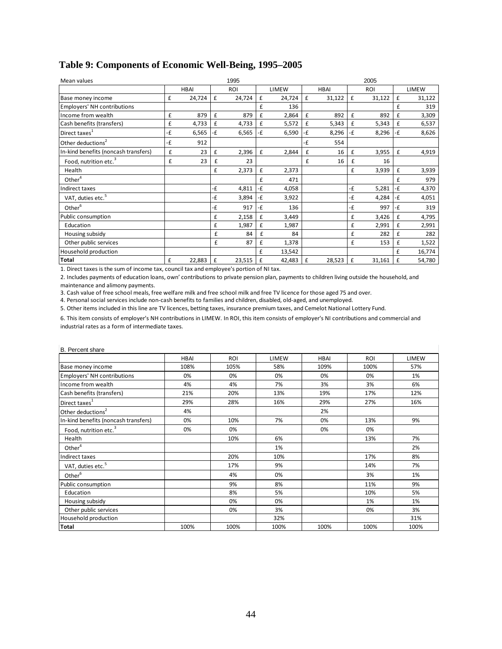| Mean values                          |    |             |    | 1995   |    |        |    |             |    | 2005       |    |        |
|--------------------------------------|----|-------------|----|--------|----|--------|----|-------------|----|------------|----|--------|
|                                      |    | <b>HBAI</b> |    | ROI    |    | LIMEW  |    | <b>HBAI</b> |    | <b>ROI</b> |    | LIMEW  |
| Base money income                    | £  | 24,724      | £  | 24,724 | £  | 24,724 | £  | 31,122      | £  | 31,122     | £  | 31,122 |
| <b>Employers' NH contributions</b>   |    |             |    |        | £  | 136    |    |             |    |            | £  | 319    |
| Income from wealth                   | £  | 879         | £  | 879    | £  | 2,864  | £  | 892         | £  | 892        | £  | 3,309  |
| Cash benefits (transfers)            | £  | 4,733       | £  | 4,733  | £  | 5,572  | £  | 5,343       | £  | 5,343      | £  | 6,537  |
| Direct taxes <sup>1</sup>            | -£ | 6,565       | -£ | 6,565  | -£ | 6,590  | -£ | 8,296       | -£ | 8,296      | -£ | 8,626  |
| Other deductions <sup>2</sup>        | -£ | 912         |    |        |    |        | -£ | 554         |    |            |    |        |
| In-kind benefits (noncash transfers) | £  | 23          | £  | 2,396  | £  | 2,844  | £  | 16          | £  | 3,955      | £  | 4,919  |
| Food, nutrition etc. <sup>3</sup>    | £  | 23          | £  | 23     |    |        | £  | 16          | £  | 16         |    |        |
| Health                               |    |             | £  | 2,373  | £  | 2,373  |    |             | £  | 3,939      | £  | 3,939  |
| Other $4$                            |    |             |    |        | £  | 471    |    |             |    |            | £  | 979    |
| Indirect taxes                       |    |             | -£ | 4,811  | -£ | 4,058  |    |             | -£ | 5,281      | -£ | 4,370  |
| VAT, duties etc. <sup>5</sup>        |    |             | -£ | 3,894  | -£ | 3,922  |    |             | -£ | 4,284      | -£ | 4,051  |
| Other <sup>6</sup>                   |    |             | -£ | 917    | -£ | 136    |    |             | -£ | 997        | -£ | 319    |
| Public consumption                   |    |             | £  | 2,158  | £  | 3,449  |    |             | £  | 3,426      | £  | 4,795  |
| Education                            |    |             | £  | 1,987  | £  | 1,987  |    |             | £  | 2,991      | £  | 2,991  |
| Housing subsidy                      |    |             | £  | 84     | £  | 84     |    |             | £  | 282        | £  | 282    |
| Other public services                |    |             | £  | 87     | £  | 1,378  |    |             | £  | 153        | £  | 1,522  |
| Household production                 |    |             |    |        | £  | 13,542 |    |             |    |            | £  | 16,774 |
| Total                                | £  | 22,883      | £  | 23,515 | £  | 42,483 | £  | 28,523      | £  | 31,161     | £  | 54,780 |

## **Table 9: Components of Economic Well-Being, 1995–2005**

1. Direct taxes is the sum of income tax, council tax and employee's portion of NI tax.

2. Includes payments of education loans, own' contributions to private pension plan, payments to children living outside the household, and maintenance and alimony payments.

3. Cash value of free school meals, free welfare milk and free school milk and free TV licence for those aged 75 and over.

4. Personal social services include non‐cash benefits to families and children, disabled, old‐aged, and unemployed.

5. Other items included in this line are TV licences, betting taxes, insurance premium taxes, and Cemelot National Lottery Fund.

6. This item consists of employer's NH contributions in LIMEW. In ROI, this item consists of employer's NI contributions and commercial and industrial rates as a form of intermediate taxes.

| B. Percent share                     |             |            |              |             |      |       |
|--------------------------------------|-------------|------------|--------------|-------------|------|-------|
|                                      | <b>HBAI</b> | <b>ROI</b> | <b>LIMEW</b> | <b>HBAI</b> | ROI  | LIMEW |
| Base money income                    | 108%        | 105%       | 58%          | 109%        | 100% | 57%   |
| <b>Employers' NH contributions</b>   | 0%          | 0%         | 0%           | 0%          | 0%   | 1%    |
| Income from wealth                   | 4%          | 4%         | 7%           | 3%          | 3%   | 6%    |
| Cash benefits (transfers)            | 21%         | 20%        | 13%          | 19%         | 17%  | 12%   |
| Direct taxes <sup>1</sup>            | 29%         | 28%        | 16%          | 29%         | 27%  | 16%   |
| Other deductions <sup>2</sup>        | 4%          |            |              | 2%          |      |       |
| In-kind benefits (noncash transfers) | 0%          | 10%        | 7%           | 0%          | 13%  | 9%    |
| Food, nutrition etc. <sup>3</sup>    | 0%          | 0%         |              | 0%          | 0%   |       |
| Health                               |             | 10%        | 6%           |             | 13%  | 7%    |
| Other $4$                            |             |            | 1%           |             |      | 2%    |
| Indirect taxes                       |             | 20%        | 10%          |             | 17%  | 8%    |
| VAT, duties etc. <sup>5</sup>        |             | 17%        | 9%           |             | 14%  | 7%    |
| Other <sup>6</sup>                   |             | 4%         | 0%           |             | 3%   | 1%    |
| Public consumption                   |             | 9%         | 8%           |             | 11%  | 9%    |
| Education                            |             | 8%         | 5%           |             | 10%  | 5%    |
| Housing subsidy                      |             | 0%         | 0%           |             | 1%   | 1%    |
| Other public services                |             | 0%         | 3%           |             | 0%   | 3%    |
| Household production                 |             |            | 32%          |             |      | 31%   |
| <b>Total</b>                         | 100%        | 100%       | 100%         | 100%        | 100% | 100%  |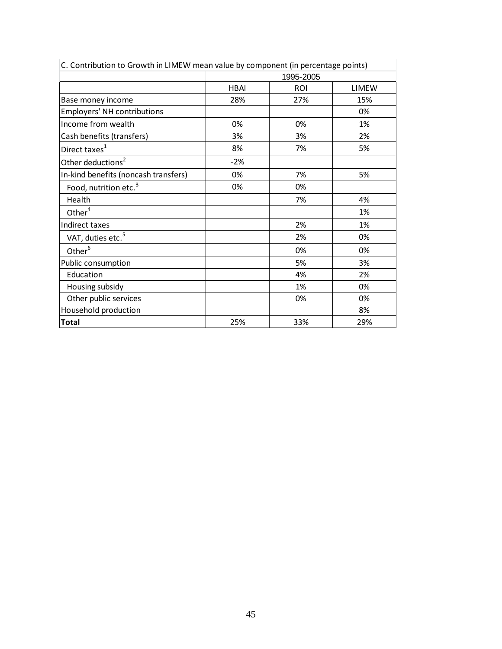| C. Contribution to Growth in LIMEW mean value by component (in percentage points) |             |            |              |  |  |  |  |
|-----------------------------------------------------------------------------------|-------------|------------|--------------|--|--|--|--|
|                                                                                   | 1995-2005   |            |              |  |  |  |  |
|                                                                                   | <b>HBAI</b> | <b>ROI</b> | <b>LIMEW</b> |  |  |  |  |
| Base money income                                                                 | 28%         | 27%        | 15%          |  |  |  |  |
| <b>Employers' NH contributions</b>                                                |             |            | 0%           |  |  |  |  |
| Income from wealth                                                                | 0%          | 0%         | 1%           |  |  |  |  |
| Cash benefits (transfers)                                                         | 3%          | 3%         | 2%           |  |  |  |  |
| Direct taxes <sup>1</sup>                                                         | 8%          | 7%         | 5%           |  |  |  |  |
| Other deductions <sup>2</sup>                                                     | $-2%$       |            |              |  |  |  |  |
| In-kind benefits (noncash transfers)                                              | 0%          | 7%         | 5%           |  |  |  |  |
| Food, nutrition etc. <sup>3</sup>                                                 | 0%          | 0%         |              |  |  |  |  |
| Health                                                                            |             | 7%         | 4%           |  |  |  |  |
| Other <sup>4</sup>                                                                |             |            | 1%           |  |  |  |  |
| Indirect taxes                                                                    |             | 2%         | 1%           |  |  |  |  |
| VAT, duties etc. <sup>5</sup>                                                     |             | 2%         | 0%           |  |  |  |  |
| Other <sup>6</sup>                                                                |             | 0%         | 0%           |  |  |  |  |
| Public consumption                                                                |             | 5%         | 3%           |  |  |  |  |
| Education                                                                         |             | 4%         | 2%           |  |  |  |  |
| Housing subsidy                                                                   |             | 1%         | 0%           |  |  |  |  |
| Other public services                                                             |             | 0%         | 0%           |  |  |  |  |
| Household production                                                              |             |            | 8%           |  |  |  |  |
| <b>Total</b>                                                                      | 25%         | 33%        | 29%          |  |  |  |  |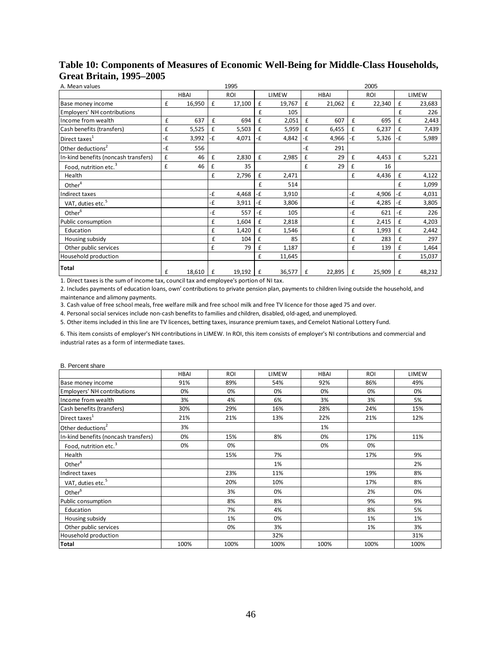| A. Mean values                       |    |             |    | 1995   |    |        |    |             |              | 2005       |      |        |
|--------------------------------------|----|-------------|----|--------|----|--------|----|-------------|--------------|------------|------|--------|
|                                      |    | <b>HBAI</b> |    | ROI    |    | LIMEW  |    | <b>HBAI</b> |              | <b>ROI</b> |      | LIMEW  |
| Base money income                    | £  | 16,950      | £  | 17,100 | £  | 19,767 | £  | 21,062      | $\mathbf{f}$ | 22,340     | £    | 23,683 |
| Employers' NH contributions          |    |             |    |        | £  | 105    |    |             |              |            | £    | 226    |
| Income from wealth                   | £  | 637         | £  | 694    | £  | 2,051  | £  | 607         | £            | 695        | £    | 2,443  |
| Cash benefits (transfers)            | £  | 5,525       | £  | 5,503  | £  | 5,959  | £  | 6,455       | £            | 6,237      | £    | 7,439  |
| Direct taxes <sup>1</sup>            | ٠£ | 3,992       | -£ | 4,071  | ٠£ | 4,842  | -£ | 4,966       | -£           | 5,326      | $-E$ | 5,989  |
| Other deductions <sup>2</sup>        | -£ | 556         |    |        |    |        | -£ | 291         |              |            |      |        |
| In-kind benefits (noncash transfers) | £  | 46          | £  | 2,830  | £  | 2,985  | £  | 29          | £            | 4,453      | £    | 5,221  |
| Food, nutrition etc. <sup>3</sup>    | £  | 46          | £  | 35     |    |        | £  | 29          | £            | 16         |      |        |
| Health                               |    |             | £  | 2,796  | £  | 2,471  |    |             | £            | 4,436      | £    | 4,122  |
| Other <sup>4</sup>                   |    |             |    |        | £  | 514    |    |             |              |            | £    | 1,099  |
| Indirect taxes                       |    |             | -£ | 4,468  | -£ | 3,910  |    |             | -£           | 4,906      | -£   | 4,031  |
| VAT, duties etc. <sup>5</sup>        |    |             | -£ | 3,911  | ٠£ | 3,806  |    |             | -£           | 4,285      | -£   | 3,805  |
| Other <sup>6</sup>                   |    |             | -£ | 557    | -£ | 105    |    |             | -£           | 621        | $-E$ | 226    |
| Public consumption                   |    |             | £  | 1,604  | £  | 2,818  |    |             | £            | 2,415      | £    | 4,203  |
| Education                            |    |             | £  | 1,420  | £  | 1,546  |    |             | £            | 1,993      | £    | 2,442  |
| Housing subsidy                      |    |             | £  | 104    | £  | 85     |    |             | £            | 283        | £    | 297    |
| Other public services                |    |             | £  | 79     | £  | 1,187  |    |             | £            | 139        | £    | 1,464  |
| Household production                 |    |             |    |        | £  | 11,645 |    |             |              |            | £    | 15,037 |
| Total                                | £  | 18,610      | £  | 19,192 | £  | 36,577 | £  | 22,895      | $\mathbf f$  | 25,909     | £    | 48,232 |

## **Table 10: Components of Measures of Economic Well-Being for Middle-Class Households, Great Britain, 1995–2005**

1. Direct taxes is the sum of income tax, council tax and employee's portion of NI tax.

2. Includes payments of education loans, own' contributions to private pension plan, payments to children living outside the household, and maintenance and alimony payments.

3. Cash value of free school meals, free welfare milk and free school milk and free TV licence for those aged 75 and over.

4. Personal social services include non‐cash benefits to families and children, disabled, old‐aged, and unemployed.

5. Other items included in this line are TV licences, betting taxes, insurance premium taxes, and Cemelot National Lottery Fund.

6. This item consists of employer's NH contributions in LIMEW. In ROI, this item consists of employer's NI contributions and commercial and industrial rates as a form of intermediate taxes.

#### B. Percent share

|                                      | <b>HBAI</b> | <b>ROI</b> | LIMEW | <b>HBAI</b> | <b>ROI</b> | LIMEW |
|--------------------------------------|-------------|------------|-------|-------------|------------|-------|
| Base money income                    | 91%         | 89%        | 54%   | 92%         | 86%        | 49%   |
| <b>Employers' NH contributions</b>   | 0%          | 0%         | 0%    | 0%          | 0%         | 0%    |
| Income from wealth                   | 3%          | 4%         | 6%    | 3%          | 3%         | 5%    |
| Cash benefits (transfers)            | 30%         | 29%        | 16%   | 28%         | 24%        | 15%   |
| Direct taxes <sup>1</sup>            | 21%         | 21%        | 13%   | 22%         | 21%        | 12%   |
| Other deductions <sup>2</sup>        | 3%          |            |       | 1%          |            |       |
| In-kind benefits (noncash transfers) | 0%          | 15%        | 8%    | 0%          | 17%        | 11%   |
| Food, nutrition etc. <sup>3</sup>    | 0%          | 0%         |       | 0%          | 0%         |       |
| Health                               |             | 15%        | 7%    |             | 17%        | 9%    |
| Other $4$                            |             |            | 1%    |             |            | 2%    |
| Indirect taxes                       |             | 23%        | 11%   |             | 19%        | 8%    |
| VAT, duties etc. <sup>5</sup>        |             | 20%        | 10%   |             | 17%        | 8%    |
| Other <sup>6</sup>                   |             | 3%         | 0%    |             | 2%         | 0%    |
| Public consumption                   |             | 8%         | 8%    |             | 9%         | 9%    |
| Education                            |             | 7%         | 4%    |             | 8%         | 5%    |
| Housing subsidy                      |             | 1%         | 0%    |             | 1%         | 1%    |
| Other public services                |             | 0%         | 3%    |             | 1%         | 3%    |
| Household production                 |             |            | 32%   |             |            | 31%   |
| Total                                | 100%        | 100%       | 100%  | 100%        | 100%       | 100%  |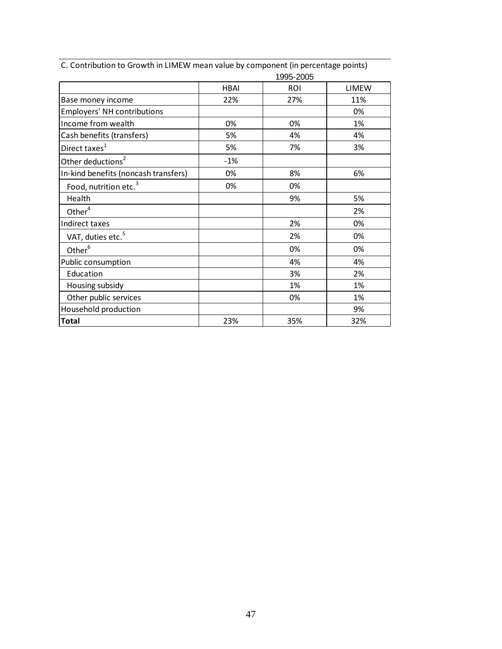|                                      |             | 1995-2005  |              |
|--------------------------------------|-------------|------------|--------------|
|                                      | <b>HBAI</b> | <b>ROI</b> | <b>LIMEW</b> |
| Base money income                    | 22%         | 27%        | 11%          |
| <b>Employers' NH contributions</b>   |             |            | 0%           |
| Income from wealth                   | 0%          | 0%         | 1%           |
| Cash benefits (transfers)            | 5%          | 4%         | 4%           |
| Direct taxes <sup>1</sup>            | 5%          | 7%         | 3%           |
| Other deductions <sup>2</sup>        | $-1%$       |            |              |
| In-kind benefits (noncash transfers) | 0%          | 8%         | 6%           |
| Food, nutrition etc. <sup>3</sup>    | 0%          | 0%         |              |
| Health                               |             | 9%         | 5%           |
| Other <sup>4</sup>                   |             |            | 2%           |
| Indirect taxes                       |             | 2%         | 0%           |
| VAT, duties etc. <sup>5</sup>        |             | 2%         | 0%           |
| Other <sup>6</sup>                   |             | 0%         | 0%           |
| Public consumption                   |             | 4%         | 4%           |
| Education                            |             | 3%         | 2%           |
| Housing subsidy                      |             | 1%         | 1%           |
| Other public services                |             | 0%         | 1%           |
| Household production                 |             |            | 9%           |
| <b>Total</b>                         | 23%         | 35%        | 32%          |

C. Contribution to Growth in LIMEW mean value by component (in percentage points)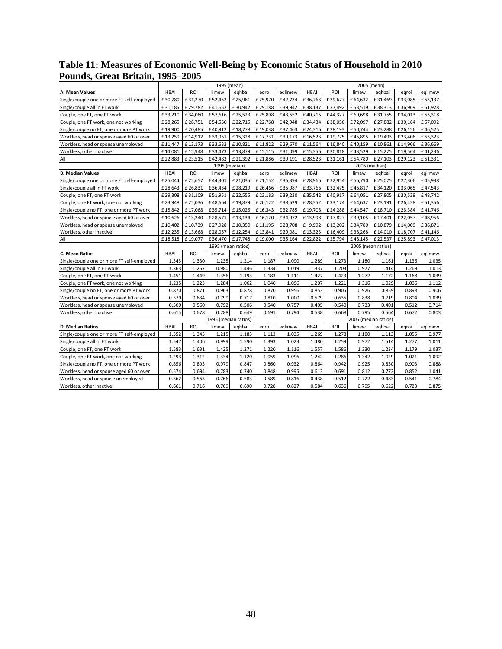### **Table 11: Measures of Economic Well-Being by Economic Status of Household in 2010 Pounds, Great Britain, 1995–2005**

|                                            |             |         | 1995 (mean)          |         |         |         |             |            |                      | 2005 (mean) |         |         |  |
|--------------------------------------------|-------------|---------|----------------------|---------|---------|---------|-------------|------------|----------------------|-------------|---------|---------|--|
| A. Mean Values                             | <b>HBAI</b> | ROI     | limew                | eghbai  | egroi   | eglimew | <b>HBAI</b> | <b>ROI</b> | limew                | eqhbai      | egroi   | eglimew |  |
| Single/couple one or more FT self-employed | £30,780     | £31,270 | £52,452              | £25,961 | £25,970 | £42,734 | £36,763     | £39,677    | £64,632              | £31,469     | £33,085 | £53,137 |  |
| Single/couple all in FT work               | £31,185     | £29,782 | £41,652              | £30,942 | £29,188 | £39,942 | £38,137     | £37,492    | £53,519              | £38,313     | £36,969 | £51,978 |  |
| Couple, one FT, one PT work                | £33,210     | £34,080 | £57,616              | £25,523 | £25,898 | £43,552 | £40,715     | £44,327    | £69,698              | £31,755     | £34,013 | £53,318 |  |
| Couple, one FT work, one not working       | £28,265     | £28,751 | £54,550              | £22,715 | £22,768 | £42,948 | £34,434     | £38,056    | £72,097              | £27,882     | £30,164 | £57,092 |  |
| Single/couple no FT, one or more PT work   | £19,900     | £20,485 | £40,912              | £18,778 | £19,038 | £37,463 | £24,316     | £28,193    | £50,744              | £23,288     | £26,156 | £46,525 |  |
| Workless, head or spouse aged 60 or over   | £13,259     | £14,912 | £33,951              | £15,328 | £17,731 | £39,173 | £16,523     | £19,775    | £45,895              | £19,493     | £23,406 | £53,323 |  |
| Workless, head or spouse unemployed        | £11,447     | £13,173 | £33,632              | £10,821 | £11,822 | £29,670 | £11,564     | £16,840    | £40,159              | £10,861     | £14,906 | £36,669 |  |
| Workless, other inactive                   | £14,081     | £15,948 | £33,473              | £13,879 | £15,115 | £31,099 | £15,356     | £20,818    | £43,529              | £15,275     | £19,564 | £41,236 |  |
| All                                        | £22,883     | £23,515 | £42,483              | £21,392 | £21,886 | £39,191 | £28,523     | £31,161    | £54,780              | £ 27,103    | £29,123 | £51,331 |  |
|                                            |             |         | 1995 (median)        |         |         |         |             |            | 2005 (median)        |             |         |         |  |
| <b>B. Median Values</b>                    | <b>HBAI</b> | ROI     | limew                | eqhbai  | egroi   | eglimew | <b>HBAI</b> | <b>ROI</b> | limew                | eqhbai      | egroi   | eglimew |  |
| Single/couple one or more FT self-employed | £25.044     | £25,657 | £44,301              | £21,035 | £21,152 | £36,394 | £28,966     | £32,954    | £56.790              | £25,075     | £27,306 | £45.938 |  |
| Single/couple all in FT work               | £28,643     | £26,831 | £36,434              | £28,219 | £26,466 | £35,987 | £33,766     | £32,475    | £46,817              | £34,120     | £33,065 | £47,543 |  |
| Couple, one FT, one PT work                | £29,308     | £31.109 | £51,951              | £22.555 | £23,183 | £39,230 | £35.542     | £40,917    | £64,051              | £27,805     | £30.539 | £48.742 |  |
| Couple, one FT work, one not working       | £23,948     | £25,036 | £48,664              | £19,879 | £20,122 | £38,529 | £28,352     | £33,174    | £64,632              | £23,191     | £26,438 | £51,356 |  |
| Single/couple no FT, one or more PT work   | £15,842     | £17,068 | £35,714              | £15,025 | £16,343 | £32,785 | £19,708     | £24,288    | £44,547              | £18,710     | £23,384 | £41,746 |  |
| Workless, head or spouse aged 60 or over   | £10,626     | £13,240 | £28,571              | £13,134 | £16,120 | £34,972 | £13,998     | £17,827    | £39,105              | £17,401     | £22,057 | £48,956 |  |
| Workless, head or spouse unemployed        | £10,402     | £10,739 | £27,928              | £10,350 | £11,195 | £28,708 | £ 9,992     | £13,202    | £34,780              | £10,879     | £14,009 | £36,871 |  |
| Workless, other inactive                   | £12,235     | £13,668 | £28,057              | £12,254 | £13,841 | £29,081 | £13,323     | £16,409    | £38,268              | £14,010     | £18,707 | £41,146 |  |
| All                                        | £18,518     | £19,077 | £36,470              | £17,748 | £19,000 | £35,164 | £22,822     | £25,794    | £48,145              | £22,537     | £25,893 | £47,013 |  |
|                                            |             |         | 1995 (mean ratios)   |         |         |         |             |            | 2005 (mean ratios)   |             |         |         |  |
| C. Mean Ratios                             | <b>HBAI</b> | ROI     | limew                | eghbai  | egroi   | eglimew | <b>HBAI</b> | ROI        | limew                | eghbai      | egroi   | eglimew |  |
| Single/couple one or more FT self-employed | 1.345       | 1.330   | 1.235                | 1.214   | 1.187   | 1.090   | 1.289       | 1.273      | 1.180                | 1.161       | 1.136   | 1.035   |  |
| Single/couple all in FT work               | 1.363       | 1.267   | 0.980                | 1.446   | 1.334   | 1.019   | 1.337       | 1.203      | 0.977                | 1.414       | 1.269   | 1.013   |  |
| Couple, one FT, one PT work                | 1.451       | 1.449   | 1.356                | 1.193   | 1.183   | 1.111   | 1.427       | 1.423      | 1.272                | 1.172       | 1.168   | 1.039   |  |
| Couple, one FT work, one not working       | 1.235       | 1.223   | 1.284                | 1.062   | 1.040   | 1.096   | 1.207       | 1.221      | 1.316                | 1.029       | 1.036   | 1.112   |  |
| Single/couple no FT, one or more PT work   | 0.870       | 0.871   | 0.963                | 0.878   | 0.870   | 0.956   | 0.853       | 0.905      | 0.926                | 0.859       | 0.898   | 0.906   |  |
| Workless, head or spouse aged 60 or over   | 0.579       | 0.634   | 0.799                | 0.717   | 0.810   | 1.000   | 0.579       | 0.635      | 0.838                | 0.719       | 0.804   | 1.039   |  |
| Workless, head or spouse unemployed        | 0.500       | 0.560   | 0.792                | 0.506   | 0.540   | 0.757   | 0.405       | 0.540      | 0.733                | 0.401       | 0.512   | 0.714   |  |
| Workless, other inactive                   | 0.615       | 0.678   | 0.788                | 0.649   | 0.691   | 0.794   | 0.538       | 0.668      | 0.795                | 0.564       | 0.672   | 0.803   |  |
|                                            |             |         | 1995 (median ratios) |         |         |         |             |            | 2005 (median ratios) |             |         |         |  |
| <b>D. Median Ratios</b>                    | <b>HBAI</b> | ROI     | limew                | eghbai  | egroi   | eglimew | <b>HBAI</b> | <b>ROI</b> | limew                | eghbai      | egroi   | eglimew |  |
| Single/couple one or more FT self-employed | 1.352       | 1.345   | 1.215                | 1.185   | 1.113   | 1.035   | 1.269       | 1.278      | 1.180                | 1.113       | 1.055   | 0.977   |  |
| Single/couple all in FT work               | 1.547       | 1.406   | 0.999                | 1.590   | 1.393   | 1.023   | 1.480       | 1.259      | 0.972                | 1.514       | 1.277   | 1.011   |  |
| Couple, one FT, one PT work                | 1.583       | 1.631   | 1.425                | 1.271   | 1.220   | 1.116   | 1.557       | 1.586      | 1.330                | 1.234       | 1.179   | 1.037   |  |
| Couple, one FT work, one not working       | 1.293       | 1.312   | 1.334                | 1.120   | 1.059   | 1.096   | 1.242       | 1.286      | 1.342                | 1.029       | 1.021   | 1.092   |  |
| Single/couple no FT, one or more PT work   | 0.856       | 0.895   | 0.979                | 0.847   | 0.860   | 0.932   | 0.864       | 0.942      | 0.925                | 0.830       | 0.903   | 0.888   |  |
| Workless, head or spouse aged 60 or over   | 0.574       | 0.694   | 0.783                | 0.740   | 0.848   | 0.995   | 0.613       | 0.691      | 0.812                | 0.772       | 0.852   | 1.041   |  |
| Workless, head or spouse unemployed        | 0.562       | 0.563   | 0.766                | 0.583   | 0.589   | 0.816   | 0.438       | 0.512      | 0.722                | 0.483       | 0.541   | 0.784   |  |
| Workless, other inactive                   | 0.661       | 0.716   | 0.769                | 0.690   | 0.728   | 0.827   | 0.584       | 0.636      | 0.795                | 0.622       | 0.723   | 0.875   |  |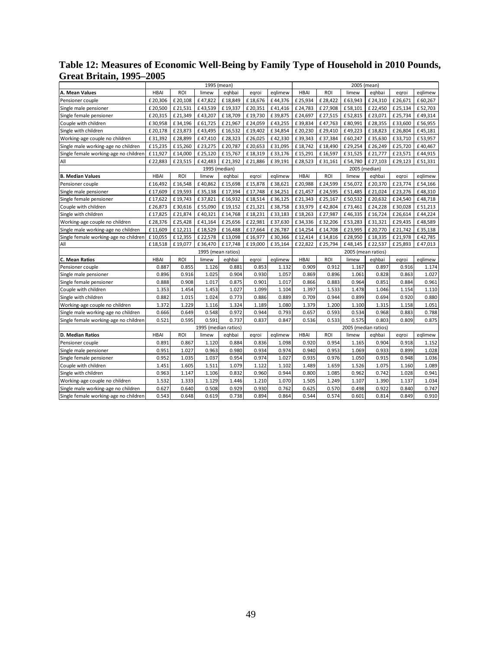### **Table 12: Measures of Economic Well-Being by Family Type of Household in 2010 Pounds, Great Britain, 1995–2005**

|                                       |             |            | 1995 (mean)          |         |         |         |             |            | 2005 (mean)          |         |         |         |
|---------------------------------------|-------------|------------|----------------------|---------|---------|---------|-------------|------------|----------------------|---------|---------|---------|
| A. Mean Values                        | <b>HBAI</b> | <b>ROI</b> | limew                | eqhbai  | egroi   | eqlimew | <b>HBAI</b> | ROI        | limew                | eqhbai  | egroi   | eqlimew |
| Pensioner couple                      | £20,306     | £20,108    | £47,822              | £18,849 | £18,676 | £44,376 | £25,934     | £28,422    | £63,943              | £24,310 | £26,671 | £60,267 |
| Single male pensioner                 | £20,500     | £21,531    | £43,539              | £19,337 | £20,351 | £41,416 | £24,783     | £27,908    | £58,101              | £22,450 | £25,134 | £52,703 |
| Single female pensioner               | £20,315     | £21,349    | £43,207              | £18,709 | £19,730 | £39,875 | £24,697     | £27,515    | £52,815              | £23,071 | £25,734 | £49,314 |
| Couple with children                  | £30,958     | £34,196    | £61,725              | £21,967 | £24,059 | £43,255 | £39,834     | £47,763    | £80,991              | £28,355 | £33,600 | £56,955 |
| Single with children                  | £20,178     | £23,873    | £43,495              | £16,532 | £19,402 | £34,854 | £20,230     | £29,410    | £49,223              | £18,823 | £26,804 | £45,181 |
| Working-age couple no children        | £31,392     | £28,899    | £47,410              | £28,323 | £26,025 | £42,330 | £39,343     | £37,384    | £60,247              | £35,630 | £33,710 | £53,957 |
| Single male working-age no children   | £15,235     | £15,260    | £23,275              | £20,787 | £20,653 | £31,095 | £18,742     | £18,490    | £29,254              | £26,249 | £25,720 | £40,467 |
| Single female working-age no children | £11,927     | £14,000    | £25,120              | £15,767 | £18,319 | £33,176 | £15,291     | £16,597    | £31,525              | £21,777 | £23,571 | £44,915 |
| All                                   | £22,883     | £23,515    | £42,483              | £21,392 | £21,886 | £39,191 | £28,523     | £31,161    | £54,780              | £27,103 | £29,123 | £51,331 |
|                                       |             |            | 1995 (median)        |         |         |         |             |            | 2005 (median)        |         |         |         |
| <b>B. Median Values</b>               | <b>HBAI</b> | ROI        | limew                | eqhbai  | egroi   | eglimew | <b>HBAI</b> | ROI        | limew                | eghbai  | egroi   | eqlimew |
| Pensioner couple                      | £16,492     | £16,548    | £40,862              | £15,698 | £15,878 | £38,621 | £20,988     | £24,599    | £56,072              | £20,370 | £23,774 | £54,166 |
| Single male pensioner                 | £17,609     | £19,593    | £35,138              | £17,394 | £17,748 | £34,251 | £21,457     | £24,595    | £51,485              | £21,024 | £23,276 | £48,310 |
| Single female pensioner               | £17,622     | £19,743    | £37,821              | £16,932 | £18,514 | £36,125 | £21,343     | £25,167    | £50,532              | £20,632 | £24,540 | £48,718 |
| Couple with children                  | £26,873     | £30,616    | £55,090              | £19,152 | £21,321 | £38,758 | £33,979     | £42,804    | £73,461              | £24,228 | £30,028 | £51,213 |
| Single with children                  | £17,825     | £21,874    | £40,321              | £14,768 | £18,231 | £33,183 | £18,263     | £27,987    | £46,335              | £16,724 | £26,614 | £44,224 |
| Working-age couple no children        | £28,376     | £25,428    | £41,164              | £25,656 | £22,981 | £37,630 | £34,336     | £32,206    | £53,283              | £31,321 | £29,435 | £48,589 |
| Single male working-age no children   | £11,609     | £12,211    | £18,529              | £16,488 | £17,664 | £26,787 | £14,254     | £14,708    | £23,995              | £20,770 | £21,742 | £35,138 |
| Single female working-age no children | £10,055     | £12,355    | £22,578              | £13,098 | £16,977 | £30,366 | £12,414     | £14,816    | £28,950              | £18,335 | £21,978 | £42,785 |
| All                                   | £18,518     | £19,077    | £36,470              | £17,748 | £19,000 | £35,164 | £22,822     | £25,794    | £48,145              | £22,537 | £25,893 | £47,013 |
|                                       |             |            | 1995 (mean ratios)   |         |         |         |             |            | 2005 (mean ratios)   |         |         |         |
| C. Mean Ratios                        | <b>HBAI</b> | ROI        | limew                | eghbai  | egroi   | eglimew | <b>HBAI</b> | <b>ROI</b> | limew                | eqhbai  | egroi   | eglimew |
| Pensioner couple                      | 0.887       | 0.855      | 1.126                | 0.881   | 0.853   | 1.132   | 0.909       | 0.912      | 1.167                | 0.897   | 0.916   | 1.174   |
| Single male pensioner                 | 0.896       | 0.916      | 1.025                | 0.904   | 0.930   | 1.057   | 0.869       | 0.896      | 1.061                | 0.828   | 0.863   | 1.027   |
| Single female pensioner               | 0.888       | 0.908      | 1.017                | 0.875   | 0.901   | 1.017   | 0.866       | 0.883      | 0.964                | 0.851   | 0.884   | 0.961   |
| Couple with children                  | 1.353       | 1.454      | 1.453                | 1.027   | 1.099   | 1.104   | 1.397       | 1.533      | 1.478                | 1.046   | 1.154   | 1.110   |
| Single with children                  | 0.882       | 1.015      | 1.024                | 0.773   | 0.886   | 0.889   | 0.709       | 0.944      | 0.899                | 0.694   | 0.920   | 0.880   |
| Working-age couple no children        | 1.372       | 1.229      | 1.116                | 1.324   | 1.189   | 1.080   | 1.379       | 1.200      | 1.100                | 1.315   | 1.158   | 1.051   |
| Single male working-age no children   | 0.666       | 0.649      | 0.548                | 0.972   | 0.944   | 0.793   | 0.657       | 0.593      | 0.534                | 0.968   | 0.883   | 0.788   |
| Single female working-age no children | 0.521       | 0.595      | 0.591                | 0.737   | 0.837   | 0.847   | 0.536       | 0.533      | 0.575                | 0.803   | 0.809   | 0.875   |
|                                       |             |            | 1995 (median ratios) |         |         |         |             |            | 2005 (median ratios) |         |         |         |
| D. Median Ratios                      | <b>HBAI</b> | ROI        | limew                | eqhbai  | egroi   | eglimew | <b>HBAI</b> | ROI        | limew                | eqhbai  | egroi   | eglimew |
| Pensioner couple                      | 0.891       | 0.867      | 1.120                | 0.884   | 0.836   | 1.098   | 0.920       | 0.954      | 1.165                | 0.904   | 0.918   | 1.152   |
| Single male pensioner                 | 0.951       | 1.027      | 0.963                | 0.980   | 0.934   | 0.974   | 0.940       | 0.953      | 1.069                | 0.933   | 0.899   | 1.028   |
| Single female pensioner               | 0.952       | 1.035      | 1.037                | 0.954   | 0.974   | 1.027   | 0.935       | 0.976      | 1.050                | 0.915   | 0.948   | 1.036   |
| Couple with children                  | 1.451       | 1.605      | 1.511                | 1.079   | 1.122   | 1.102   | 1.489       | 1.659      | 1.526                | 1.075   | 1.160   | 1.089   |
| Single with children                  | 0.963       | 1.147      | 1.106                | 0.832   | 0.960   | 0.944   | 0.800       | 1.085      | 0.962                | 0.742   | 1.028   | 0.941   |
| Working-age couple no children        | 1.532       | 1.333      | 1.129                | 1.446   | 1.210   | 1.070   | 1.505       | 1.249      | 1.107                | 1.390   | 1.137   | 1.034   |
| Single male working-age no children   | 0.627       | 0.640      | 0.508                | 0.929   | 0.930   | 0.762   | 0.625       | 0.570      | 0.498                | 0.922   | 0.840   | 0.747   |
| Single female working-age no children | 0.543       | 0.648      | 0.619                | 0.738   | 0.894   | 0.864   | 0.544       | 0.574      | 0.601                | 0.814   | 0.849   | 0.910   |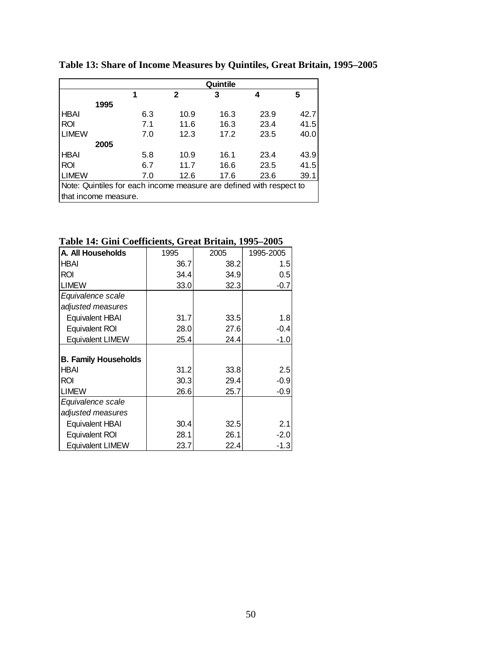|                                                                     |                      |     |      | Quintile |      |      |  |
|---------------------------------------------------------------------|----------------------|-----|------|----------|------|------|--|
|                                                                     |                      |     | 2    | 3        | 4    | 5    |  |
|                                                                     | 1995                 |     |      |          |      |      |  |
| <b>HBAI</b>                                                         |                      | 6.3 | 10.9 | 16.3     | 23.9 | 42.7 |  |
| <b>ROI</b>                                                          |                      | 7.1 | 11.6 | 16.3     | 23.4 | 41.5 |  |
| <b>LIMEW</b>                                                        |                      | 7.0 | 12.3 | 17.2     | 23.5 | 40.0 |  |
|                                                                     | 2005                 |     |      |          |      |      |  |
| <b>HBAI</b>                                                         |                      | 5.8 | 10.9 | 16.1     | 23.4 | 43.9 |  |
| <b>ROI</b>                                                          |                      | 6.7 | 11.7 | 16.6     | 23.5 | 41.5 |  |
| <b>LIMEW</b>                                                        |                      | 7.0 | 12.6 | 17.6     | 23.6 | 39.1 |  |
| Note: Quintiles for each income measure are defined with respect to |                      |     |      |          |      |      |  |
|                                                                     | that income measure. |     |      |          |      |      |  |

**Table 13: Share of Income Measures by Quintiles, Great Britain, 1995–2005**

**Table 14: Gini Coefficients, Great Britain, 1995–2005** 

| A. All Households           | 1995 | 2005 | 1995-2005 |
|-----------------------------|------|------|-----------|
| HBAI                        | 36.7 | 38.2 | 1.5       |
| ROI                         | 34.4 | 34.9 | 0.5       |
| <b>LIMEW</b>                | 33.0 | 32.3 | $-0.7$    |
| Equivalence scale           |      |      |           |
| adjusted measures           |      |      |           |
| <b>Equivalent HBAI</b>      | 31.7 | 33.5 | 1.8       |
| Equivalent ROI              | 28.0 | 27.6 | $-0.4$    |
| <b>Equivalent LIMEW</b>     | 25.4 | 24.4 | $-1.0$    |
|                             |      |      |           |
| <b>B. Family Households</b> |      |      |           |
| <b>HBAI</b>                 | 31.2 | 33.8 | 2.5       |
| ROI                         | 30.3 | 29.4 | $-0.9$    |
| <b>LIMEW</b>                | 26.6 | 25.7 | $-0.9$    |
| Equivalence scale           |      |      |           |
| adjusted measures           |      |      |           |
| <b>Equivalent HBAI</b>      | 30.4 | 32.5 | 2.1       |
| Equivalent ROI              | 28.1 | 26.1 | $-2.0$    |
| <b>Equivalent LIMEW</b>     | 23.7 | 22.4 | $-1.3$    |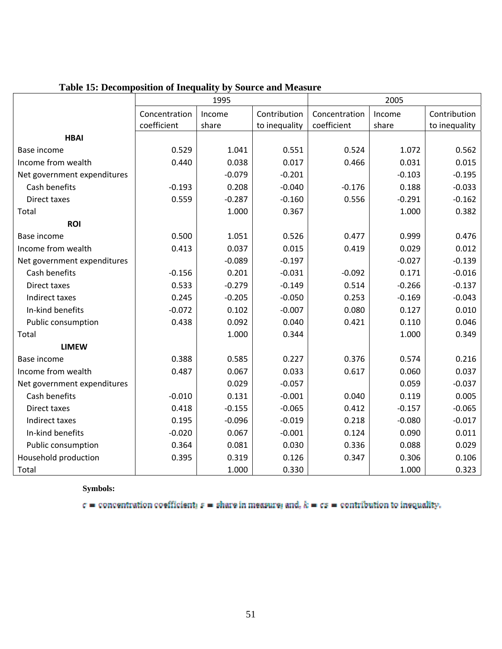|                             |               | 1995     |               |               | 2005     |               |
|-----------------------------|---------------|----------|---------------|---------------|----------|---------------|
|                             | Concentration | Income   | Contribution  | Concentration | Income   | Contribution  |
|                             | coefficient   | share    | to inequality | coefficient   | share    | to inequality |
| <b>HBAI</b>                 |               |          |               |               |          |               |
| Base income                 | 0.529         | 1.041    | 0.551         | 0.524         | 1.072    | 0.562         |
| Income from wealth          | 0.440         | 0.038    | 0.017         | 0.466         | 0.031    | 0.015         |
| Net government expenditures |               | $-0.079$ | $-0.201$      |               | $-0.103$ | $-0.195$      |
| Cash benefits               | $-0.193$      | 0.208    | $-0.040$      | $-0.176$      | 0.188    | $-0.033$      |
| Direct taxes                | 0.559         | $-0.287$ | $-0.160$      | 0.556         | $-0.291$ | $-0.162$      |
| Total                       |               | 1.000    | 0.367         |               | 1.000    | 0.382         |
| <b>ROI</b>                  |               |          |               |               |          |               |
| Base income                 | 0.500         | 1.051    | 0.526         | 0.477         | 0.999    | 0.476         |
| Income from wealth          | 0.413         | 0.037    | 0.015         | 0.419         | 0.029    | 0.012         |
| Net government expenditures |               | $-0.089$ | $-0.197$      |               | $-0.027$ | $-0.139$      |
| Cash benefits               | $-0.156$      | 0.201    | $-0.031$      | $-0.092$      | 0.171    | $-0.016$      |
| Direct taxes                | 0.533         | $-0.279$ | $-0.149$      | 0.514         | $-0.266$ | $-0.137$      |
| Indirect taxes              | 0.245         | $-0.205$ | $-0.050$      | 0.253         | $-0.169$ | $-0.043$      |
| In-kind benefits            | $-0.072$      | 0.102    | $-0.007$      | 0.080         | 0.127    | 0.010         |
| Public consumption          | 0.438         | 0.092    | 0.040         | 0.421         | 0.110    | 0.046         |
| Total                       |               | 1.000    | 0.344         |               | 1.000    | 0.349         |
| <b>LIMEW</b>                |               |          |               |               |          |               |
| Base income                 | 0.388         | 0.585    | 0.227         | 0.376         | 0.574    | 0.216         |
| Income from wealth          | 0.487         | 0.067    | 0.033         | 0.617         | 0.060    | 0.037         |
| Net government expenditures |               | 0.029    | $-0.057$      |               | 0.059    | $-0.037$      |
| Cash benefits               | $-0.010$      | 0.131    | $-0.001$      | 0.040         | 0.119    | 0.005         |
| Direct taxes                | 0.418         | $-0.155$ | $-0.065$      | 0.412         | $-0.157$ | $-0.065$      |
| Indirect taxes              | 0.195         | $-0.096$ | $-0.019$      | 0.218         | $-0.080$ | $-0.017$      |
| In-kind benefits            | $-0.020$      | 0.067    | $-0.001$      | 0.124         | 0.090    | 0.011         |
| Public consumption          | 0.364         | 0.081    | 0.030         | 0.336         | 0.088    | 0.029         |
| Household production        | 0.395         | 0.319    | 0.126         | 0.347         | 0.306    | 0.106         |
| Total                       |               | 1.000    | 0.330         |               | 1.000    | 0.323         |

## **Table 15: Decomposition of Inequality by Source and Measure**

**Symbols:** 

 $c =$  concentration coefficient;  $s =$  share in measure; and,  $k = cs =$  contribution to inequality.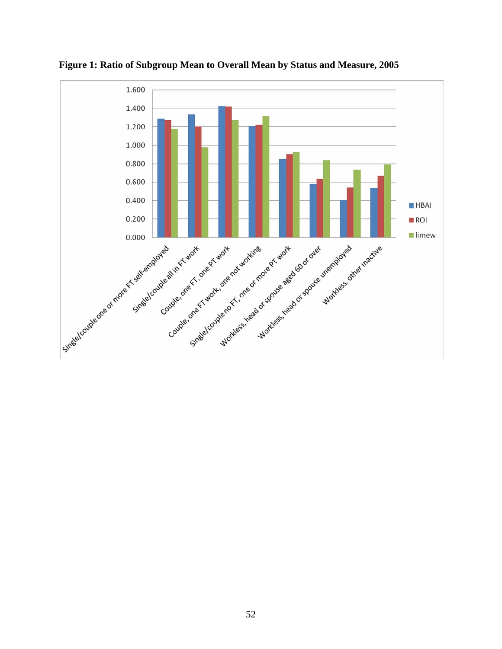

**Figure 1: Ratio of Subgroup Mean to Overall Mean by Status and Measure, 2005**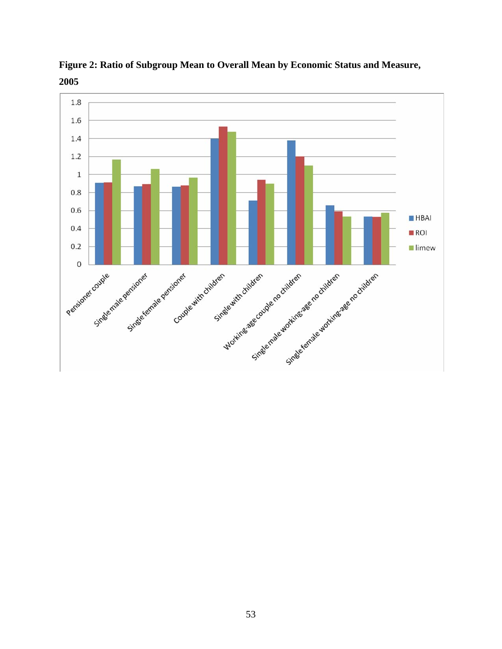

**Figure 2: Ratio of Subgroup Mean to Overall Mean by Economic Status and Measure,**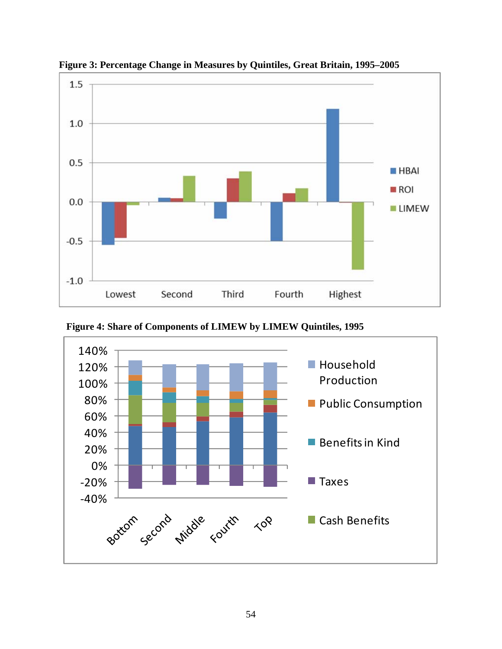

**Figure 3: Percentage Change in Measures by Quintiles, Great Britain, 1995–2005** 



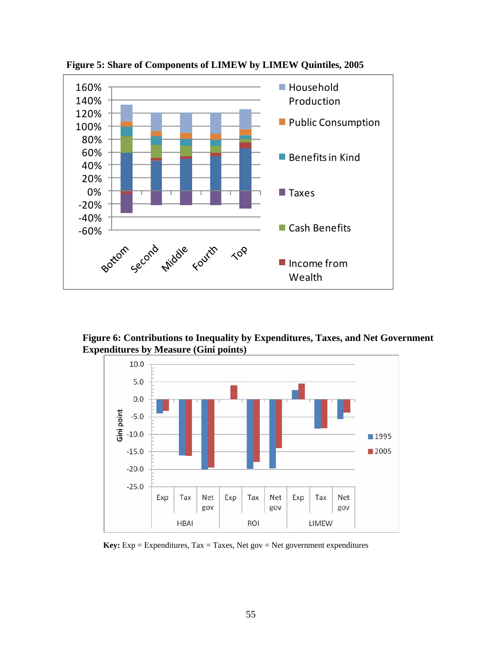

**Figure 5: Share of Components of LIMEW by LIMEW Quintiles, 2005** 

**Figure 6: Contributions to Inequality by Expenditures, Taxes, and Net Government Expenditures by Measure (Gini points)** 



**Key:** Exp = Expenditures, Tax = Taxes, Net gov = Net government expenditures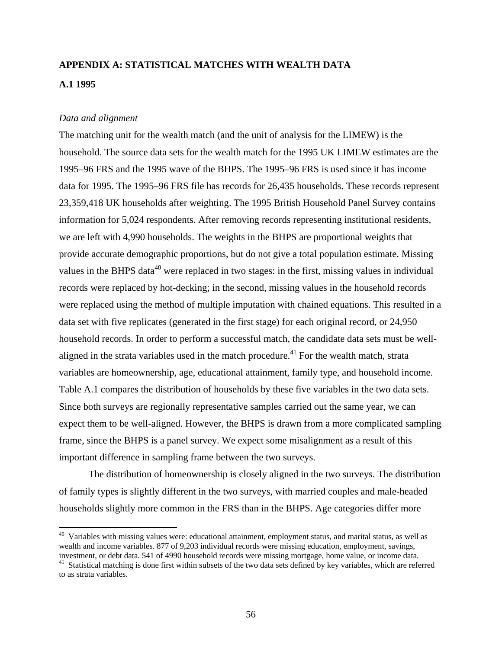# **APPENDIX A: STATISTICAL MATCHES WITH WEALTH DATA A.1 1995**

### *Data and alignment*

The matching unit for the wealth match (and the unit of analysis for the LIMEW) is the household. The source data sets for the wealth match for the 1995 UK LIMEW estimates are the 1995–96 FRS and the 1995 wave of the BHPS. The 1995–96 FRS is used since it has income data for 1995. The 1995–96 FRS file has records for 26,435 households. These records represent 23,359,418 UK households after weighting. The 1995 British Household Panel Survey contains information for 5,024 respondents. After removing records representing institutional residents, we are left with 4,990 households. The weights in the BHPS are proportional weights that provide accurate demographic proportions, but do not give a total population estimate. Missing values in the BHPS data<sup>40</sup> were replaced in two stages: in the first, missing values in individual records were replaced by hot-decking; in the second, missing values in the household records were replaced using the method of multiple imputation with chained equations. This resulted in a data set with five replicates (generated in the first stage) for each original record, or 24,950 household records. In order to perform a successful match, the candidate data sets must be wellaligned in the strata variables used in the match procedure.<sup>41</sup> For the wealth match, strata variables are homeownership, age, educational attainment, family type, and household income. Table A.1 compares the distribution of households by these five variables in the two data sets. Since both surveys are regionally representative samples carried out the same year, we can expect them to be well-aligned. However, the BHPS is drawn from a more complicated sampling frame, since the BHPS is a panel survey. We expect some misalignment as a result of this important difference in sampling frame between the two surveys.

The distribution of homeownership is closely aligned in the two surveys. The distribution of family types is slightly different in the two surveys, with married couples and male-headed households slightly more common in the FRS than in the BHPS. Age categories differ more

 $40$  Variables with missing values were: educational attainment, employment status, and marital status, as well as wealth and income variables. 877 of 9,203 individual records were missing education, employment, savings, investment, or debt data. 541 of 4990 household records were missing mortgage, home value, or income data.

<sup>&</sup>lt;sup>41</sup> Statistical matching is done first within subsets of the two data sets defined by key variables, which are referred

to as strata variables.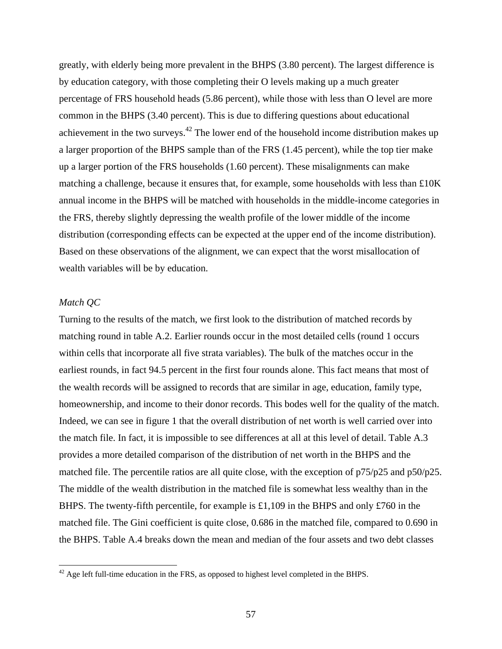greatly, with elderly being more prevalent in the BHPS (3.80 percent). The largest difference is by education category, with those completing their O levels making up a much greater percentage of FRS household heads (5.86 percent), while those with less than O level are more common in the BHPS (3.40 percent). This is due to differing questions about educational achievement in the two surveys.<sup>42</sup> The lower end of the household income distribution makes up a larger proportion of the BHPS sample than of the FRS (1.45 percent), while the top tier make up a larger portion of the FRS households (1.60 percent). These misalignments can make matching a challenge, because it ensures that, for example, some households with less than  $£10K$ annual income in the BHPS will be matched with households in the middle-income categories in the FRS, thereby slightly depressing the wealth profile of the lower middle of the income distribution (corresponding effects can be expected at the upper end of the income distribution). Based on these observations of the alignment, we can expect that the worst misallocation of wealth variables will be by education.

### *Match QC*

Turning to the results of the match, we first look to the distribution of matched records by matching round in table A.2. Earlier rounds occur in the most detailed cells (round 1 occurs within cells that incorporate all five strata variables). The bulk of the matches occur in the earliest rounds, in fact 94.5 percent in the first four rounds alone. This fact means that most of the wealth records will be assigned to records that are similar in age, education, family type, homeownership, and income to their donor records. This bodes well for the quality of the match. Indeed, we can see in figure 1 that the overall distribution of net worth is well carried over into the match file. In fact, it is impossible to see differences at all at this level of detail. Table A.3 provides a more detailed comparison of the distribution of net worth in the BHPS and the matched file. The percentile ratios are all quite close, with the exception of p75/p25 and p50/p25. The middle of the wealth distribution in the matched file is somewhat less wealthy than in the BHPS. The twenty-fifth percentile, for example is £1,109 in the BHPS and only £760 in the matched file. The Gini coefficient is quite close, 0.686 in the matched file, compared to 0.690 in the BHPS. Table A.4 breaks down the mean and median of the four assets and two debt classes

 $42$  Age left full-time education in the FRS, as opposed to highest level completed in the BHPS.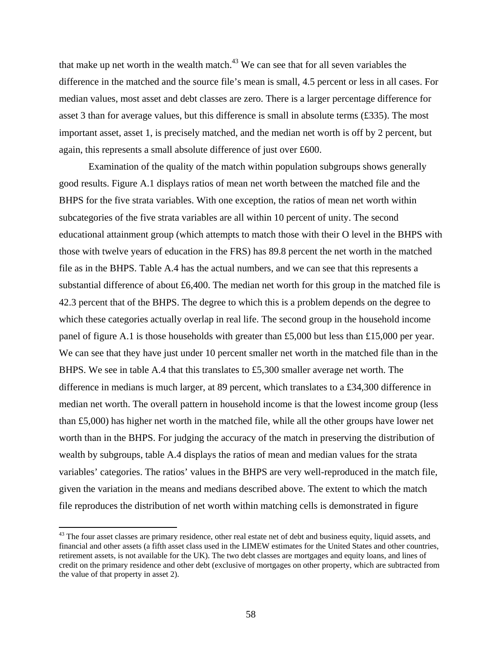that make up net worth in the wealth match. $43$  We can see that for all seven variables the difference in the matched and the source file's mean is small, 4.5 percent or less in all cases. For median values, most asset and debt classes are zero. There is a larger percentage difference for asset 3 than for average values, but this difference is small in absolute terms (£335). The most important asset, asset 1, is precisely matched, and the median net worth is off by 2 percent, but again, this represents a small absolute difference of just over £600.

Examination of the quality of the match within population subgroups shows generally good results. Figure A.1 displays ratios of mean net worth between the matched file and the BHPS for the five strata variables. With one exception, the ratios of mean net worth within subcategories of the five strata variables are all within 10 percent of unity. The second educational attainment group (which attempts to match those with their O level in the BHPS with those with twelve years of education in the FRS) has 89.8 percent the net worth in the matched file as in the BHPS. Table A.4 has the actual numbers, and we can see that this represents a substantial difference of about £6,400. The median net worth for this group in the matched file is 42.3 percent that of the BHPS. The degree to which this is a problem depends on the degree to which these categories actually overlap in real life. The second group in the household income panel of figure A.1 is those households with greater than £5,000 but less than £15,000 per year. We can see that they have just under 10 percent smaller net worth in the matched file than in the BHPS. We see in table A.4 that this translates to £5,300 smaller average net worth. The difference in medians is much larger, at 89 percent, which translates to a £34,300 difference in median net worth. The overall pattern in household income is that the lowest income group (less than £5,000) has higher net worth in the matched file, while all the other groups have lower net worth than in the BHPS. For judging the accuracy of the match in preserving the distribution of wealth by subgroups, table A.4 displays the ratios of mean and median values for the strata variables' categories. The ratios' values in the BHPS are very well-reproduced in the match file, given the variation in the means and medians described above. The extent to which the match file reproduces the distribution of net worth within matching cells is demonstrated in figure

 $43$  The four asset classes are primary residence, other real estate net of debt and business equity, liquid assets, and financial and other assets (a fifth asset class used in the LIMEW estimates for the United States and other countries, retirement assets, is not available for the UK). The two debt classes are mortgages and equity loans, and lines of credit on the primary residence and other debt (exclusive of mortgages on other property, which are subtracted from the value of that property in asset 2).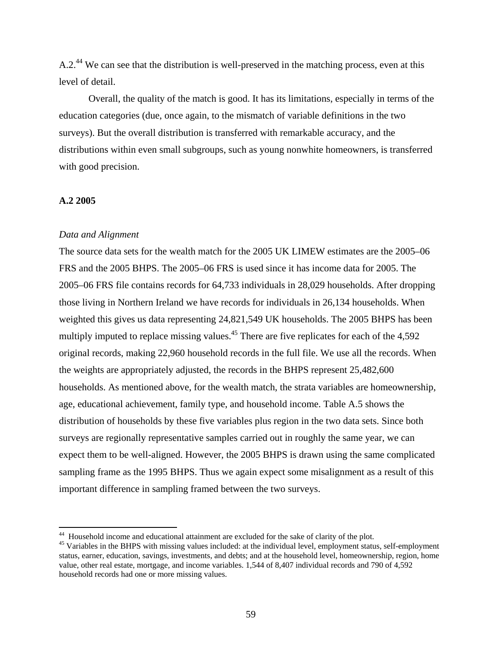A.2.<sup>44</sup> We can see that the distribution is well-preserved in the matching process, even at this level of detail.

Overall, the quality of the match is good. It has its limitations, especially in terms of the education categories (due, once again, to the mismatch of variable definitions in the two surveys). But the overall distribution is transferred with remarkable accuracy, and the distributions within even small subgroups, such as young nonwhite homeowners, is transferred with good precision.

### **A.2 2005**

#### *Data and Alignment*

The source data sets for the wealth match for the 2005 UK LIMEW estimates are the 2005–06 FRS and the 2005 BHPS. The 2005–06 FRS is used since it has income data for 2005. The 2005–06 FRS file contains records for 64,733 individuals in 28,029 households. After dropping those living in Northern Ireland we have records for individuals in 26,134 households. When weighted this gives us data representing 24,821,549 UK households. The 2005 BHPS has been multiply imputed to replace missing values.<sup>45</sup> There are five replicates for each of the 4,592 original records, making 22,960 household records in the full file. We use all the records. When the weights are appropriately adjusted, the records in the BHPS represent 25,482,600 households. As mentioned above, for the wealth match, the strata variables are homeownership, age, educational achievement, family type, and household income. Table A.5 shows the distribution of households by these five variables plus region in the two data sets. Since both surveys are regionally representative samples carried out in roughly the same year, we can expect them to be well-aligned. However, the 2005 BHPS is drawn using the same complicated sampling frame as the 1995 BHPS. Thus we again expect some misalignment as a result of this important difference in sampling framed between the two surveys.

<sup>&</sup>lt;sup>44</sup> Household income and educational attainment are excluded for the sake of clarity of the plot.

<sup>&</sup>lt;sup>45</sup> Variables in the BHPS with missing values included: at the individual level, employment status, self-employment status, earner, education, savings, investments, and debts; and at the household level, homeownership, region, home value, other real estate, mortgage, and income variables. 1,544 of 8,407 individual records and 790 of 4,592 household records had one or more missing values.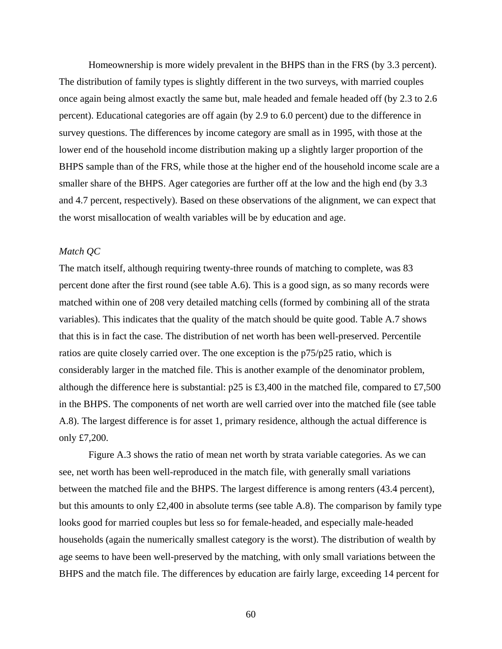Homeownership is more widely prevalent in the BHPS than in the FRS (by 3.3 percent). The distribution of family types is slightly different in the two surveys, with married couples once again being almost exactly the same but, male headed and female headed off (by 2.3 to 2.6 percent). Educational categories are off again (by 2.9 to 6.0 percent) due to the difference in survey questions. The differences by income category are small as in 1995, with those at the lower end of the household income distribution making up a slightly larger proportion of the BHPS sample than of the FRS, while those at the higher end of the household income scale are a smaller share of the BHPS. Ager categories are further off at the low and the high end (by 3.3 and 4.7 percent, respectively). Based on these observations of the alignment, we can expect that the worst misallocation of wealth variables will be by education and age.

### *Match QC*

The match itself, although requiring twenty-three rounds of matching to complete, was 83 percent done after the first round (see table A.6). This is a good sign, as so many records were matched within one of 208 very detailed matching cells (formed by combining all of the strata variables). This indicates that the quality of the match should be quite good. Table A.7 shows that this is in fact the case. The distribution of net worth has been well-preserved. Percentile ratios are quite closely carried over. The one exception is the p75/p25 ratio, which is considerably larger in the matched file. This is another example of the denominator problem, although the difference here is substantial: p25 is £3,400 in the matched file, compared to £7,500 in the BHPS. The components of net worth are well carried over into the matched file (see table A.8). The largest difference is for asset 1, primary residence, although the actual difference is only £7,200.

Figure A.3 shows the ratio of mean net worth by strata variable categories. As we can see, net worth has been well-reproduced in the match file, with generally small variations between the matched file and the BHPS. The largest difference is among renters (43.4 percent), but this amounts to only £2,400 in absolute terms (see table A.8). The comparison by family type looks good for married couples but less so for female-headed, and especially male-headed households (again the numerically smallest category is the worst). The distribution of wealth by age seems to have been well-preserved by the matching, with only small variations between the BHPS and the match file. The differences by education are fairly large, exceeding 14 percent for

60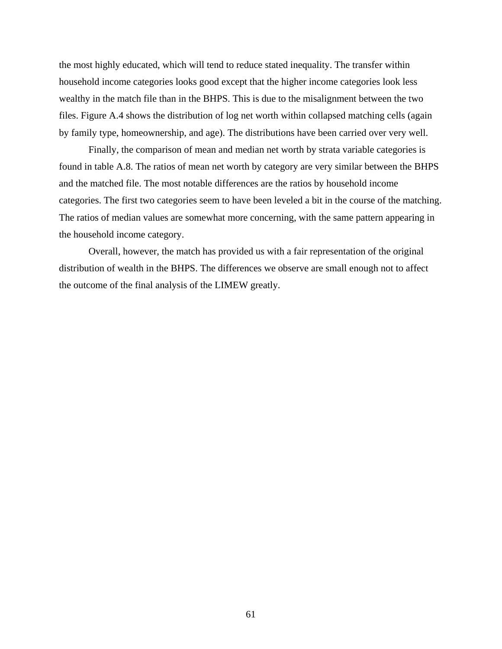the most highly educated, which will tend to reduce stated inequality. The transfer within household income categories looks good except that the higher income categories look less wealthy in the match file than in the BHPS. This is due to the misalignment between the two files. Figure A.4 shows the distribution of log net worth within collapsed matching cells (again by family type, homeownership, and age). The distributions have been carried over very well.

Finally, the comparison of mean and median net worth by strata variable categories is found in table A.8. The ratios of mean net worth by category are very similar between the BHPS and the matched file. The most notable differences are the ratios by household income categories. The first two categories seem to have been leveled a bit in the course of the matching. The ratios of median values are somewhat more concerning, with the same pattern appearing in the household income category.

Overall, however, the match has provided us with a fair representation of the original distribution of wealth in the BHPS. The differences we observe are small enough not to affect the outcome of the final analysis of the LIMEW greatly.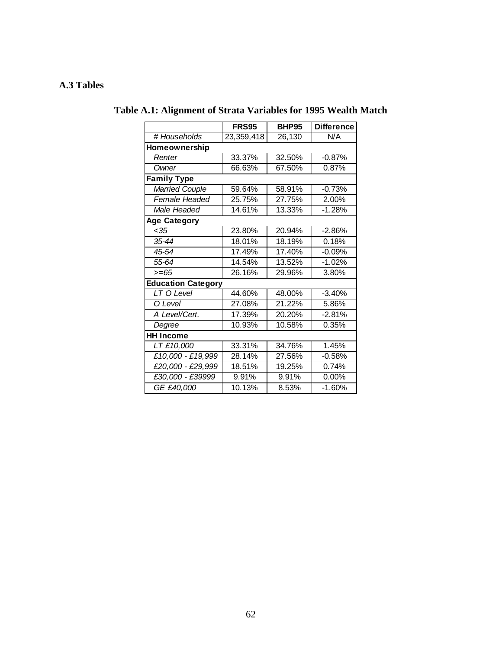## **A.3 Tables**

|                           | <b>FRS95</b> | <b>BHP95</b> | <b>Difference</b>   |
|---------------------------|--------------|--------------|---------------------|
| # Households              | 23,359,418   | 26,130       | N/A                 |
| Homeownership             |              |              |                     |
| Renter                    | 33.37%       | 32.50%       | $-0.87%$            |
| Owner                     | 66.63%       | 67.50%       | 0.87%               |
| <b>Family Type</b>        |              |              |                     |
| <b>Married Couple</b>     | 59.64%       | 58.91%       | $-0.73%$            |
| Female Headed             | 25.75%       | 27.75%       | 2.00%               |
| Male Headed               | 14.61%       | 13.33%       | $-1.28%$            |
| <b>Age Category</b>       |              |              |                     |
| < 35                      | 23.80%       | 20.94%       | $-2.86%$            |
| 35-44                     | 18.01%       | 18.19%       | 0.18%               |
| 45-54                     | 17.49%       | 17.40%       | $-0.09%$            |
| 55-64                     | 14.54%       | 13.52%       | $-1.02%$            |
| $>= 65$                   | 26.16%       | 29.96%       | 3.80%               |
| <b>Education Category</b> |              |              |                     |
| LT O Level                | 44.60%       | 48.00%       | $-3.40%$            |
| O Level                   | 27.08%       | 21.22%       | 5.86%               |
| A Level/Cert.             | 17.39%       | 20.20%       | $-2.81%$            |
| Degree                    | 10.93%       | 10.58%       | 0.35%               |
| <b>HH Income</b>          |              |              |                     |
| LT £10,000                | 33.31%       | 34.76%       | $\overline{1.45\%}$ |
| £10,000 - £19,999         | 28.14%       | 27.56%       | $-0.58%$            |
| £20,000 - £29,999         | 18.51%       | 19.25%       | 0.74%               |
| £30,000 - £39999          | 9.91%        | 9.91%        | 0.00%               |
| GE £40,000                | 10.13%       | 8.53%        | $-1.60%$            |

# **Table A.1: Alignment of Strata Variables for 1995 Wealth Match**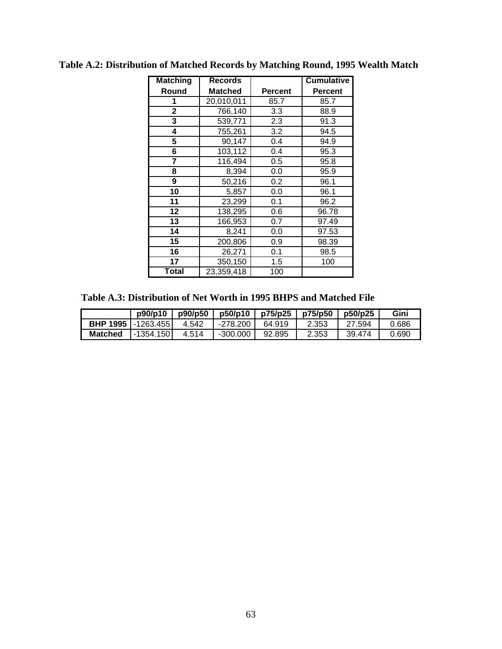| <b>Matching</b> | <b>Records</b> |                | <b>Cumulative</b> |
|-----------------|----------------|----------------|-------------------|
| Round           | <b>Matched</b> | <b>Percent</b> | <b>Percent</b>    |
| 1               | 20,010,011     | 85.7           | 85.7              |
| $\overline{2}$  | 766,140        | 3.3            | 88.9              |
| 3               | 539,771        | 2.3            | 91.3              |
| 4               | 755,261        | 3.2            | 94.5              |
| 5               | 90,147         | 0.4            | 94.9              |
| 6               | 103,112        | 0.4            | 95.3              |
| 7               | 116,494        | 0.5            | 95.8              |
| 8               | 8,394          | 0.0            | 95.9              |
| 9               | 50,216         | 0.2            | 96.1              |
| 10              | 5,857          | 0.0            | 96.1              |
| 11              | 23,299         | 0.1            | 96.2              |
| 12              | 138,295        | 0.6            | 96.78             |
| 13              | 166,953        | 0.7            | 97.49             |
| 14              | 8,241          | 0.0            | 97.53             |
| 15              | 200,806        | 0.9            | 98.39             |
| 16              | 26,271         | 0.1            | 98.5              |
| 17              | 350,150        | 1.5            | 100               |
| Total           | 23,359,418     | 100            |                   |

**Table A.2: Distribution of Matched Records by Matching Round, 1995 Wealth Match** 

 **Table A.3: Distribution of Net Worth in 1995 BHPS and Matched File** 

|                              | p90/p10    | p90/p50 | p50/p10  | p75/p25 | p75/p50 | p50/p25 | Gini  |
|------------------------------|------------|---------|----------|---------|---------|---------|-------|
| <b>BHP 1995   -1263.455 </b> |            | 4.542   | -278.200 | 64.919  | 2.353   | .594    | 0.686 |
| <b>Matched</b>               | -1354.1501 | 4.514   | -300.000 | 92.895  | 2.353   | 39.474  | 0.690 |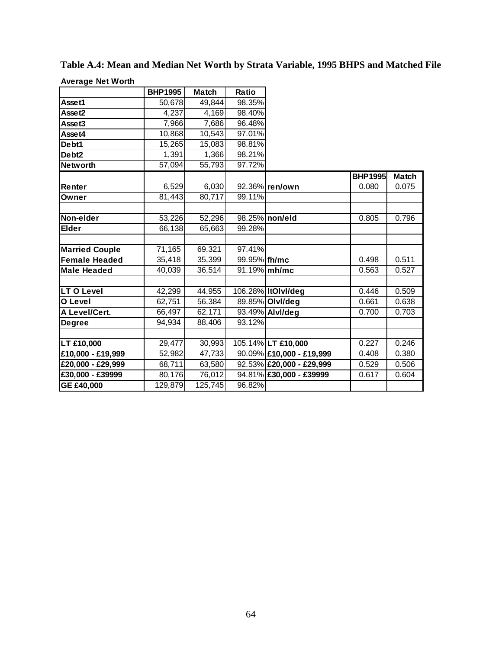|                       | <b>BHP1995</b> | <b>Match</b>        | Ratio        |                          |                |              |
|-----------------------|----------------|---------------------|--------------|--------------------------|----------------|--------------|
| Asset1                | 50,678         | 49,844              | 98.35%       |                          |                |              |
| Asset2                | 4,237          | 4,169               | 98.40%       |                          |                |              |
| Asset3                | 7,966          | 7,686               | 96.48%       |                          |                |              |
| Asset4                | 10,868         | 10,543              | 97.01%       |                          |                |              |
| Debt1                 | 15,265         | 15,083              | 98.81%       |                          |                |              |
| Debt <sub>2</sub>     | 1,391          | 1,366               | 98.21%       |                          |                |              |
| <b>Networth</b>       | 57,094         | $\overline{55,793}$ | 97.72%       |                          |                |              |
|                       |                |                     |              |                          | <b>BHP1995</b> | <b>Match</b> |
| Renter                | 6,529          | 6,030               |              | 92.36% ren/own           | 0.080          | 0.075        |
| Owner                 | 81,443         | 80,717              | 99.11%       |                          |                |              |
|                       |                |                     |              |                          |                |              |
| Non-elder             | 53,226         | 52,296              |              | 98.25% non/eld           | 0.805          | 0.796        |
| <b>Elder</b>          | 66,138         | 65,663              | 99.28%       |                          |                |              |
|                       |                |                     |              |                          |                |              |
| <b>Married Couple</b> | 71,165         | 69,321              | 97.41%       |                          |                |              |
| <b>Female Headed</b>  | 35,418         | 35,399              | 99.95% fh/mc |                          | 0.498          | 0.511        |
| <b>Male Headed</b>    | 40,039         | 36,514              |              | 91.19% mh/mc             | 0.563          | 0.527        |
|                       |                |                     |              |                          |                |              |
| <b>LT O Level</b>     | 42,299         | 44,955              |              | 106.28% ItOlvI/deg       | 0.446          | 0.509        |
| O Level               | 62,751         | 56,384              |              | 89.85% Olvl/deg          | 0.661          | 0.638        |
| A Level/Cert.         | 66,497         | 62,171              |              | 93.49% Alvl/deg          | 0.700          | 0.703        |
| <b>Degree</b>         | 94,934         | 88,406              | 93.12%       |                          |                |              |
|                       |                |                     |              |                          |                |              |
| LT £10,000            | 29,477         | 30,993              |              | 105.14% LT £10,000       | 0.227          | 0.246        |
| £10,000 - £19,999     | 52,982         | 47,733              |              | 90.09% £10,000 - £19,999 | 0.408          | 0.380        |
| $E20,000 - E29,999$   | 68,711         | 63,580              |              | 92.53% £20,000 - £29,999 | 0.529          | 0.506        |
| £30,000 - £39999      | 80,176         | 76,012              |              | 94.81% £30,000 - £39999  | 0.617          | 0.604        |
| GE £40,000            | 129,879        | 125,745             | 96.82%       |                          |                |              |

**Table A.4: Mean and Median Net Worth by Strata Variable, 1995 BHPS and Matched File Average Net Worth**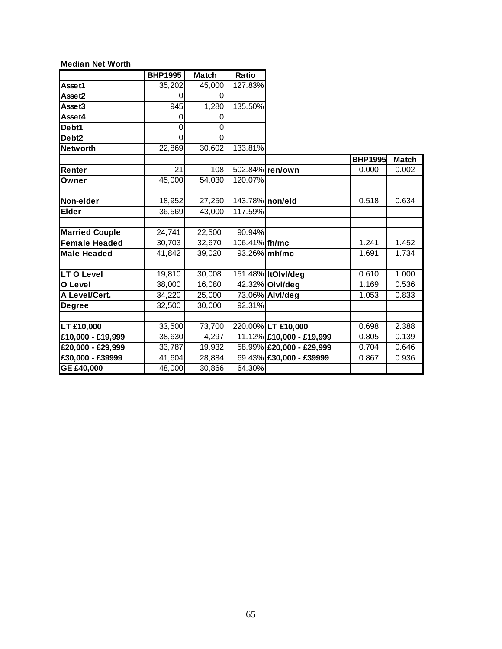### **Median Net Worth**

|                       | <b>BHP1995</b> | <b>Match</b> | Ratio           |                          |                |              |
|-----------------------|----------------|--------------|-----------------|--------------------------|----------------|--------------|
| Asset1                | 35,202         | 45,000       | 127.83%         |                          |                |              |
| Asset2                | 0              | 0            |                 |                          |                |              |
| Asset3                | 945            | 1,280        | 135.50%         |                          |                |              |
| Asset4                | 0              | 0            |                 |                          |                |              |
| Debt1                 | 0              | 0            |                 |                          |                |              |
| Debt <sub>2</sub>     | 0              | 0            |                 |                          |                |              |
| <b>Networth</b>       | 22,869         | 30,602       | 133.81%         |                          |                |              |
|                       |                |              |                 |                          | <b>BHP1995</b> | <b>Match</b> |
| Renter                | 21             | 108          |                 | 502.84% ren/own          | 0.000          | 0.002        |
| Owner                 | 45,000         | 54,030       | 120.07%         |                          |                |              |
|                       |                |              |                 |                          |                |              |
| Non-elder             | 18,952         | 27,250       | 143.78% non/eld |                          | 0.518          | 0.634        |
| <b>Elder</b>          | 36,569         | 43,000       | 117.59%         |                          |                |              |
|                       |                |              |                 |                          |                |              |
| <b>Married Couple</b> | 24,741         | 22,500       | 90.94%          |                          |                |              |
| <b>Female Headed</b>  | 30,703         | 32,670       | 106.41% fh/mc   |                          | 1.241          | 1.452        |
| <b>Male Headed</b>    | 41,842         | 39,020       |                 | 93.26% mh/mc             | 1.691          | 1.734        |
|                       |                |              |                 |                          |                |              |
| LT O Level            | 19,810         | 30,008       |                 | 151.48% ItOlvI/deg       | 0.610          | 1.000        |
| O Level               | 38,000         | 16,080       |                 | 42.32% OlvI/deg          | 1.169          | 0.536        |
| A Level/Cert.         | 34,220         | 25,000       |                 | 73.06% Alvl/deg          | 1.053          | 0.833        |
| <b>Degree</b>         | 32,500         | 30,000       | 92.31%          |                          |                |              |
|                       |                |              |                 |                          |                |              |
| LT £10,000            | 33,500         | 73,700       |                 | 220.00% LT £10,000       | 0.698          | 2.388        |
| £10,000 - £19,999     | 38,630         | 4,297        |                 | 11.12% £10,000 - £19,999 | 0.805          | 0.139        |
| £20,000 - £29,999     | 33,787         | 19,932       |                 | 58.99% £20,000 - £29,999 | 0.704          | 0.646        |
| £30,000 - £39999      | 41,604         | 28,884       |                 | 69.43% £30,000 - £39999  | 0.867          | 0.936        |
| GE £40,000            | 48,000         | 30,866       | 64.30%          |                          |                |              |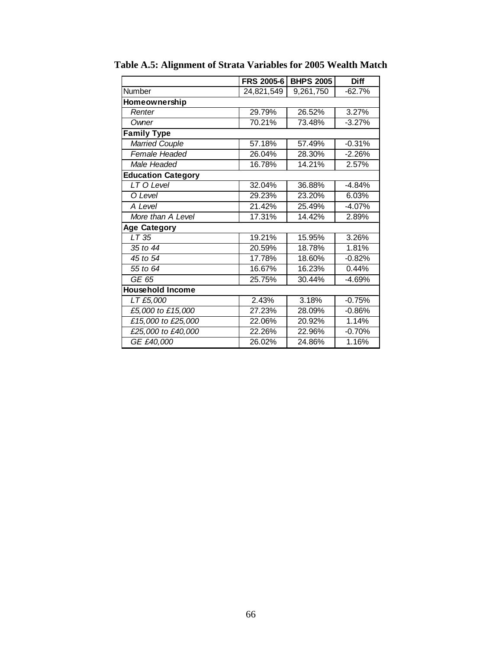|                           | <b>FRS 2005-6</b> | <b>BHPS 2005</b> | <b>Diff</b> |
|---------------------------|-------------------|------------------|-------------|
| Number                    | 24,821,549        | 9,261,750        | $-62.7%$    |
| Homeownership             |                   |                  |             |
| Renter                    | 29.79%            | 26.52%           | 3.27%       |
| Owner                     | 70.21%            | 73.48%           | $-3.27%$    |
| <b>Family Type</b>        |                   |                  |             |
| <b>Married Couple</b>     | 57.18%            | 57.49%           | $-0.31%$    |
| Female Headed             | 26.04%            | 28.30%           | $-2.26%$    |
| Male Headed               | 16.78%            | 14.21%           | 2.57%       |
| <b>Education Category</b> |                   |                  |             |
| LT O Level                | 32.04%            | 36.88%           | $-4.84%$    |
| O Level                   | 29.23%            | 23.20%           | 6.03%       |
| A Level                   | 21.42%            | 25.49%           | $-4.07%$    |
| More than A Level         | 17.31%            | 14.42%           | 2.89%       |
| <b>Age Category</b>       |                   |                  |             |
| LT 35                     | 19.21%            | 15.95%           | 3.26%       |
| 35 to 44                  | 20.59%            | 18.78%           | 1.81%       |
| 45 to 54                  | 17.78%            | 18.60%           | $-0.82%$    |
| 55 to 64                  | 16.67%            | 16.23%           | 0.44%       |
| GE 65                     | 25.75%            | 30.44%           | $-4.69%$    |
| <b>Household Income</b>   |                   |                  |             |
| LT £5,000                 | 2.43%             | 3.18%            | $-0.75%$    |
| £5,000 to £15,000         | 27.23%            | 28.09%           | $-0.86%$    |
| £15,000 to £25,000        | 22.06%            | 20.92%           | 1.14%       |
| £25,000 to £40,000        | 22.26%            | 22.96%           | $-0.70%$    |
| GE £40,000                | 26.02%            | 24.86%           | 1.16%       |

**Table A.5: Alignment of Strata Variables for 2005 Wealth Match**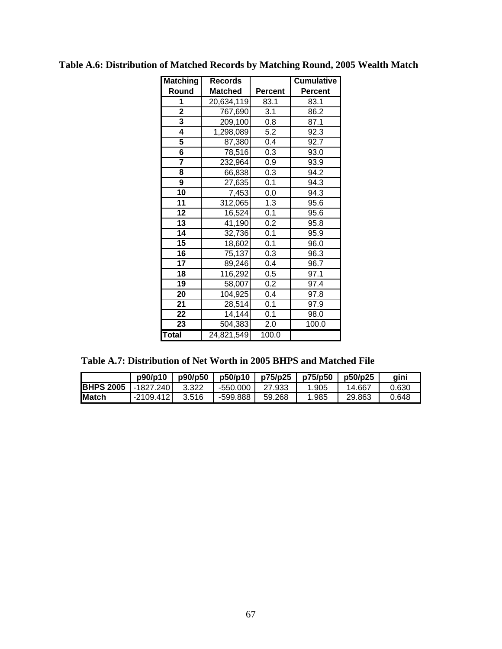| <b>Matching</b>         | <b>Records</b>         |                | <b>Cumulative</b> |  |  |
|-------------------------|------------------------|----------------|-------------------|--|--|
| Round                   | <b>Matched</b>         | <b>Percent</b> | Percent           |  |  |
| 1                       | 20,634,119             | 83.1           | 83.1              |  |  |
| $\overline{2}$          | 767,690                | 3.1            | 86.2              |  |  |
| $\overline{\mathbf{3}}$ | 209,100                | 0.8            | 87.1              |  |  |
| 4                       | 1,298,089              | 5.2            | 92.3              |  |  |
| 5                       | 87,380                 | 0.4            | 92.7              |  |  |
| $\overline{\mathbf{6}}$ | 78,516                 | 0.3            | 93.0              |  |  |
|                         | 232,964                | 0.9            | 93.9              |  |  |
| 8                       | 66,838                 | 0.3            | 94.2              |  |  |
| 9                       | 27,635                 | 0.1            | 94.3              |  |  |
| 10                      | 7,453                  | 0.0            | 94.3              |  |  |
| 11                      | 312,065                | 1.3            | 95.6              |  |  |
| 12                      | 16,524                 | 0.1            | 95.6              |  |  |
| 13                      | 41,190                 | 0.2            | 95.8              |  |  |
| 14                      | 32,736                 | 0.1            | 95.9              |  |  |
| 15                      | 18,602                 | 0.1            | 96.0              |  |  |
| 16                      | 75,137                 | 0.3            | 96.3              |  |  |
| 17                      | 89,246                 | 0.4            | 96.7              |  |  |
| 18                      | 116,292                | 0.5            | 97.1              |  |  |
| 19                      | 58,007                 | 0.2            | 97.4              |  |  |
| 20                      | 104,925                | 0.4            | 97.8              |  |  |
| 21                      | 28,514                 | 0.1            | 97.9              |  |  |
| 22                      | 14,144                 | 0.1            | 98.0              |  |  |
| 23                      | $\overline{504}$ , 383 | 2.0            | 100.0             |  |  |
| <b>Total</b>            | 24,821,549             | 100.0          |                   |  |  |

**Table A.6: Distribution of Matched Records by Matching Round, 2005 Wealth Match** 

| Table A.7: Distribution of Net Worth in 2005 BHPS and Matched File |
|--------------------------------------------------------------------|
|--------------------------------------------------------------------|

|                   | p90/p10     | p90/p50 | p50/p10  | p75/p25 | p75/p50 | p50/p25 | aini  |
|-------------------|-------------|---------|----------|---------|---------|---------|-------|
| <b>IBHPS 2005</b> | -1827.2401  | 3.322   | -550.000 | 27.933  | .905    | 14.667  | 0.630 |
| <b>IMatch</b>     | $-2109.412$ | 3.516   | -599.888 | 59.268  | .985    | 29.863  | 0.648 |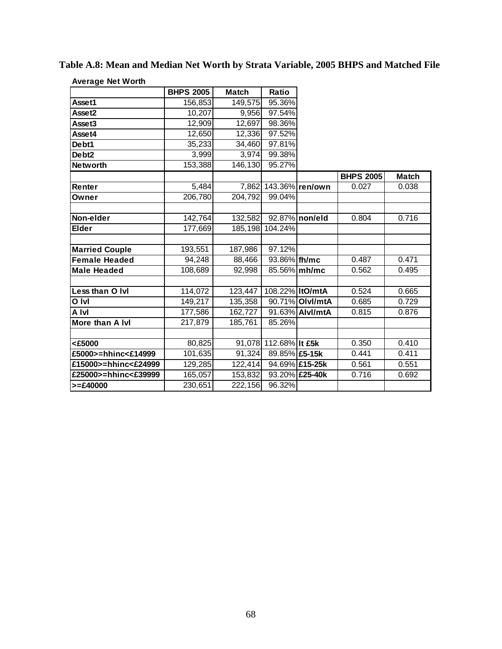| <b>Average Net Worth</b> |                     |              |                       |                 |                  |              |
|--------------------------|---------------------|--------------|-----------------------|-----------------|------------------|--------------|
|                          | <b>BHPS 2005</b>    | <b>Match</b> | Ratio                 |                 |                  |              |
| Asset1                   | 156,853             | 149,575      | 95.36%                |                 |                  |              |
| Asset2                   | 10,207              | 9,956        | 97.54%                |                 |                  |              |
| Asset3                   | 12,909              | 12,697       | 98.36%                |                 |                  |              |
| Asset4                   | 12,650              | 12,336       | 97.52%                |                 |                  |              |
| Debt1                    | 35,233              | 34,460       | 97.81%                |                 |                  |              |
| Debt <sub>2</sub>        | 3,999               | 3,974        | 99.38%                |                 |                  |              |
| <b>Networth</b>          | 153,388             | 146,130      | 95.27%                |                 |                  |              |
|                          |                     |              |                       |                 | <b>BHPS 2005</b> | <b>Match</b> |
| Renter                   | 5,484               | 7,862        |                       | 143.36% ren/own | 0.027            | 0.038        |
| Owner                    | 206,780             | 204,792      | 99.04%                |                 |                  |              |
|                          |                     |              |                       |                 |                  |              |
| Non-elder                | 142,764             | 132,582      |                       | 92.87% non/eld  | 0.804            | 0.716        |
| Elder                    | 177,669             | 185,198      | 104.24%               |                 |                  |              |
|                          |                     |              |                       |                 |                  |              |
| <b>Married Couple</b>    | 193,551             | 187,986      | 97.12%                |                 |                  |              |
| <b>Female Headed</b>     | 94,248              | 88,466       | 93.86% fh/mc          |                 | 0.487            | 0.471        |
| <b>Male Headed</b>       | 108,689             | 92,998       |                       | 85.56% mh/mc    | 0.562            | 0.495        |
|                          |                     |              |                       |                 |                  |              |
| Less than O Ivi          | 114,072             | 123,447      | 108.22% ItO/mtA       |                 | 0.524            | 0.665        |
| O Ivl                    | 149,217             | 135,358      |                       | 90.71% Olvl/mtA | 0.685            | 0.729        |
| <b>A</b> Ivl             | 177,586             | 162,727      |                       | 91.63% Alvl/mtA | 0.815            | 0.876        |
| More than A Ivl          | 217,879             | 185,761      | 85.26%                |                 |                  |              |
|                          |                     |              |                       |                 |                  |              |
| <£5000                   | $\overline{80,825}$ |              | 91,078 112.68% It £5k |                 | 0.350            | 0.410        |
| £5000>=hhinc<£14999      | 101,635             | 91,324       | 89.85% £5-15k         |                 | 0.441            | 0.411        |
| £15000>=hhinc<£24999     | 129,285             | 122,414      |                       | 94.69% £15-25k  | 0.561            | 0.551        |
| £25000>=hhinc<£39999     | 165,057             | 153,832      |                       | 93.20% £25-40k  | 0.716            | 0.692        |
| $>= £40000$              | 230,651             | 222,156      | 96.32%                |                 |                  |              |

**Table A.8: Mean and Median Net Worth by Strata Variable, 2005 BHPS and Matched File**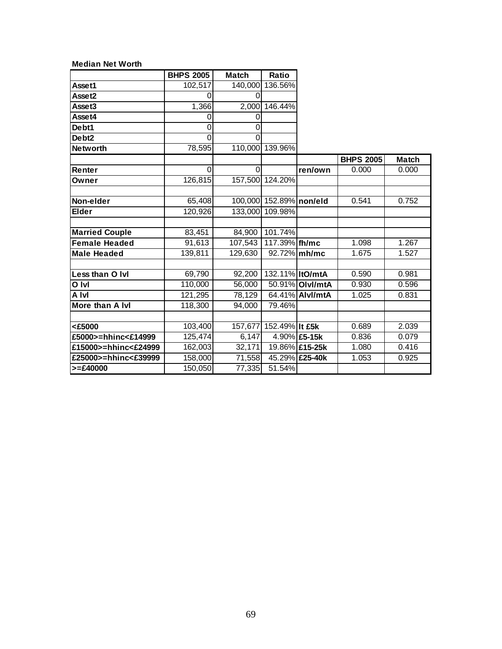|                       | <b>BHPS 2005</b> | <b>Match</b>        | Ratio                   |                 |                  |              |
|-----------------------|------------------|---------------------|-------------------------|-----------------|------------------|--------------|
| Asset1                | 102, 517         |                     | 140,000 136.56%         |                 |                  |              |
| Asset2                |                  |                     |                         |                 |                  |              |
| Asset3                | 1,366            |                     | 2,000 146.44%           |                 |                  |              |
| Asset4                | 0                | 0                   |                         |                 |                  |              |
| Debt1                 | 0                | 0                   |                         |                 |                  |              |
| Debt <sub>2</sub>     | 0                | 0                   |                         |                 |                  |              |
| <b>Networth</b>       | 78,595           |                     | 110,000 139.96%         |                 |                  |              |
|                       |                  |                     |                         |                 | <b>BHPS 2005</b> | <b>Match</b> |
| Renter                | $\Omega$         | $\Omega$            |                         | ren/own         | 0.000            | 0.000        |
| Owner                 | 126,815          |                     | 157,500 124.20%         |                 |                  |              |
|                       |                  |                     |                         |                 |                  |              |
| Non-elder             | 65,408           |                     | 100,000 152.89% non/eld |                 | 0.541            | 0.752        |
| <b>Elder</b>          | 120,926          |                     | 133,000 109.98%         |                 |                  |              |
|                       |                  |                     |                         |                 |                  |              |
| <b>Married Couple</b> | 83,451           | 84,900              | 101.74%                 |                 |                  |              |
| <b>Female Headed</b>  | 91,613           | 107,543             | 117.39% fh/mc           |                 | 1.098            | 1.267        |
| <b>Male Headed</b>    | 139,811          | 129,630             |                         | 92.72% mh/mc    | 1.675            | 1.527        |
|                       |                  |                     |                         |                 |                  |              |
| Less than O Ivi       | 69,790           | 92,200              | 132.11% ItO/mtA         |                 | 0.590            | 0.981        |
| O Ivl                 | 110,000          | 56,000              |                         | 50.91% Olvl/mtA | 0.930            | 0.596        |
| A Ivl                 | 121,295          | 78,129              |                         | 64.41% Alvl/mtA | 1.025            | 0.831        |
| More than A Ivl       | 118,300          | 94,000              | 79.46%                  |                 |                  |              |
|                       |                  |                     |                         |                 |                  |              |
| <£5000                | 103,400          |                     | 157,677 152.49% It £5k  |                 | 0.689            | 2.039        |
| £5000>=hhinc<£14999   | 125,474          | 6,147               |                         | 4.90% £5-15k    | 0.836            | 0.079        |
| £15000>=hhinc<£24999  | 162,003          | $\overline{3}2,171$ |                         | 19.86% £15-25k  | 1.080            | 0.416        |
| £25000>=hhinc<£39999  | 158,000          | 71,558              |                         | 45.29% £25-40k  | 1.053            | 0.925        |
| $>= £40000$           | 150,050          | 77,335              | 51.54%                  |                 |                  |              |

**Median Net Worth**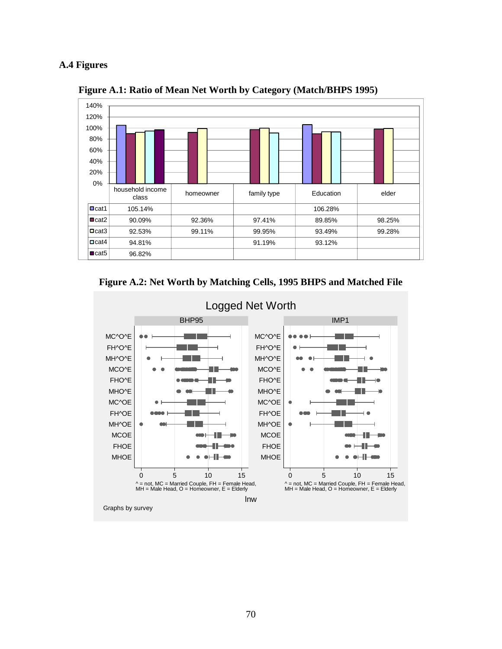### **A.4 Figures**



 **Figure A.1: Ratio of Mean Net Worth by Category (Match/BHPS 1995)** 





Logged Net Worth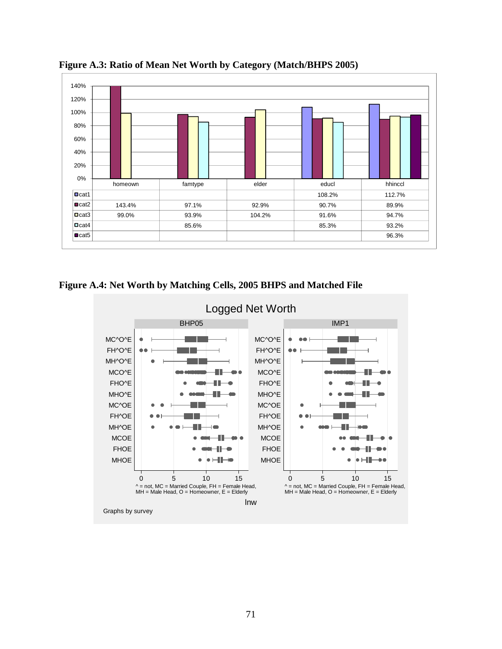

**Figure A.3: Ratio of Mean Net Worth by Category (Match/BHPS 2005)** 

**Figure A.4: Net Worth by Matching Cells, 2005 BHPS and Matched File** 

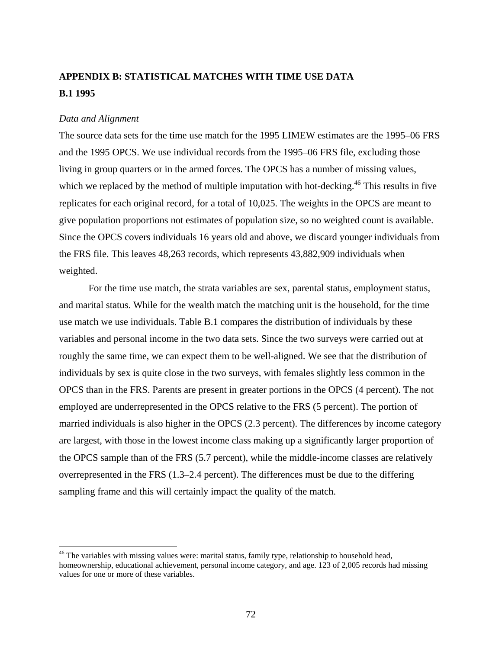# **APPENDIX B: STATISTICAL MATCHES WITH TIME USE DATA B.1 1995**

### *Data and Alignment*

The source data sets for the time use match for the 1995 LIMEW estimates are the 1995–06 FRS and the 1995 OPCS. We use individual records from the 1995–06 FRS file, excluding those living in group quarters or in the armed forces. The OPCS has a number of missing values, which we replaced by the method of multiple imputation with hot-decking.<sup>46</sup> This results in five replicates for each original record, for a total of 10,025. The weights in the OPCS are meant to give population proportions not estimates of population size, so no weighted count is available. Since the OPCS covers individuals 16 years old and above, we discard younger individuals from the FRS file. This leaves 48,263 records, which represents 43,882,909 individuals when weighted.

For the time use match, the strata variables are sex, parental status, employment status, and marital status. While for the wealth match the matching unit is the household, for the time use match we use individuals. Table B.1 compares the distribution of individuals by these variables and personal income in the two data sets. Since the two surveys were carried out at roughly the same time, we can expect them to be well-aligned. We see that the distribution of individuals by sex is quite close in the two surveys, with females slightly less common in the OPCS than in the FRS. Parents are present in greater portions in the OPCS (4 percent). The not employed are underrepresented in the OPCS relative to the FRS (5 percent). The portion of married individuals is also higher in the OPCS (2.3 percent). The differences by income category are largest, with those in the lowest income class making up a significantly larger proportion of the OPCS sample than of the FRS (5.7 percent), while the middle-income classes are relatively overrepresented in the FRS (1.3–2.4 percent). The differences must be due to the differing sampling frame and this will certainly impact the quality of the match.

 $46$  The variables with missing values were: marital status, family type, relationship to household head, homeownership, educational achievement, personal income category, and age. 123 of 2,005 records had missing values for one or more of these variables.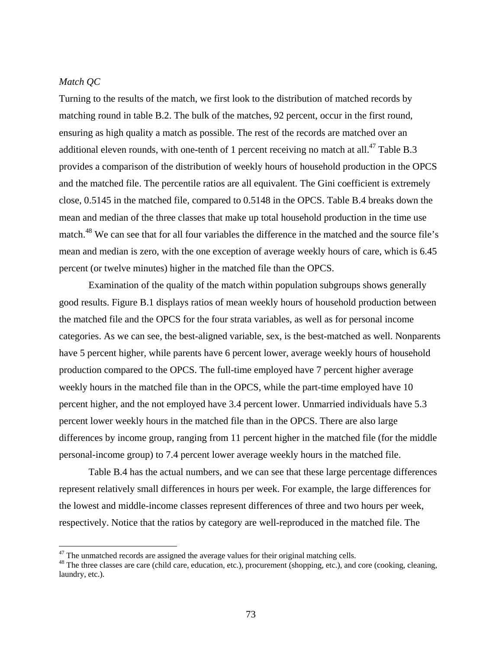### *Match QC*

Turning to the results of the match, we first look to the distribution of matched records by matching round in table B.2. The bulk of the matches, 92 percent, occur in the first round, ensuring as high quality a match as possible. The rest of the records are matched over an additional eleven rounds, with one-tenth of 1 percent receiving no match at all.<sup>47</sup> Table B.3 provides a comparison of the distribution of weekly hours of household production in the OPCS and the matched file. The percentile ratios are all equivalent. The Gini coefficient is extremely close, 0.5145 in the matched file, compared to 0.5148 in the OPCS. Table B.4 breaks down the mean and median of the three classes that make up total household production in the time use match.<sup>48</sup> We can see that for all four variables the difference in the matched and the source file's mean and median is zero, with the one exception of average weekly hours of care, which is 6.45 percent (or twelve minutes) higher in the matched file than the OPCS.

Examination of the quality of the match within population subgroups shows generally good results. Figure B.1 displays ratios of mean weekly hours of household production between the matched file and the OPCS for the four strata variables, as well as for personal income categories. As we can see, the best-aligned variable, sex, is the best-matched as well. Nonparents have 5 percent higher, while parents have 6 percent lower, average weekly hours of household production compared to the OPCS. The full-time employed have 7 percent higher average weekly hours in the matched file than in the OPCS, while the part-time employed have 10 percent higher, and the not employed have 3.4 percent lower. Unmarried individuals have 5.3 percent lower weekly hours in the matched file than in the OPCS. There are also large differences by income group, ranging from 11 percent higher in the matched file (for the middle personal-income group) to 7.4 percent lower average weekly hours in the matched file.

Table B.4 has the actual numbers, and we can see that these large percentage differences represent relatively small differences in hours per week. For example, the large differences for the lowest and middle-income classes represent differences of three and two hours per week, respectively. Notice that the ratios by category are well-reproduced in the matched file. The

 $47$  The unmatched records are assigned the average values for their original matching cells.

<sup>&</sup>lt;sup>48</sup> The three classes are care (child care, education, etc.), procurement (shopping, etc.), and core (cooking, cleaning, laundry, etc.).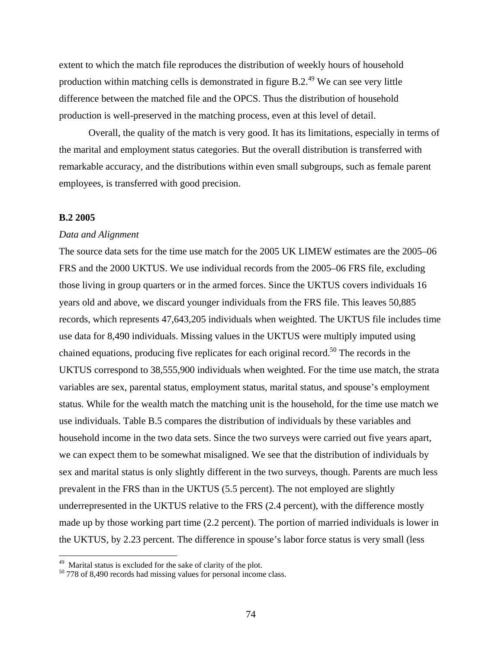extent to which the match file reproduces the distribution of weekly hours of household production within matching cells is demonstrated in figure  $B.2<sup>49</sup>$  We can see very little difference between the matched file and the OPCS. Thus the distribution of household production is well-preserved in the matching process, even at this level of detail.

Overall, the quality of the match is very good. It has its limitations, especially in terms of the marital and employment status categories. But the overall distribution is transferred with remarkable accuracy, and the distributions within even small subgroups, such as female parent employees, is transferred with good precision.

#### **B.2 2005**

#### *Data and Alignment*

The source data sets for the time use match for the 2005 UK LIMEW estimates are the 2005–06 FRS and the 2000 UKTUS. We use individual records from the 2005–06 FRS file, excluding those living in group quarters or in the armed forces. Since the UKTUS covers individuals 16 years old and above, we discard younger individuals from the FRS file. This leaves 50,885 records, which represents 47,643,205 individuals when weighted. The UKTUS file includes time use data for 8,490 individuals. Missing values in the UKTUS were multiply imputed using chained equations, producing five replicates for each original record.50 The records in the UKTUS correspond to 38,555,900 individuals when weighted. For the time use match, the strata variables are sex, parental status, employment status, marital status, and spouse's employment status. While for the wealth match the matching unit is the household, for the time use match we use individuals. Table B.5 compares the distribution of individuals by these variables and household income in the two data sets. Since the two surveys were carried out five years apart, we can expect them to be somewhat misaligned. We see that the distribution of individuals by sex and marital status is only slightly different in the two surveys, though. Parents are much less prevalent in the FRS than in the UKTUS (5.5 percent). The not employed are slightly underrepresented in the UKTUS relative to the FRS (2.4 percent), with the difference mostly made up by those working part time (2.2 percent). The portion of married individuals is lower in the UKTUS, by 2.23 percent. The difference in spouse's labor force status is very small (less

<sup>&</sup>lt;sup>49</sup> Marital status is excluded for the sake of clarity of the plot.

<sup>&</sup>lt;sup>50</sup> 778 of 8,490 records had missing values for personal income class.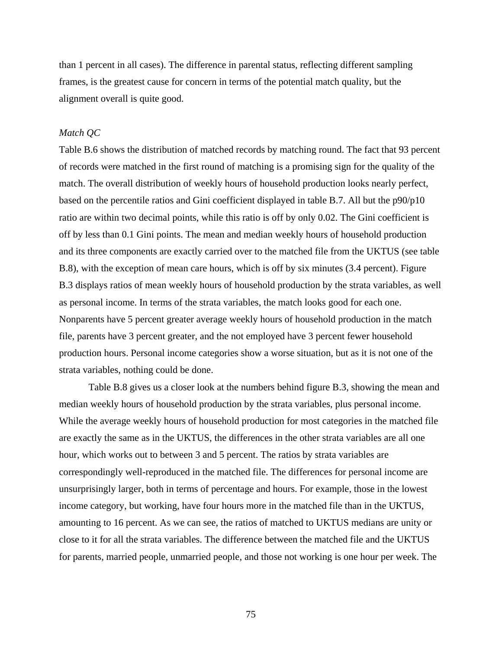than 1 percent in all cases). The difference in parental status, reflecting different sampling frames, is the greatest cause for concern in terms of the potential match quality, but the alignment overall is quite good.

#### *Match QC*

Table B.6 shows the distribution of matched records by matching round. The fact that 93 percent of records were matched in the first round of matching is a promising sign for the quality of the match. The overall distribution of weekly hours of household production looks nearly perfect, based on the percentile ratios and Gini coefficient displayed in table B.7. All but the p90/p10 ratio are within two decimal points, while this ratio is off by only 0.02. The Gini coefficient is off by less than 0.1 Gini points. The mean and median weekly hours of household production and its three components are exactly carried over to the matched file from the UKTUS (see table B.8), with the exception of mean care hours, which is off by six minutes (3.4 percent). Figure B.3 displays ratios of mean weekly hours of household production by the strata variables, as well as personal income. In terms of the strata variables, the match looks good for each one. Nonparents have 5 percent greater average weekly hours of household production in the match file, parents have 3 percent greater, and the not employed have 3 percent fewer household production hours. Personal income categories show a worse situation, but as it is not one of the strata variables, nothing could be done.

Table B.8 gives us a closer look at the numbers behind figure B.3, showing the mean and median weekly hours of household production by the strata variables, plus personal income. While the average weekly hours of household production for most categories in the matched file are exactly the same as in the UKTUS, the differences in the other strata variables are all one hour, which works out to between 3 and 5 percent. The ratios by strata variables are correspondingly well-reproduced in the matched file. The differences for personal income are unsurprisingly larger, both in terms of percentage and hours. For example, those in the lowest income category, but working, have four hours more in the matched file than in the UKTUS, amounting to 16 percent. As we can see, the ratios of matched to UKTUS medians are unity or close to it for all the strata variables. The difference between the matched file and the UKTUS for parents, married people, unmarried people, and those not working is one hour per week. The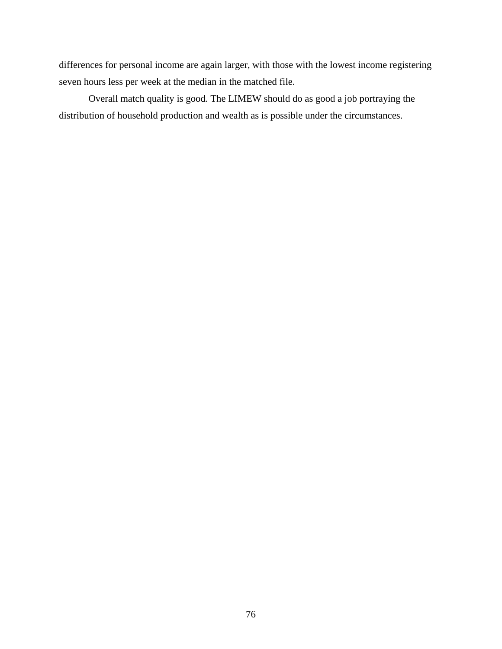differences for personal income are again larger, with those with the lowest income registering seven hours less per week at the median in the matched file.

Overall match quality is good. The LIMEW should do as good a job portraying the distribution of household production and wealth as is possible under the circumstances.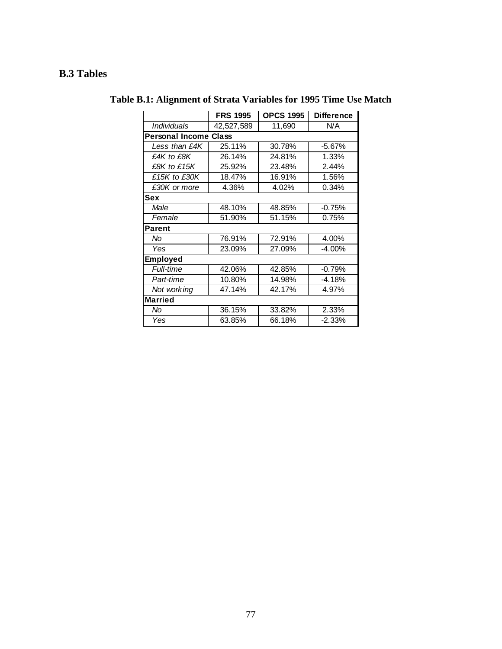# **B.3 Tables**

|                              | <b>FRS 1995</b> | <b>OPCS 1995</b> | <b>Difference</b> |
|------------------------------|-----------------|------------------|-------------------|
| <i><b>Individuals</b></i>    | 42,527,589      | 11,690           | N/A               |
| <b>Personal Income Class</b> |                 |                  |                   |
| Less than £4K                | 25.11%          | 30.78%           | $-5.67%$          |
| £4K to £8K                   | 26.14%          | 24.81%           | 1.33%             |
| £8K to £15K                  | 25.92%          | 23.48%           | 2.44%             |
| £15K to £30K                 | 18.47%          | 16.91%           | 1.56%             |
| £30K or more                 | 4.36%           | 4.02%            | 0.34%             |
| Sex                          |                 |                  |                   |
| Male                         | 48.10%          | 48.85%           | $-0.75%$          |
| Female                       | 51.90%          | 51.15%           | 0.75%             |
| <b>Parent</b>                |                 |                  |                   |
| No                           | 76.91%          | 72.91%           | 4.00%             |
| Yes                          | 23.09%          | 27.09%           | $-4.00%$          |
| <b>Employed</b>              |                 |                  |                   |
| <b>Full-time</b>             | 42.06%          | 42.85%           | $-0.79%$          |
| Part-time                    | 10.80%          | 14.98%           | $-4.18%$          |
| Not working                  | 47.14%          | 42.17%           | 4.97%             |
| <b>Married</b>               |                 |                  |                   |
| No                           | 36.15%          | 33.82%           | 2.33%             |
| Yes                          | 63.85%          | 66.18%           | $-2.33%$          |

**Table B.1: Alignment of Strata Variables for 1995 Time Use Match**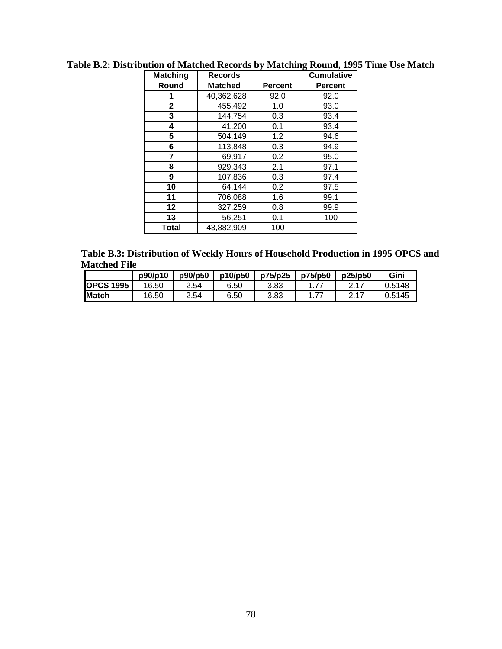| <b>Matching</b> | <b>Records</b> |                | <b>Cumulative</b> |
|-----------------|----------------|----------------|-------------------|
| Round           | <b>Matched</b> | <b>Percent</b> | <b>Percent</b>    |
|                 | 40,362,628     | 92.0           | 92.0              |
| 2               | 455,492        | 1.0            | 93.0              |
| 3               | 144,754        | 0.3            | 93.4              |
| 4               | 41,200         | 0.1            | 93.4              |
| 5               | 504,149        | 1.2            | 94.6              |
| 6               | 113,848        | 0.3            | 94.9              |
| 7               | 69,917         | 0.2            | 95.0              |
| 8               | 929,343        | 2.1            | 97.1              |
| 9               | 107,836        | 0.3            | 97.4              |
| 10              | 64,144         | 0.2            | 97.5              |
| 11              | 706,088        | 1.6            | 99.1              |
| 12              | 327,259        | 0.8            | 99.9              |
| 13              | 56,251         | 0.1            | 100               |
| Total           | 43,882,909     | 100            |                   |

**Table B.2: Distribution of Matched Records by Matching Round, 1995 Time Use Match** 

**Table B.3: Distribution of Weekly Hours of Household Production in 1995 OPCS and Matched File** 

|                  | p90/p10 | p90/p50 | p10/p50 | p75/p25 | p75/p50 | p25/p50 | <b>Gini</b> |
|------------------|---------|---------|---------|---------|---------|---------|-------------|
| <b>OPCS 1995</b> | 16.50   | 2.54    | 6.50    | 3.83    |         |         | 0.5148      |
| <b>Match</b>     | 16.50   | 2.54    | 6.50    | 3.83    | 77      | 0.17    | 0.5145      |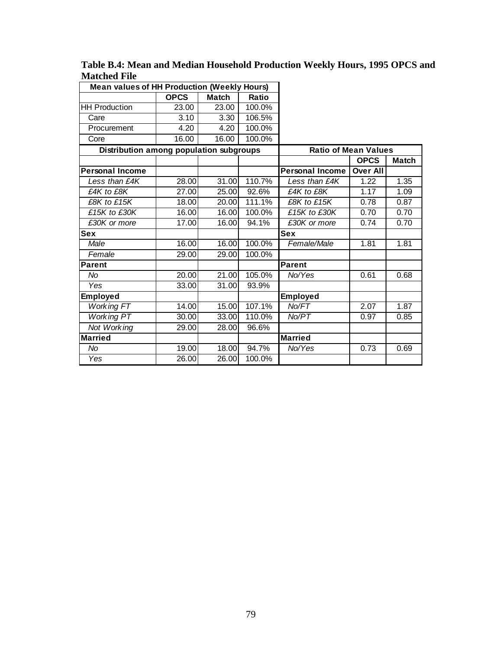| <b>Mean values of HH Production (Weekly Hours)</b> |             |              |        |                             |                 |              |
|----------------------------------------------------|-------------|--------------|--------|-----------------------------|-----------------|--------------|
|                                                    | <b>OPCS</b> | <b>Match</b> | Ratio  |                             |                 |              |
| <b>HH Production</b>                               | 23.00       | 23.00        | 100.0% |                             |                 |              |
| Care                                               | 3.10        | 3.30         | 106.5% |                             |                 |              |
| Procurement                                        | 4.20        | 4.20         | 100.0% |                             |                 |              |
| Core                                               | 16.00       | 16.00        | 100.0% |                             |                 |              |
| Distribution among population subgroups            |             |              |        | <b>Ratio of Mean Values</b> |                 |              |
|                                                    |             |              |        |                             | <b>OPCS</b>     | <b>Match</b> |
| <b>Personal Income</b>                             |             |              |        | <b>Personal Income</b>      | <b>Over All</b> |              |
| Less than £4K                                      | 28.00       | 31.00        | 110.7% | Less than £4K               | 1.22            | 1.35         |
| £4K to £8K                                         | 27.00       | 25.00        | 92.6%  | £4K to £8K                  | 1.17            | 1.09         |
| £8K to £15K                                        | 18.00       | 20.00        | 111.1% | £8K to £15K                 | 0.78            | 0.87         |
| $\overline{E1}$ 5K to £30K                         | 16.00       | 16.00        | 100.0% | £15K to £30K                | 0.70            | 0.70         |
| £30K or more                                       | 17.00       | 16.00        | 94.1%  | £30K or more                | 0.74            | 0.70         |
| <b>Sex</b>                                         |             |              |        | <b>Sex</b>                  |                 |              |
| Male                                               | 16.00       | 16.00        | 100.0% | Female/Male                 | 1.81            | 1.81         |
| Female                                             | 29.00       | 29.00        | 100.0% |                             |                 |              |
| Parent                                             |             |              |        | Parent                      |                 |              |
| No.                                                | 20.00       | 21.00        | 105.0% | No/Yes                      | 0.61            | 0.68         |
| Yes                                                | 33.00       | 31.00        | 93.9%  |                             |                 |              |
| Employed                                           |             |              |        | Employed                    |                 |              |
| <b>Working FT</b>                                  | 14.00       | 15.00        | 107.1% | No/FT                       | 2.07            | 1.87         |
| <b>Working PT</b>                                  | 30.00       | 33.00        | 110.0% | No/PT                       | 0.97            | 0.85         |
| Not Working                                        | 29.00       | 28.00        | 96.6%  |                             |                 |              |
| Married                                            |             |              |        | <b>Married</b>              |                 |              |
| No.                                                | 19.00       | 18.00        | 94.7%  | No/Yes                      | 0.73            | 0.69         |
| Yes                                                | 26.00       | 26.00        | 100.0% |                             |                 |              |

**Table B.4: Mean and Median Household Production Weekly Hours, 1995 OPCS and Matched File**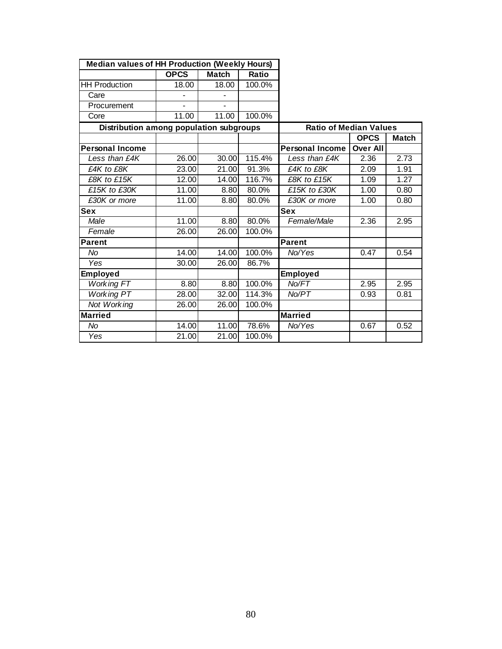| <b>Median values of HH Production (Weekly Hours)</b> |             |                    |        |                               |                 |              |
|------------------------------------------------------|-------------|--------------------|--------|-------------------------------|-----------------|--------------|
|                                                      | <b>OPCS</b> | <b>Match</b>       | Ratio  |                               |                 |              |
| <b>HH Production</b>                                 | 18.00       | 18.00              | 100.0% |                               |                 |              |
| Care                                                 |             |                    |        |                               |                 |              |
| Procurement                                          |             |                    |        |                               |                 |              |
| Core                                                 | 11.00       | 11.00              | 100.0% |                               |                 |              |
| Distribution among population subgroups              |             |                    |        | <b>Ratio of Median Values</b> |                 |              |
|                                                      |             |                    |        |                               | <b>OPCS</b>     | <b>Match</b> |
| <b>Personal Income</b>                               |             |                    |        | <b>Personal Income</b>        | <b>Over All</b> |              |
| Less than £4K                                        | 26.00       | 30.00              | 115.4% | Less than £4K                 | 2.36            | 2.73         |
| £4K to £8K                                           | 23.00       | 21.00              | 91.3%  | £4K to £8K                    | 2.09            | 1.91         |
| £8K to £15K                                          | 12.00       | 14.00              | 116.7% | £8K to £15K                   | 1.09            | 1.27         |
| £15K to £30K                                         | 11.00       | 8.80               | 80.0%  | £15K to £30K                  | 1.00            | 0.80         |
| £30K or more                                         | 11.00       | 8.80               | 80.0%  | £30K or more                  | 1.00            | 0.80         |
| Sex                                                  |             |                    |        | <b>Sex</b>                    |                 |              |
| Male                                                 | 11.00       | 8.80               | 80.0%  | Female/Male                   | 2.36            | 2.95         |
| Female                                               | 26.00       | $\overline{26.00}$ | 100.0% |                               |                 |              |
| <b>Parent</b>                                        |             |                    |        | Parent                        |                 |              |
| No.                                                  | 14.00       | 14.00              | 100.0% | No/Yes                        | 0.47            | 0.54         |
| Yes                                                  | 30.00       | 26.00              | 86.7%  |                               |                 |              |
| <b>Employed</b>                                      |             |                    |        | <b>Employed</b>               |                 |              |
| <b>Working FT</b>                                    | 8.80        | 8.80               | 100.0% | No/FT                         | 2.95            | 2.95         |
| <b>Working PT</b>                                    | 28.00       | 32.00              | 114.3% | No/PT                         | 0.93            | 0.81         |
| Not Working                                          | 26.00       | 26.00              | 100.0% |                               |                 |              |
| <b>Married</b>                                       |             |                    |        | <b>Married</b>                |                 |              |
| No                                                   | 14.00       | 11.00              | 78.6%  | No/Yes                        | 0.67            | 0.52         |
| Yes                                                  | 21.00       | 21.00              | 100.0% |                               |                 |              |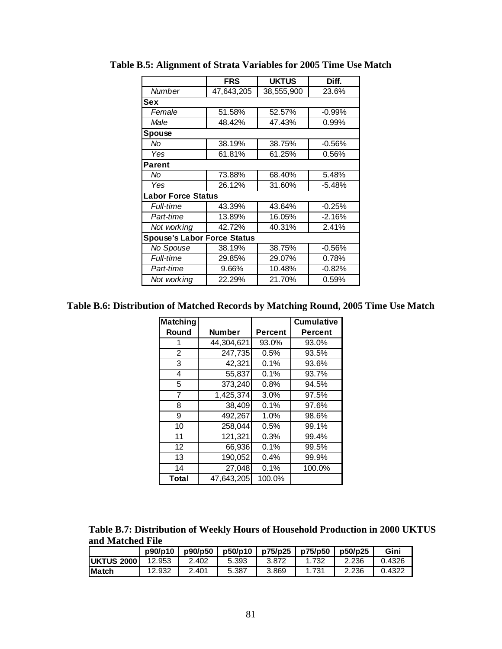|                                    | <b>FRS</b> | <b>UKTUS</b> | Diff.    |
|------------------------------------|------------|--------------|----------|
| Number                             | 47,643,205 | 38,555,900   | 23.6%    |
| Sex                                |            |              |          |
| Female                             | 51.58%     | 52.57%       | $-0.99%$ |
| Male                               | 48.42%     | 47.43%       | 0.99%    |
| <b>Spouse</b>                      |            |              |          |
| No                                 | 38.19%     | 38.75%       | $-0.56%$ |
| Yes                                | 61.81%     | 61.25%       | 0.56%    |
| <b>Parent</b>                      |            |              |          |
| No                                 | 73.88%     | 68.40%       | 5.48%    |
| Yes                                | 26.12%     | 31.60%       | $-5.48%$ |
| <b>Labor Force Status</b>          |            |              |          |
| Full-time                          | 43.39%     | 43.64%       | $-0.25%$ |
| Part-time                          | 13.89%     | 16.05%       | $-2.16%$ |
| Not working                        | 42.72%     | 40.31%       | 2.41%    |
| <b>Spouse's Labor Force Status</b> |            |              |          |
| No Spouse                          | 38.19%     | 38.75%       | $-0.56%$ |
| <b>Full-time</b>                   | 29.85%     | 29.07%       | 0.78%    |
| Part-time                          | 9.66%      | 10.48%       | $-0.82%$ |
| Not working                        | 22.29%     | 21.70%       | 0.59%    |

**Table B.5: Alignment of Strata Variables for 2005 Time Use Match** 

**Table B.6: Distribution of Matched Records by Matching Round, 2005 Time Use Match** 

| <b>Matching</b> |               |                | <b>Cumulative</b> |
|-----------------|---------------|----------------|-------------------|
| Round           | <b>Number</b> | <b>Percent</b> | Percent           |
| 1               | 44,304,621    | 93.0%          | 93.0%             |
| $\overline{2}$  | 247,735       | 0.5%           | 93.5%             |
| 3               | 42,321        | 0.1%           | 93.6%             |
| 4               | 55,837        | 0.1%           | 93.7%             |
| 5               | 373,240       | 0.8%           | 94.5%             |
| 7               | 1,425,374     | 3.0%           | 97.5%             |
| 8               | 38,409        | 0.1%           | 97.6%             |
| 9               | 492,267       | 1.0%           | 98.6%             |
| 10              | 258,044       | 0.5%           | 99.1%             |
| 11              | 121,321       | 0.3%           | 99.4%             |
| 12              | 66,936        | 0.1%           | 99.5%             |
| 13              | 190,052       | 0.4%           | 99.9%             |
| 14              | 27,048        | 0.1%           | 100.0%            |
| <b>Total</b>    | 47,643,205    | 100.0%         |                   |

**Table B.7: Distribution of Weekly Hours of Household Production in 2000 UKTUS and Matched File** 

|                   | p90/p10 | p90/p50 | p50/p10 | p75/p25 | p75/p50 | p50/p25 | Gini   |
|-------------------|---------|---------|---------|---------|---------|---------|--------|
| <b>UKTUS 2000</b> | 12.953  | 2.402   | 5.393   | 3.872   | .732    | 2.236   | 0.4326 |
| <b>Match</b>      | 12.932  | 2.401   | 5.387   | 3.869   |         | 2.236   | .4322  |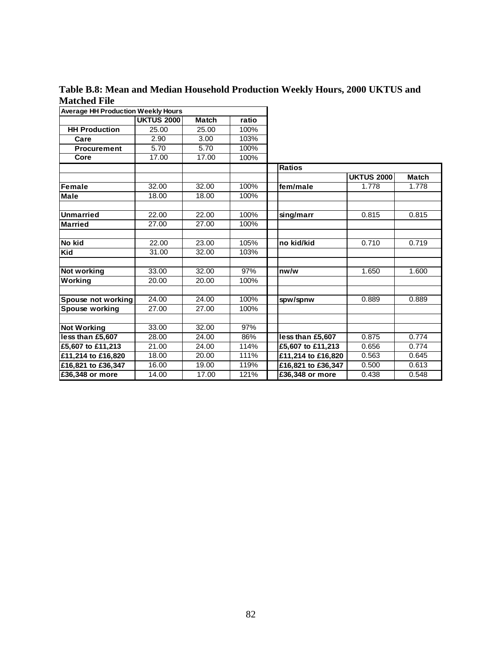**Table B.8: Mean and Median Household Production Weekly Hours, 2000 UKTUS and Matched File** 

| <b>Average HH Production Weekly Hours</b> |                   |              |       |                    |                   |              |
|-------------------------------------------|-------------------|--------------|-------|--------------------|-------------------|--------------|
|                                           | <b>UKTUS 2000</b> | <b>Match</b> | ratio |                    |                   |              |
| <b>HH Production</b>                      | 25.00             | 25.00        | 100%  |                    |                   |              |
| Care                                      | 2.90              | 3.00         | 103%  |                    |                   |              |
| <b>Procurement</b>                        | 5.70              | 5.70         | 100%  |                    |                   |              |
| Core                                      | 17.00             | 17.00        | 100%  |                    |                   |              |
|                                           |                   |              |       | <b>Ratios</b>      |                   |              |
|                                           |                   |              |       |                    | <b>UKTUS 2000</b> | <b>Match</b> |
| <b>Female</b>                             | 32.00             | 32.00        | 100%  | fem/male           | 1.778             | 1.778        |
| <b>Male</b>                               | 18.00             | 18.00        | 100%  |                    |                   |              |
|                                           |                   |              |       |                    |                   |              |
| <b>Unmarried</b>                          | 22.00             | 22.00        | 100%  | sing/marr          | 0.815             | 0.815        |
| <b>Married</b>                            | 27.00             | 27.00        | 100%  |                    |                   |              |
|                                           |                   |              |       |                    |                   |              |
| No kid                                    | 22.00             | 23.00        | 105%  | no kid/kid         | 0.710             | 0.719        |
| Kid                                       | 31.00             | 32.00        | 103%  |                    |                   |              |
|                                           |                   |              |       |                    |                   |              |
| Not working                               | 33.00             | 32.00        | 97%   | nw/w               | 1.650             | 1.600        |
| Working                                   | 20.00             | 20.00        | 100%  |                    |                   |              |
|                                           |                   |              |       |                    |                   |              |
| Spouse not working                        | 24.00             | 24.00        | 100%  | spw/spnw           | 0.889             | 0.889        |
| Spouse working                            | 27.00             | 27.00        | 100%  |                    |                   |              |
|                                           |                   |              |       |                    |                   |              |
| <b>Not Working</b>                        | 33.00             | 32.00        | 97%   |                    |                   |              |
| less than £5,607                          | 28.00             | 24.00        | 86%   | less than £5,607   | 0.875             | 0.774        |
| £5.607 to £11.213                         | 21.00             | 24.00        | 114%  | £5,607 to £11,213  | 0.656             | 0.774        |
| £11,214 to £16,820                        | 18.00             | 20.00        | 111%  | £11,214 to £16,820 | 0.563             | 0.645        |
| £16,821 to £36,347                        | 16.00             | 19.00        | 119%  | £16,821 to £36,347 | 0.500             | 0.613        |
| £36,348 or more                           | 14.00             | 17.00        | 121%  | £36,348 or more    | 0.438             | 0.548        |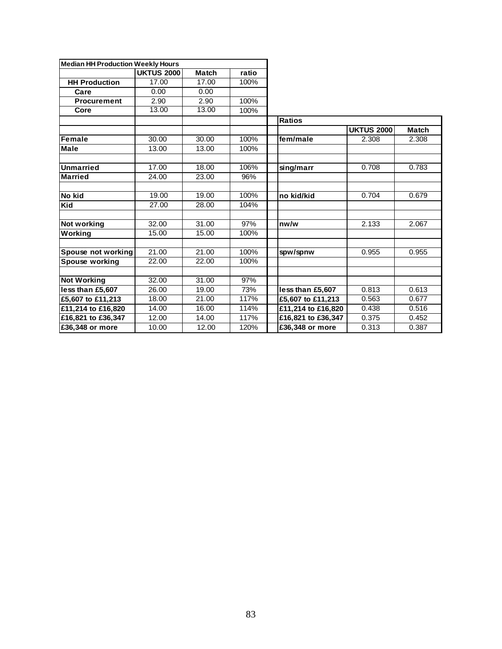| <b>Median HH Production Weekly Hours</b> |                   |              |       |                    |                   |              |
|------------------------------------------|-------------------|--------------|-------|--------------------|-------------------|--------------|
|                                          | <b>UKTUS 2000</b> | <b>Match</b> | ratio |                    |                   |              |
| <b>HH Production</b>                     | 17.00             | 17.00        | 100%  |                    |                   |              |
| Care                                     | 0.00              | 0.00         |       |                    |                   |              |
| <b>Procurement</b>                       | 2.90              | 2.90         | 100%  |                    |                   |              |
| Core                                     | 13.00             | 13.00        | 100%  |                    |                   |              |
|                                          |                   |              |       | <b>Ratios</b>      |                   |              |
|                                          |                   |              |       |                    | <b>UKTUS 2000</b> | <b>Match</b> |
| Female                                   | 30.00             | 30.00        | 100%  | fem/male           | 2.308             | 2.308        |
| <b>Male</b>                              | 13.00             | 13.00        | 100%  |                    |                   |              |
|                                          |                   |              |       |                    |                   |              |
| <b>Unmarried</b>                         | 17.00             | 18.00        | 106%  | sing/marr          | 0.708             | 0.783        |
| <b>Married</b>                           | 24.00             | 23.00        | 96%   |                    |                   |              |
|                                          |                   |              |       |                    |                   |              |
| No kid                                   | 19.00             | 19.00        | 100%  | no kid/kid         | 0.704             | 0.679        |
| Kid                                      | 27.00             | 28.00        | 104%  |                    |                   |              |
|                                          |                   |              |       |                    |                   |              |
| <b>Not working</b>                       | 32.00             | 31.00        | 97%   | nw/w               | 2.133             | 2.067        |
| Working                                  | 15.00             | 15.00        | 100%  |                    |                   |              |
|                                          |                   |              |       |                    |                   |              |
| Spouse not working                       | 21.00             | 21.00        | 100%  | spw/spnw           | 0.955             | 0.955        |
| Spouse working                           | 22.00             | 22.00        | 100%  |                    |                   |              |
|                                          |                   |              |       |                    |                   |              |
| <b>Not Working</b>                       | 32.00             | 31.00        | 97%   |                    |                   |              |
| less than £5,607                         | 26.00             | 19.00        | 73%   | less than £5,607   | 0.813             | 0.613        |
| £5,607 to £11,213                        | 18.00             | 21.00        | 117%  | £5,607 to £11,213  | 0.563             | 0.677        |
| £11,214 to £16,820                       | 14.00             | 16.00        | 114%  | £11,214 to £16,820 | 0.438             | 0.516        |
| £16,821 to £36,347                       | 12.00             | 14.00        | 117%  | £16,821 to £36,347 | 0.375             | 0.452        |
| £36,348 or more                          | 10.00             | 12.00        | 120%  | £36,348 or more    | 0.313             | 0.387        |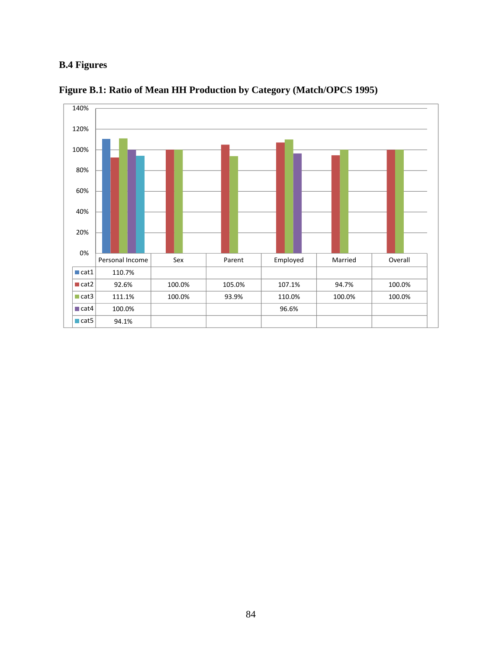# **B.4 Figures**



**Figure B.1: Ratio of Mean HH Production by Category (Match/OPCS 1995)**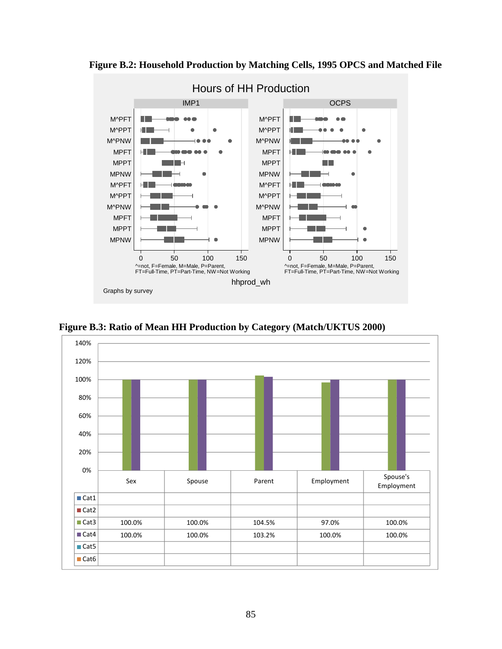

**Figure B.2: Household Production by Matching Cells, 1995 OPCS and Matched File** 

**Figure B.3: Ratio of Mean HH Production by Category (Match/UKTUS 2000)** 

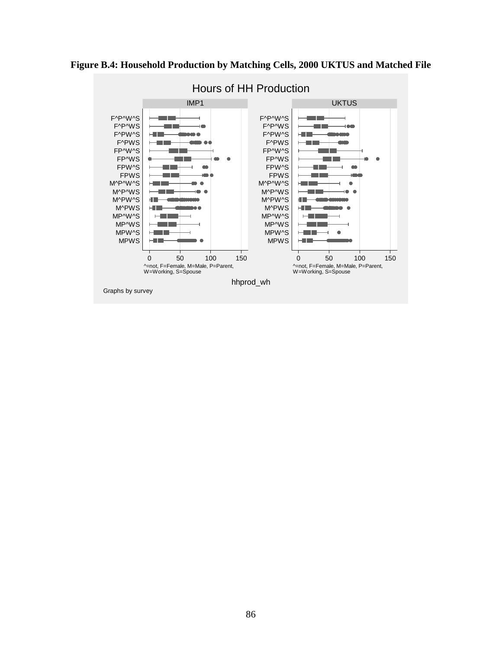## **Figure B.4: Household Production by Matching Cells, 2000 UKTUS and Matched File**



# Hours of HH Production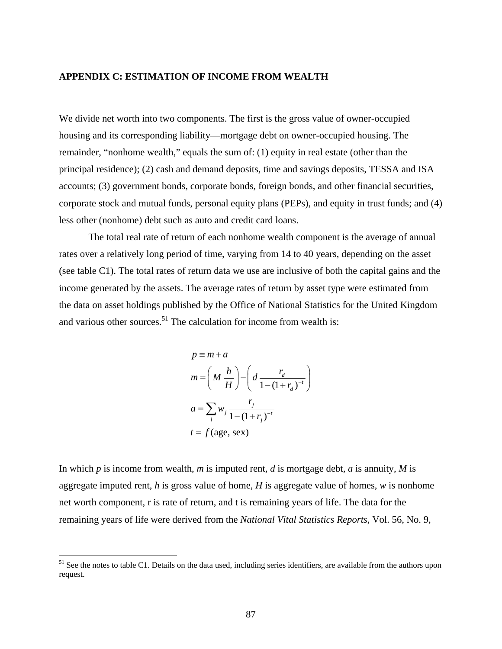### **APPENDIX C: ESTIMATION OF INCOME FROM WEALTH**

We divide net worth into two components. The first is the gross value of owner-occupied housing and its corresponding liability—mortgage debt on owner-occupied housing. The remainder, "nonhome wealth," equals the sum of: (1) equity in real estate (other than the principal residence); (2) cash and demand deposits, time and savings deposits, TESSA and ISA accounts; (3) government bonds, corporate bonds, foreign bonds, and other financial securities, corporate stock and mutual funds, personal equity plans (PEPs), and equity in trust funds; and (4) less other (nonhome) debt such as auto and credit card loans.

The total real rate of return of each nonhome wealth component is the average of annual rates over a relatively long period of time, varying from 14 to 40 years, depending on the asset (see table C1). The total rates of return data we use are inclusive of both the capital gains and the income generated by the assets. The average rates of return by asset type were estimated from the data on asset holdings published by the Office of National Statistics for the United Kingdom and various other sources.<sup>51</sup> The calculation for income from wealth is:

$$
p \equiv m + a
$$
  
\n
$$
m = \left(M \frac{h}{H}\right) - \left(d \frac{r_d}{1 - (1 + r_d)^{-t}}\right)
$$
  
\n
$$
a = \sum_j w_j \frac{r_j}{1 - (1 + r_j)^{-t}}
$$
  
\n
$$
t = f(\text{age, sex})
$$

In which *p* is income from wealth, *m* is imputed rent, *d* is mortgage debt, *a* is annuity, *M* is aggregate imputed rent, *h* is gross value of home, *H* is aggregate value of homes, *w* is nonhome net worth component, r is rate of return, and t is remaining years of life. The data for the remaining years of life were derived from the *National Vital Statistics Reports*, Vol. 56, No. 9,

<sup>&</sup>lt;sup>51</sup> See the notes to table C1. Details on the data used, including series identifiers, are available from the authors upon request.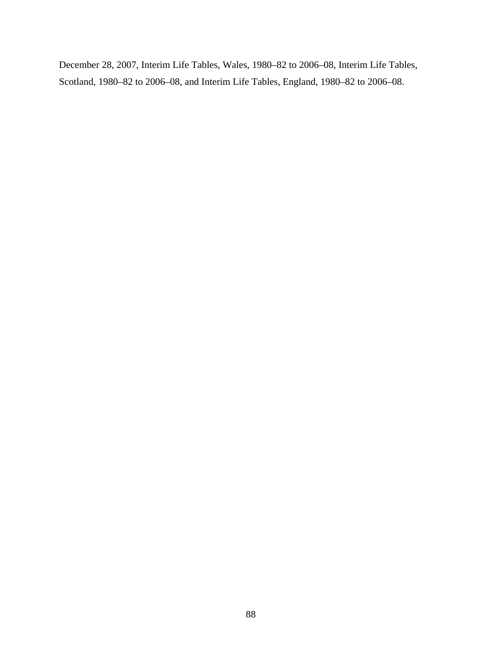December 28, 2007, Interim Life Tables, Wales, 1980–82 to 2006–08, Interim Life Tables, Scotland, 1980–82 to 2006–08, and Interim Life Tables, England, 1980–82 to 2006–08.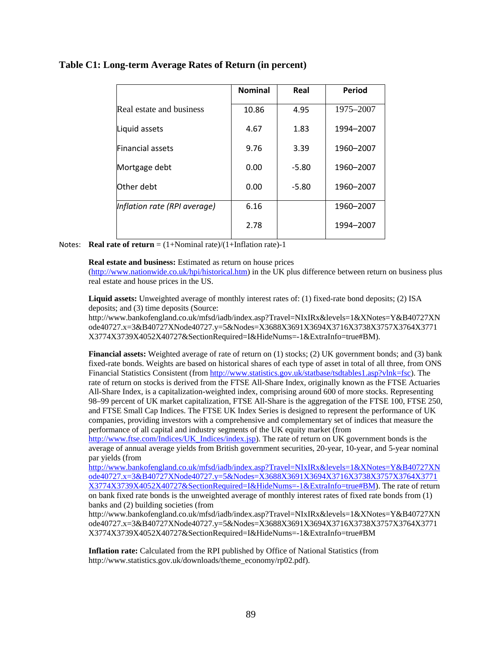### **Table C1: Long-term Average Rates of Return (in percent)**

|                              | <b>Nominal</b> | Real    | Period    |
|------------------------------|----------------|---------|-----------|
| Real estate and business     | 10.86          | 4.95    | 1975–2007 |
| Liquid assets                | 4.67           | 1.83    | 1994-2007 |
| <b>Financial assets</b>      | 9.76           | 3.39    | 1960-2007 |
| Mortgage debt                | 0.00           | $-5.80$ | 1960-2007 |
| Other debt                   | 0.00           | $-5.80$ | 1960-2007 |
| Inflation rate (RPI average) | 6.16           |         | 1960-2007 |
|                              | 2.78           |         | 1994-2007 |

Notes: **Real rate of return** =  $(1+~~Nominal rate)/(1+Inflation rate)~~-1$ 

#### **Real estate and business:** Estimated as return on house prices

(http://www.nationwide.co.uk/hpi/historical.htm) in the UK plus difference between return on business plus real estate and house prices in the US.

**Liquid assets:** Unweighted average of monthly interest rates of: (1) fixed-rate bond deposits; (2) ISA deposits; and (3) time deposits (Source:

http://www.bankofengland.co.uk/mfsd/iadb/index.asp?Travel=NIxIRx&levels=1&XNotes=Y&B40727XN ode40727.x=3&B40727XNode40727.y=5&Nodes=X3688X3691X3694X3716X3738X3757X3764X3771 X3774X3739X4052X40727&SectionRequired=I&HideNums=-1&ExtraInfo=true#BM).

**Financial assets:** Weighted average of rate of return on (1) stocks; (2) UK government bonds; and (3) bank fixed-rate bonds. Weights are based on historical shares of each type of asset in total of all three, from ONS Financial Statistics Consistent (from http://www.statistics.gov.uk/statbase/tsdtables1.asp?vlnk=fsc). The rate of return on stocks is derived from the FTSE All-Share Index, originally known as the FTSE Actuaries All-Share Index, is a capitalization-weighted index, comprising around 600 of more stocks. Representing 98–99 percent of UK market capitalization, FTSE All-Share is the aggregation of the FTSE 100, FTSE 250, and FTSE Small Cap Indices. The FTSE UK Index Series is designed to represent the performance of UK companies, providing investors with a comprehensive and complementary set of indices that measure the performance of all capital and industry segments of the UK equity market (from

http://www.ftse.com/Indices/UK\_Indices/index.jsp). The rate of return on UK government bonds is the average of annual average yields from British government securities, 20-year, 10-year, and 5-year nominal par yields (from

http://www.bankofengland.co.uk/mfsd/iadb/index.asp?Travel=NIxIRx&levels=1&XNotes=Y&B40727XN ode40727.x=3&B40727XNode40727.y=5&Nodes=X3688X3691X3694X3716X3738X3757X3764X3771 X3774X3739X4052X40727&SectionRequired=I&HideNums=-1&ExtraInfo=true#BM). The rate of return on bank fixed rate bonds is the unweighted average of monthly interest rates of fixed rate bonds from (1) banks and (2) building societies (from

http://www.bankofengland.co.uk/mfsd/iadb/index.asp?Travel=NIxIRx&levels=1&XNotes=Y&B40727XN ode40727.x=3&B40727XNode40727.y=5&Nodes=X3688X3691X3694X3716X3738X3757X3764X3771 X3774X3739X4052X40727&SectionRequired=I&HideNums=-1&ExtraInfo=true#BM

**Inflation rate:** Calculated from the RPI published by Office of National Statistics (from http://www.statistics.gov.uk/downloads/theme\_economy/rp02.pdf).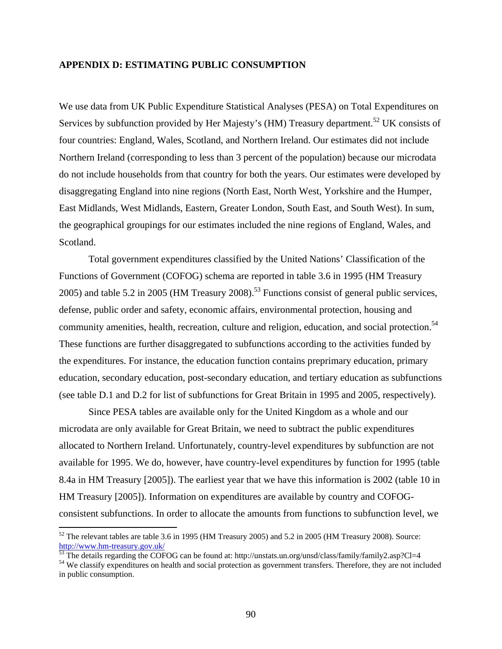### **APPENDIX D: ESTIMATING PUBLIC CONSUMPTION**

We use data from UK Public Expenditure Statistical Analyses (PESA) on Total Expenditures on Services by subfunction provided by Her Majesty's (HM) Treasury department.<sup>52</sup> UK consists of four countries: England, Wales, Scotland, and Northern Ireland. Our estimates did not include Northern Ireland (corresponding to less than 3 percent of the population) because our microdata do not include households from that country for both the years. Our estimates were developed by disaggregating England into nine regions (North East, North West, Yorkshire and the Humper, East Midlands, West Midlands, Eastern, Greater London, South East, and South West). In sum, the geographical groupings for our estimates included the nine regions of England, Wales, and Scotland.

Total government expenditures classified by the United Nations' Classification of the Functions of Government (COFOG) schema are reported in table 3.6 in 1995 (HM Treasury 2005) and table 5.2 in 2005 (HM Treasury 2008).<sup>53</sup> Functions consist of general public services, defense, public order and safety, economic affairs, environmental protection, housing and community amenities, health, recreation, culture and religion, education, and social protection.<sup>54</sup> These functions are further disaggregated to subfunctions according to the activities funded by the expenditures. For instance, the education function contains preprimary education, primary education, secondary education, post-secondary education, and tertiary education as subfunctions (see table D.1 and D.2 for list of subfunctions for Great Britain in 1995 and 2005, respectively).

Since PESA tables are available only for the United Kingdom as a whole and our microdata are only available for Great Britain, we need to subtract the public expenditures allocated to Northern Ireland. Unfortunately, country-level expenditures by subfunction are not available for 1995. We do, however, have country-level expenditures by function for 1995 (table 8.4a in HM Treasury [2005]). The earliest year that we have this information is 2002 (table 10 in HM Treasury [2005]). Information on expenditures are available by country and COFOGconsistent subfunctions. In order to allocate the amounts from functions to subfunction level, we

 $52$  The relevant tables are table 3.6 in 1995 (HM Treasury 2005) and 5.2 in 2005 (HM Treasury 2008). Source: http://www.hm-treasury.gov.uk/

The details regarding the COFOG can be found at: http://unstats.un.org/unsd/class/family/family2.asp?Cl=4

<sup>&</sup>lt;sup>54</sup> We classify expenditures on health and social protection as government transfers. Therefore, they are not included in public consumption.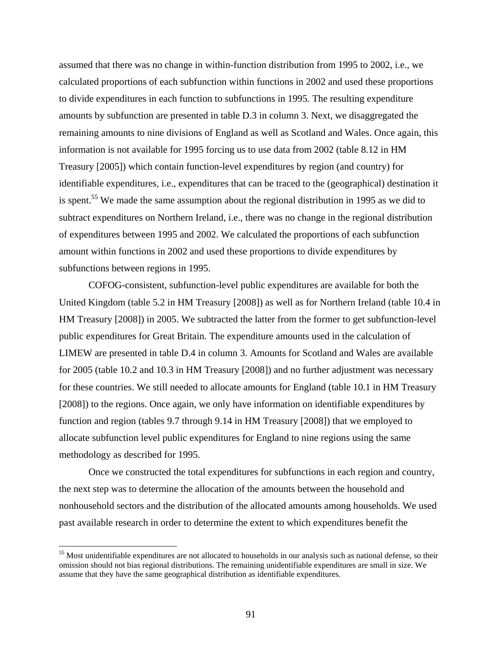assumed that there was no change in within-function distribution from 1995 to 2002, i.e., we calculated proportions of each subfunction within functions in 2002 and used these proportions to divide expenditures in each function to subfunctions in 1995. The resulting expenditure amounts by subfunction are presented in table D.3 in column 3. Next, we disaggregated the remaining amounts to nine divisions of England as well as Scotland and Wales. Once again, this information is not available for 1995 forcing us to use data from 2002 (table 8.12 in HM Treasury [2005]) which contain function-level expenditures by region (and country) for identifiable expenditures, i.e., expenditures that can be traced to the (geographical) destination it is spent.<sup>55</sup> We made the same assumption about the regional distribution in 1995 as we did to subtract expenditures on Northern Ireland, i.e., there was no change in the regional distribution of expenditures between 1995 and 2002. We calculated the proportions of each subfunction amount within functions in 2002 and used these proportions to divide expenditures by subfunctions between regions in 1995.

COFOG-consistent, subfunction-level public expenditures are available for both the United Kingdom (table 5.2 in HM Treasury [2008]) as well as for Northern Ireland (table 10.4 in HM Treasury [2008]) in 2005. We subtracted the latter from the former to get subfunction-level public expenditures for Great Britain. The expenditure amounts used in the calculation of LIMEW are presented in table D.4 in column 3. Amounts for Scotland and Wales are available for 2005 (table 10.2 and 10.3 in HM Treasury [2008]) and no further adjustment was necessary for these countries. We still needed to allocate amounts for England (table 10.1 in HM Treasury [2008]) to the regions. Once again, we only have information on identifiable expenditures by function and region (tables 9.7 through 9.14 in HM Treasury [2008]) that we employed to allocate subfunction level public expenditures for England to nine regions using the same methodology as described for 1995.

Once we constructed the total expenditures for subfunctions in each region and country, the next step was to determine the allocation of the amounts between the household and nonhousehold sectors and the distribution of the allocated amounts among households. We used past available research in order to determine the extent to which expenditures benefit the

 $55$  Most unidentifiable expenditures are not allocated to households in our analysis such as national defense, so their omission should not bias regional distributions. The remaining unidentifiable expenditures are small in size. We assume that they have the same geographical distribution as identifiable expenditures.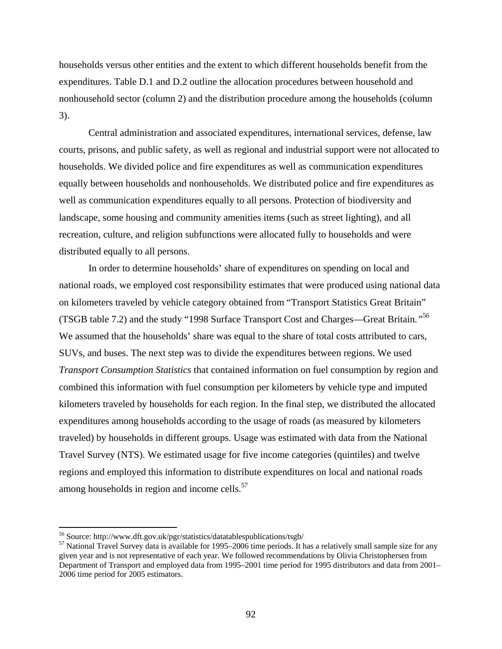households versus other entities and the extent to which different households benefit from the expenditures. Table D.1 and D.2 outline the allocation procedures between household and nonhousehold sector (column 2) and the distribution procedure among the households (column 3).

Central administration and associated expenditures, international services, defense, law courts, prisons, and public safety, as well as regional and industrial support were not allocated to households. We divided police and fire expenditures as well as communication expenditures equally between households and nonhouseholds. We distributed police and fire expenditures as well as communication expenditures equally to all persons. Protection of biodiversity and landscape, some housing and community amenities items (such as street lighting), and all recreation, culture, and religion subfunctions were allocated fully to households and were distributed equally to all persons.

In order to determine households' share of expenditures on spending on local and national roads, we employed cost responsibility estimates that were produced using national data on kilometers traveled by vehicle category obtained from "Transport Statistics Great Britain" (TSGB table 7.2) and the study "1998 Surface Transport Cost and Charges—Great Britain*."*<sup>56</sup> We assumed that the households' share was equal to the share of total costs attributed to cars, SUVs, and buses. The next step was to divide the expenditures between regions. We used *Transport Consumption Statistics* that contained information on fuel consumption by region and combined this information with fuel consumption per kilometers by vehicle type and imputed kilometers traveled by households for each region. In the final step, we distributed the allocated expenditures among households according to the usage of roads (as measured by kilometers traveled) by households in different groups. Usage was estimated with data from the National Travel Survey (NTS). We estimated usage for five income categories (quintiles) and twelve regions and employed this information to distribute expenditures on local and national roads among households in region and income cells.<sup>57</sup>

<sup>56</sup> Source: http://www.dft.gov.uk/pgr/statistics/datatablespublications/tsgb/

<sup>&</sup>lt;sup>57</sup> National Travel Survey data is available for 1995–2006 time periods. It has a relatively small sample size for any given year and is not representative of each year. We followed recommendations by Olivia Christophersen from Department of Transport and employed data from 1995–2001 time period for 1995 distributors and data from 2001– 2006 time period for 2005 estimators.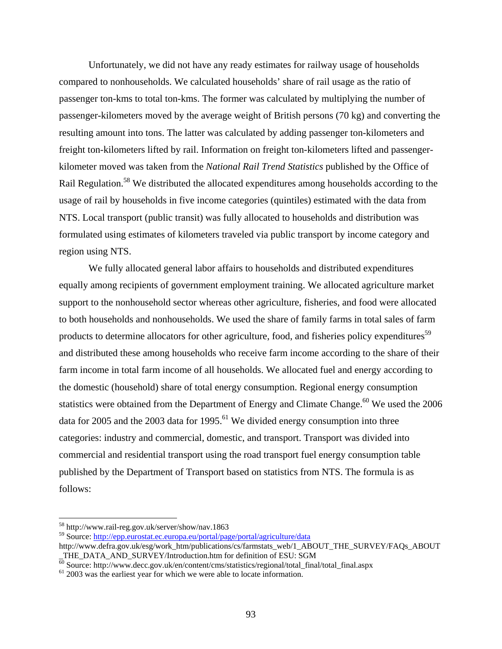Unfortunately, we did not have any ready estimates for railway usage of households compared to nonhouseholds. We calculated households' share of rail usage as the ratio of passenger ton-kms to total ton-kms. The former was calculated by multiplying the number of passenger-kilometers moved by the average weight of British persons (70 kg) and converting the resulting amount into tons. The latter was calculated by adding passenger ton-kilometers and freight ton-kilometers lifted by rail. Information on freight ton-kilometers lifted and passengerkilometer moved was taken from the *National Rail Trend Statistics* published by the Office of Rail Regulation.<sup>58</sup> We distributed the allocated expenditures among households according to the usage of rail by households in five income categories (quintiles) estimated with the data from NTS. Local transport (public transit) was fully allocated to households and distribution was formulated using estimates of kilometers traveled via public transport by income category and region using NTS.

We fully allocated general labor affairs to households and distributed expenditures equally among recipients of government employment training. We allocated agriculture market support to the nonhousehold sector whereas other agriculture, fisheries, and food were allocated to both households and nonhouseholds. We used the share of family farms in total sales of farm products to determine allocators for other agriculture, food, and fisheries policy expenditures<sup>59</sup> and distributed these among households who receive farm income according to the share of their farm income in total farm income of all households. We allocated fuel and energy according to the domestic (household) share of total energy consumption. Regional energy consumption statistics were obtained from the Department of Energy and Climate Change.<sup>60</sup> We used the  $2006$ data for 2005 and the 2003 data for 1995.<sup>61</sup> We divided energy consumption into three categories: industry and commercial, domestic, and transport. Transport was divided into commercial and residential transport using the road transport fuel energy consumption table published by the Department of Transport based on statistics from NTS. The formula is as follows:

<sup>58</sup> http://www.rail-reg.gov.uk/server/show/nav.1863

<sup>59</sup> Source: http://epp.eurostat.ec.europa.eu/portal/page/portal/agriculture/data

http://www.defra.gov.uk/esg/work\_htm/publications/cs/farmstats\_web/1\_ABOUT\_THE\_SURVEY/FAQs\_ABOUT THE\_DATA\_AND\_SURVEY/Introduction.htm for definition of ESU: SGM

 $\frac{60}{60}$  Source: http://www.decc.gov.uk/en/content/cms/statistics/regional/total\_final/total\_final.aspx 61 2003 was the earliest year for which we were able to locate information.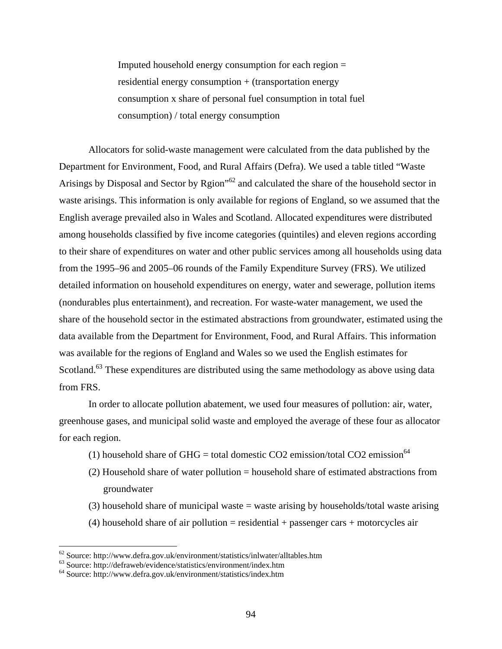Imputed household energy consumption for each region = residential energy consumption + (transportation energy consumption x share of personal fuel consumption in total fuel consumption) / total energy consumption

Allocators for solid-waste management were calculated from the data published by the Department for Environment, Food, and Rural Affairs (Defra). We used a table titled "Waste Arisings by Disposal and Sector by Rgion<sup>"62</sup> and calculated the share of the household sector in waste arisings. This information is only available for regions of England, so we assumed that the English average prevailed also in Wales and Scotland. Allocated expenditures were distributed among households classified by five income categories (quintiles) and eleven regions according to their share of expenditures on water and other public services among all households using data from the 1995–96 and 2005–06 rounds of the Family Expenditure Survey (FRS). We utilized detailed information on household expenditures on energy, water and sewerage, pollution items (nondurables plus entertainment), and recreation. For waste-water management, we used the share of the household sector in the estimated abstractions from groundwater, estimated using the data available from the Department for Environment, Food, and Rural Affairs. This information was available for the regions of England and Wales so we used the English estimates for Scotland.<sup>63</sup> These expenditures are distributed using the same methodology as above using data from FRS.

In order to allocate pollution abatement, we used four measures of pollution: air, water, greenhouse gases, and municipal solid waste and employed the average of these four as allocator for each region.

- (1) household share of GHG = total domestic CO2 emission/total CO2 emission<sup>64</sup>
- (2) Household share of water pollution = household share of estimated abstractions from groundwater
- (3) household share of municipal waste = waste arising by households/total waste arising
- $(4)$  household share of air pollution = residential + passenger cars + motorcycles air

 $62$  Source: http://www.defra.gov.uk/environment/statistics/inlwater/alltables.htm

 $63$  Source: http://defraweb/evidence/statistics/environment/index.htm

<sup>64</sup> Source: http://www.defra.gov.uk/environment/statistics/index.htm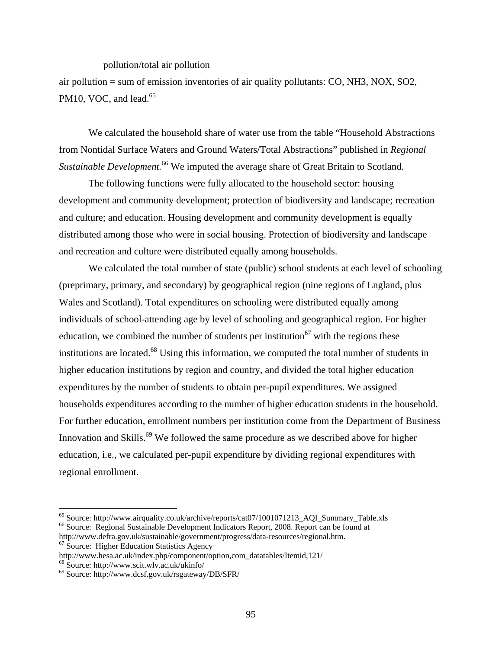pollution/total air pollution

air pollution  $=$  sum of emission inventories of air quality pollutants: CO, NH3, NOX, SO2, PM10, VOC, and lead. $65$ 

We calculated the household share of water use from the table "Household Abstractions from Nontidal Surface Waters and Ground Waters/Total Abstractions" published in *Regional Sustainable Development.*<sup>66</sup> We imputed the average share of Great Britain to Scotland.

The following functions were fully allocated to the household sector: housing development and community development; protection of biodiversity and landscape; recreation and culture; and education. Housing development and community development is equally distributed among those who were in social housing. Protection of biodiversity and landscape and recreation and culture were distributed equally among households.

We calculated the total number of state (public) school students at each level of schooling (preprimary, primary, and secondary) by geographical region (nine regions of England, plus Wales and Scotland). Total expenditures on schooling were distributed equally among individuals of school-attending age by level of schooling and geographical region. For higher education, we combined the number of students per institution<sup>67</sup> with the regions these institutions are located.68 Using this information, we computed the total number of students in higher education institutions by region and country, and divided the total higher education expenditures by the number of students to obtain per-pupil expenditures. We assigned households expenditures according to the number of higher education students in the household. For further education, enrollment numbers per institution come from the Department of Business Innovation and Skills.<sup>69</sup> We followed the same procedure as we described above for higher education, i.e., we calculated per-pupil expenditure by dividing regional expenditures with regional enrollment.

<sup>&</sup>lt;sup>65</sup> Source: http://www.airquality.co.uk/archive/reports/cat07/1001071213\_AQI\_Summary\_Table.xls <sup>66</sup> Source: Regional Sustainable Development Indicators Report, 2008. Report can be found at

http://www.defra.gov.uk/sustainable/government/progress/data-resources/regional.htm. 67 Source: Higher Education Statistics Agency

http://www.hesa.ac.uk/index.php/component/option,com\_datatables/Itemid,121/ 68 Source: http://www.scit.wlv.ac.uk/ukinfo/

<sup>69</sup> Source: http://www.dcsf.gov.uk/rsgateway/DB/SFR/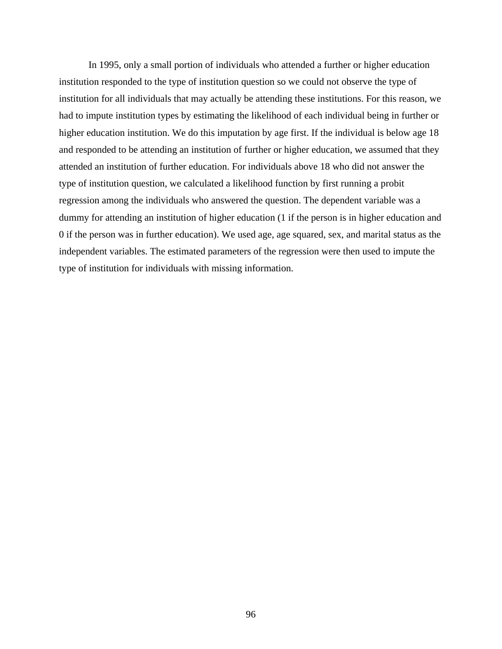In 1995, only a small portion of individuals who attended a further or higher education institution responded to the type of institution question so we could not observe the type of institution for all individuals that may actually be attending these institutions. For this reason, we had to impute institution types by estimating the likelihood of each individual being in further or higher education institution. We do this imputation by age first. If the individual is below age 18 and responded to be attending an institution of further or higher education, we assumed that they attended an institution of further education. For individuals above 18 who did not answer the type of institution question, we calculated a likelihood function by first running a probit regression among the individuals who answered the question. The dependent variable was a dummy for attending an institution of higher education (1 if the person is in higher education and 0 if the person was in further education). We used age, age squared, sex, and marital status as the independent variables. The estimated parameters of the regression were then used to impute the type of institution for individuals with missing information.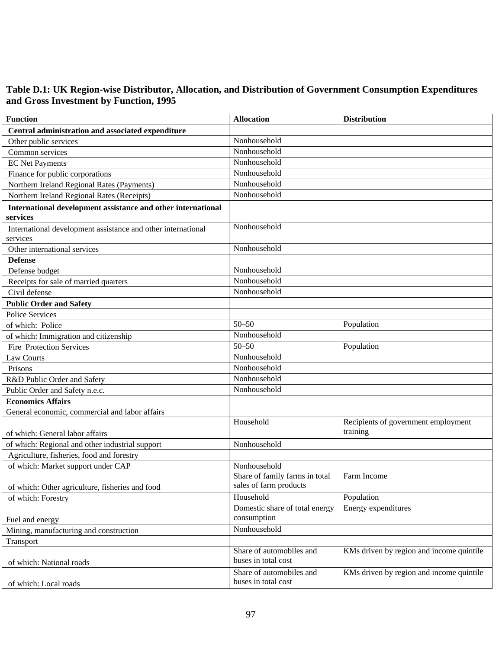### **Table D.1: UK Region-wise Distributor, Allocation, and Distribution of Government Consumption Expenditures and Gross Investment by Function, 1995**

| <b>Function</b>                                                          | <b>Allocation</b>                                        | <b>Distribution</b>                             |
|--------------------------------------------------------------------------|----------------------------------------------------------|-------------------------------------------------|
| Central administration and associated expenditure                        |                                                          |                                                 |
| Other public services                                                    | Nonhousehold                                             |                                                 |
| Common services                                                          | Nonhousehold                                             |                                                 |
| <b>EC Net Payments</b>                                                   | Nonhousehold                                             |                                                 |
| Finance for public corporations                                          | Nonhousehold                                             |                                                 |
| Northern Ireland Regional Rates (Payments)                               | Nonhousehold                                             |                                                 |
| Northern Ireland Regional Rates (Receipts)                               | Nonhousehold                                             |                                                 |
| International development assistance and other international<br>services |                                                          |                                                 |
| International development assistance and other international<br>services | Nonhousehold                                             |                                                 |
| Other international services                                             | Nonhousehold                                             |                                                 |
| <b>Defense</b>                                                           |                                                          |                                                 |
| Defense budget                                                           | Nonhousehold                                             |                                                 |
| Receipts for sale of married quarters                                    | Nonhousehold                                             |                                                 |
| Civil defense                                                            | Nonhousehold                                             |                                                 |
| <b>Public Order and Safety</b>                                           |                                                          |                                                 |
| <b>Police Services</b>                                                   |                                                          |                                                 |
| of which: Police                                                         | $50 - 50$                                                | Population                                      |
| of which: Immigration and citizenship                                    | Nonhousehold                                             |                                                 |
| Fire Protection Services                                                 | $50 - 50$                                                | Population                                      |
| Law Courts                                                               | Nonhousehold                                             |                                                 |
| Prisons                                                                  | Nonhousehold                                             |                                                 |
| R&D Public Order and Safety                                              | Nonhousehold                                             |                                                 |
| Public Order and Safety n.e.c.                                           | Nonhousehold                                             |                                                 |
| <b>Economics Affairs</b>                                                 |                                                          |                                                 |
| General economic, commercial and labor affairs                           |                                                          |                                                 |
| of which: General labor affairs                                          | Household                                                | Recipients of government employment<br>training |
| of which: Regional and other industrial support                          | Nonhousehold                                             |                                                 |
| Agriculture, fisheries, food and forestry                                |                                                          |                                                 |
| of which: Market support under CAP                                       | Nonhousehold                                             |                                                 |
| of which: Other agriculture, fisheries and food                          | Share of family farms in total<br>sales of farm products | Farm Income                                     |
| of which: Forestry                                                       | Household                                                | Population                                      |
| Fuel and energy                                                          | Domestic share of total energy<br>consumption            | Energy expenditures                             |
| Mining, manufacturing and construction                                   | Nonhousehold                                             |                                                 |
| Transport                                                                |                                                          |                                                 |
| of which: National roads                                                 | Share of automobiles and<br>buses in total cost          | KMs driven by region and income quintile        |
| of which: Local roads                                                    | Share of automobiles and<br>buses in total cost          | KMs driven by region and income quintile        |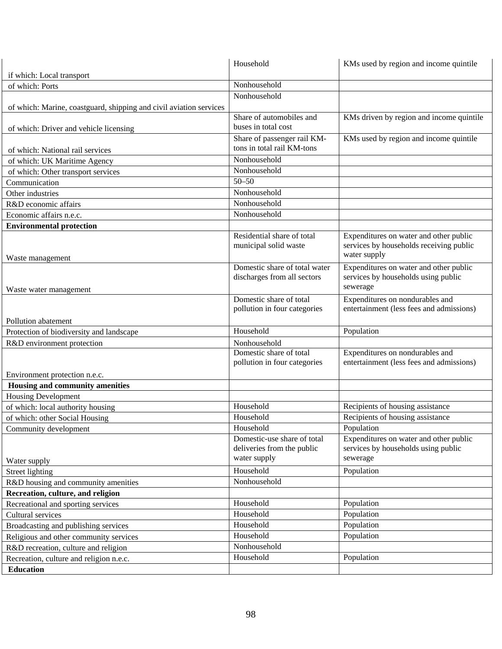|                                                                    | Household                                                 | KMs used by region and income quintile                                        |
|--------------------------------------------------------------------|-----------------------------------------------------------|-------------------------------------------------------------------------------|
| if which: Local transport                                          |                                                           |                                                                               |
| of which: Ports                                                    | Nonhousehold                                              |                                                                               |
|                                                                    | Nonhousehold                                              |                                                                               |
| of which: Marine, coastguard, shipping and civil aviation services |                                                           |                                                                               |
|                                                                    | Share of automobiles and                                  | KMs driven by region and income quintile                                      |
| of which: Driver and vehicle licensing                             | buses in total cost                                       |                                                                               |
|                                                                    | Share of passenger rail KM-                               | KMs used by region and income quintile                                        |
| of which: National rail services                                   | tons in total rail KM-tons                                |                                                                               |
| of which: UK Maritime Agency                                       | Nonhousehold                                              |                                                                               |
| of which: Other transport services                                 | Nonhousehold                                              |                                                                               |
| Communication                                                      | $50 - 50$                                                 |                                                                               |
| Other industries                                                   | Nonhousehold                                              |                                                                               |
| R&D economic affairs                                               | Nonhousehold                                              |                                                                               |
| Economic affairs n.e.c.                                            | Nonhousehold                                              |                                                                               |
| <b>Environmental protection</b>                                    |                                                           |                                                                               |
|                                                                    | Residential share of total                                | Expenditures on water and other public                                        |
|                                                                    | municipal solid waste                                     | services by households receiving public                                       |
| Waste management                                                   |                                                           | water supply                                                                  |
|                                                                    | Domestic share of total water                             | Expenditures on water and other public                                        |
|                                                                    | discharges from all sectors                               | services by households using public                                           |
| Waste water management                                             |                                                           | sewerage                                                                      |
|                                                                    | Domestic share of total                                   | Expenditures on nondurables and                                               |
|                                                                    | pollution in four categories                              | entertainment (less fees and admissions)                                      |
| Pollution abatement                                                |                                                           |                                                                               |
| Protection of biodiversity and landscape                           | Household                                                 | Population                                                                    |
| R&D environment protection                                         | Nonhousehold                                              |                                                                               |
|                                                                    | Domestic share of total                                   | Expenditures on nondurables and                                               |
|                                                                    | pollution in four categories                              | entertainment (less fees and admissions)                                      |
| Environment protection n.e.c.                                      |                                                           |                                                                               |
| Housing and community amenities                                    |                                                           |                                                                               |
| <b>Housing Development</b>                                         |                                                           |                                                                               |
| of which: local authority housing                                  | Household                                                 | Recipients of housing assistance                                              |
| of which: other Social Housing                                     | Household                                                 | Recipients of housing assistance                                              |
| Community development                                              | Household                                                 | Population                                                                    |
|                                                                    | Domestic-use share of total<br>deliveries from the public | Expenditures on water and other public<br>services by households using public |
|                                                                    | water supply                                              | sewerage                                                                      |
| Water supply                                                       | Household                                                 | Population                                                                    |
| Street lighting                                                    | Nonhousehold                                              |                                                                               |
| R&D housing and community amenities                                |                                                           |                                                                               |
| Recreation, culture, and religion                                  | Household                                                 |                                                                               |
| Recreational and sporting services                                 | Household                                                 | Population                                                                    |
| Cultural services                                                  |                                                           | Population                                                                    |
| Broadcasting and publishing services                               | Household                                                 | Population                                                                    |
| Religious and other community services                             | Household                                                 | Population                                                                    |
| R&D recreation, culture and religion                               | Nonhousehold                                              |                                                                               |
| Recreation, culture and religion n.e.c.                            | Household                                                 | Population                                                                    |
| <b>Education</b>                                                   |                                                           |                                                                               |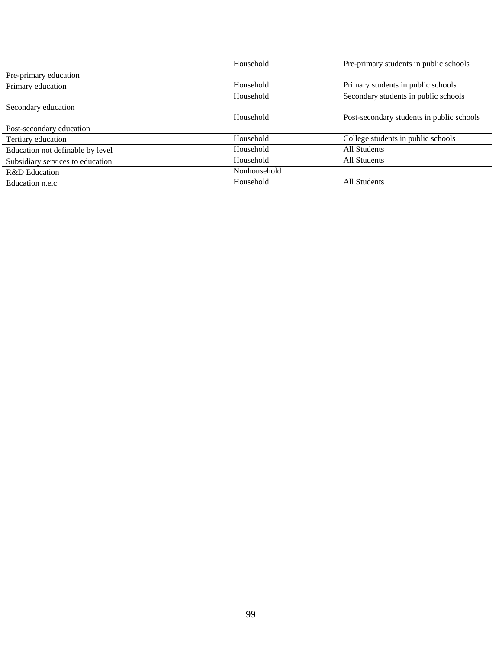|                                  | Household    | Pre-primary students in public schools    |
|----------------------------------|--------------|-------------------------------------------|
| Pre-primary education            |              |                                           |
| Primary education                | Household    | Primary students in public schools        |
|                                  | Household    | Secondary students in public schools      |
| Secondary education              |              |                                           |
|                                  | Household    | Post-secondary students in public schools |
| Post-secondary education         |              |                                           |
| Tertiary education               | Household    | College students in public schools        |
| Education not definable by level | Household    | All Students                              |
| Subsidiary services to education | Household    | All Students                              |
| R&D Education                    | Nonhousehold |                                           |
| Education n.e.c                  | Household    | All Students                              |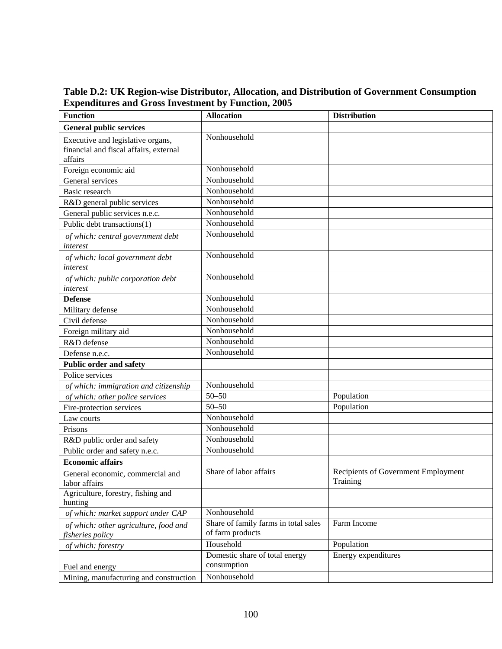**Table D.2: UK Region-wise Distributor, Allocation, and Distribution of Government Consumption Expenditures and Gross Investment by Function, 2005** 

| <b>Function</b>                                                                        | <b>Allocation</b>                                        | <b>Distribution</b>                             |
|----------------------------------------------------------------------------------------|----------------------------------------------------------|-------------------------------------------------|
| <b>General public services</b>                                                         |                                                          |                                                 |
| Executive and legislative organs,<br>financial and fiscal affairs, external<br>affairs | Nonhousehold                                             |                                                 |
| Foreign economic aid                                                                   | Nonhousehold                                             |                                                 |
| General services                                                                       | Nonhousehold                                             |                                                 |
| <b>Basic research</b>                                                                  | Nonhousehold                                             |                                                 |
| R&D general public services                                                            | Nonhousehold                                             |                                                 |
| General public services n.e.c.                                                         | Nonhousehold                                             |                                                 |
| Public debt transactions(1)                                                            | Nonhousehold                                             |                                                 |
| of which: central government debt<br>interest                                          | Nonhousehold                                             |                                                 |
| of which: local government debt<br>interest                                            | Nonhousehold                                             |                                                 |
| of which: public corporation debt<br>interest                                          | Nonhousehold                                             |                                                 |
| <b>Defense</b>                                                                         | Nonhousehold                                             |                                                 |
| Military defense                                                                       | Nonhousehold                                             |                                                 |
| Civil defense                                                                          | Nonhousehold                                             |                                                 |
| Foreign military aid                                                                   | Nonhousehold                                             |                                                 |
| R&D defense                                                                            | Nonhousehold                                             |                                                 |
| Defense n.e.c.                                                                         | Nonhousehold                                             |                                                 |
| <b>Public order and safety</b>                                                         |                                                          |                                                 |
| Police services                                                                        |                                                          |                                                 |
| of which: immigration and citizenship                                                  | Nonhousehold                                             |                                                 |
| of which: other police services                                                        | $50 - 50$                                                | Population                                      |
| Fire-protection services                                                               | $50 - 50$                                                | Population                                      |
| Law courts                                                                             | Nonhousehold                                             |                                                 |
| Prisons                                                                                | Nonhousehold                                             |                                                 |
| R&D public order and safety                                                            | Nonhousehold                                             |                                                 |
| Public order and safety n.e.c.                                                         | Nonhousehold                                             |                                                 |
| <b>Economic affairs</b>                                                                |                                                          |                                                 |
| General economic, commercial and<br>labor affairs                                      | Share of labor affairs                                   | Recipients of Government Employment<br>Training |
| Agriculture, forestry, fishing and<br>hunting                                          |                                                          |                                                 |
| of which: market support under CAP                                                     | Nonhousehold                                             |                                                 |
| of which: other agriculture, food and<br>fisheries policy                              | Share of family farms in total sales<br>of farm products | Farm Income                                     |
| of which: forestry                                                                     | Household                                                | Population                                      |
| Fuel and energy                                                                        | Domestic share of total energy<br>consumption            | Energy expenditures                             |
| Mining, manufacturing and construction                                                 | Nonhousehold                                             |                                                 |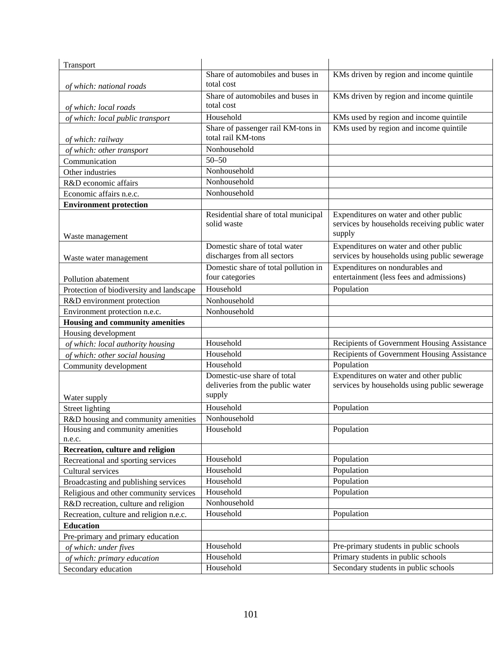| Transport                                |                                      |                                               |
|------------------------------------------|--------------------------------------|-----------------------------------------------|
|                                          | Share of automobiles and buses in    | KMs driven by region and income quintile      |
| of which: national roads                 | total cost                           |                                               |
|                                          | Share of automobiles and buses in    | KMs driven by region and income quintile      |
| of which: local roads                    | total cost                           |                                               |
| of which: local public transport         | Household                            | KMs used by region and income quintile        |
|                                          | Share of passenger rail KM-tons in   | KMs used by region and income quintile        |
| of which: railway                        | total rail KM-tons                   |                                               |
| of which: other transport                | Nonhousehold                         |                                               |
| Communication                            | $50 - 50$                            |                                               |
| Other industries                         | Nonhousehold                         |                                               |
| R&D economic affairs                     | Nonhousehold                         |                                               |
| Economic affairs n.e.c.                  | Nonhousehold                         |                                               |
| <b>Environment protection</b>            |                                      |                                               |
|                                          | Residential share of total municipal | Expenditures on water and other public        |
|                                          | solid waste                          | services by households receiving public water |
| Waste management                         |                                      | supply                                        |
|                                          | Domestic share of total water        | Expenditures on water and other public        |
| Waste water management                   | discharges from all sectors          | services by households using public sewerage  |
|                                          | Domestic share of total pollution in | Expenditures on nondurables and               |
| Pollution abatement                      | four categories                      | entertainment (less fees and admissions)      |
| Protection of biodiversity and landscape | Household                            | Population                                    |
| R&D environment protection               | Nonhousehold                         |                                               |
| Environment protection n.e.c.            | Nonhousehold                         |                                               |
| Housing and community amenities          |                                      |                                               |
| Housing development                      |                                      |                                               |
| of which: local authority housing        | Household                            | Recipients of Government Housing Assistance   |
| of which: other social housing           | Household                            | Recipients of Government Housing Assistance   |
| Community development                    | Household                            | Population                                    |
|                                          | Domestic-use share of total          | Expenditures on water and other public        |
|                                          | deliveries from the public water     | services by households using public sewerage  |
| Water supply                             | supply                               |                                               |
| <b>Street lighting</b>                   | Household                            | Population                                    |
| R&D housing and community amenities      | Nonhousehold                         |                                               |
| Housing and community amenities          | Household                            | Population                                    |
| n.e.c.                                   |                                      |                                               |
| Recreation, culture and religion         |                                      |                                               |
| Recreational and sporting services       | Household                            | Population                                    |
| Cultural services                        | Household                            | Population                                    |
| Broadcasting and publishing services     | Household                            | Population                                    |
| Religious and other community services   | Household                            | Population                                    |
| R&D recreation, culture and religion     | Nonhousehold                         |                                               |
| Recreation, culture and religion n.e.c.  | Household                            | Population                                    |
| <b>Education</b>                         |                                      |                                               |
| Pre-primary and primary education        |                                      |                                               |
| of which: under fives                    | Household                            | Pre-primary students in public schools        |
| of which: primary education              | Household                            | Primary students in public schools            |
| Secondary education                      | Household                            | Secondary students in public schools          |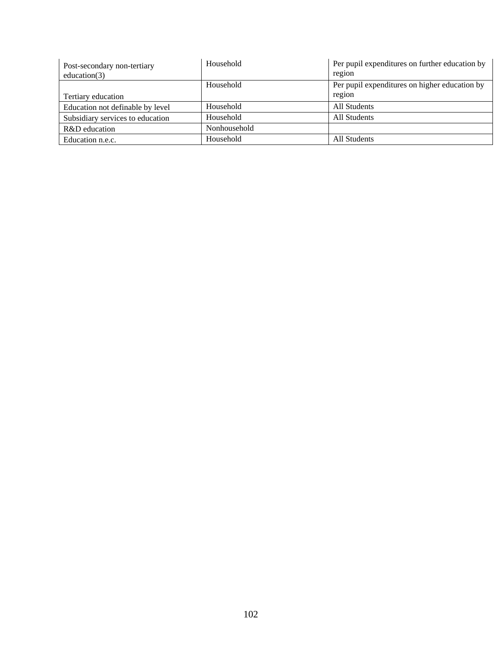| Post-secondary non-tertiary<br>education $(3)$ | Household    | Per pupil expenditures on further education by<br>region |
|------------------------------------------------|--------------|----------------------------------------------------------|
| Tertiary education                             | Household    | Per pupil expenditures on higher education by<br>region  |
| Education not definable by level               | Household    | All Students                                             |
| Subsidiary services to education               | Household    | All Students                                             |
| R&D education                                  | Nonhousehold |                                                          |
| Education n.e.c.                               | Household    | <b>All Students</b>                                      |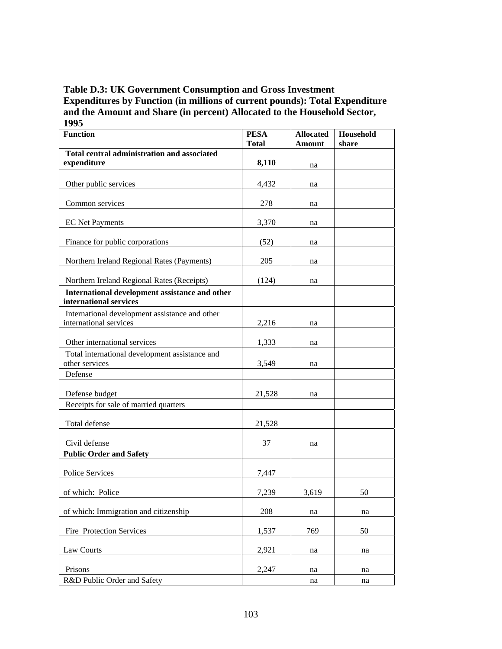## **Table D.3: UK Government Consumption and Gross Investment Expenditures by Function (in millions of current pounds): Total Expenditure and the Amount and Share (in percent) Allocated to the Household Sector, 1995**

| <b>Function</b>                                                          | <b>PESA</b><br><b>Total</b> | <b>Allocated</b><br><b>Amount</b> | Household<br>share |
|--------------------------------------------------------------------------|-----------------------------|-----------------------------------|--------------------|
| Total central administration and associated<br>expenditure               | 8,110                       | na                                |                    |
| Other public services                                                    | 4,432                       | na                                |                    |
| Common services                                                          | 278                         | na                                |                    |
| <b>EC</b> Net Payments                                                   | 3,370                       | na                                |                    |
| Finance for public corporations                                          | (52)                        | na                                |                    |
| Northern Ireland Regional Rates (Payments)                               | 205                         | na                                |                    |
| Northern Ireland Regional Rates (Receipts)                               | (124)                       | na                                |                    |
| International development assistance and other<br>international services |                             |                                   |                    |
| International development assistance and other<br>international services | 2,216                       | na                                |                    |
| Other international services                                             | 1,333                       | na                                |                    |
| Total international development assistance and<br>other services         | 3,549                       | na                                |                    |
| Defense                                                                  |                             |                                   |                    |
| Defense budget                                                           | 21,528                      | na                                |                    |
| Receipts for sale of married quarters                                    |                             |                                   |                    |
| Total defense                                                            | 21,528                      |                                   |                    |
| Civil defense                                                            | 37                          | na                                |                    |
| <b>Public Order and Safety</b>                                           |                             |                                   |                    |
| Police Services                                                          | 7,447                       |                                   |                    |
| of which: Police                                                         | 7,239                       | 3,619                             | 50                 |
| of which: Immigration and citizenship                                    | 208                         | na                                | na                 |
| Fire Protection Services                                                 | 1,537                       | 769                               | 50                 |
| Law Courts                                                               | 2,921                       | na                                | na                 |
| Prisons                                                                  | 2,247                       | na                                | na                 |
| R&D Public Order and Safety                                              |                             | na                                | na                 |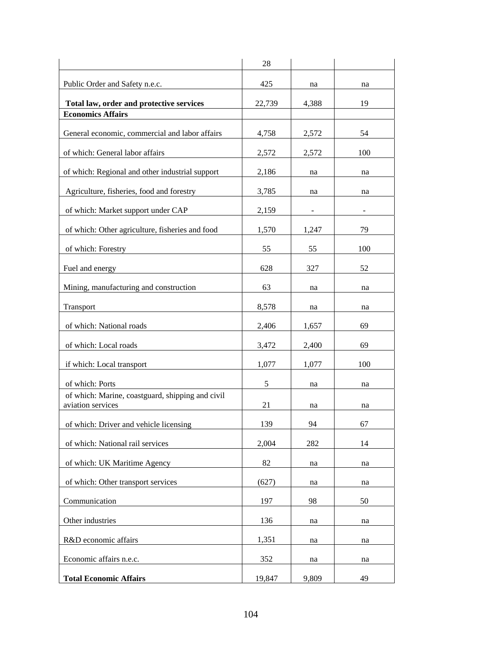|                                                                       | 28     |       |     |
|-----------------------------------------------------------------------|--------|-------|-----|
| Public Order and Safety n.e.c.                                        | 425    | na    | na  |
| Total law, order and protective services                              | 22,739 | 4,388 | 19  |
| <b>Economics Affairs</b>                                              |        |       |     |
| General economic, commercial and labor affairs                        | 4,758  | 2,572 | 54  |
| of which: General labor affairs                                       | 2,572  | 2,572 | 100 |
| of which: Regional and other industrial support                       | 2,186  | na    | na  |
| Agriculture, fisheries, food and forestry                             | 3,785  | na    | na  |
| of which: Market support under CAP                                    | 2,159  |       |     |
| of which: Other agriculture, fisheries and food                       | 1,570  | 1,247 | 79  |
| of which: Forestry                                                    | 55     | 55    | 100 |
| Fuel and energy                                                       | 628    | 327   | 52  |
| Mining, manufacturing and construction                                | 63     | na    | na  |
| Transport                                                             | 8,578  | na    | na  |
| of which: National roads                                              | 2,406  | 1,657 | 69  |
| of which: Local roads                                                 | 3,472  | 2,400 | 69  |
| if which: Local transport                                             | 1,077  | 1,077 | 100 |
| of which: Ports                                                       | 5      | na    | na  |
| of which: Marine, coastguard, shipping and civil<br>aviation services | 21     | na    | na  |
| of which: Driver and vehicle licensing                                | 139    | 94    | 67  |
| of which: National rail services                                      | 2,004  | 282   | 14  |
| of which: UK Maritime Agency                                          | 82     | na    | na  |
| of which: Other transport services                                    | (627)  | na    | na  |
| Communication                                                         | 197    | 98    | 50  |
| Other industries                                                      | 136    | na    | na  |
| R&D economic affairs                                                  | 1,351  | na    | na  |
| Economic affairs n.e.c.                                               | 352    | na    | na  |
| <b>Total Economic Affairs</b>                                         | 19,847 | 9,809 | 49  |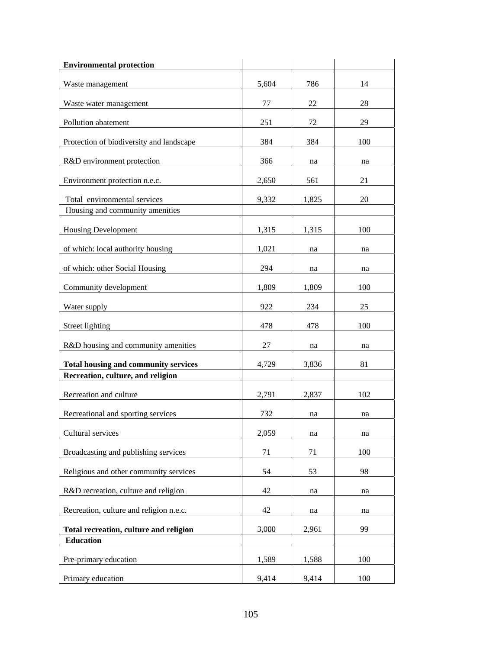| <b>Environmental protection</b>                                 |       |       |     |
|-----------------------------------------------------------------|-------|-------|-----|
| Waste management                                                | 5,604 | 786   | 14  |
| Waste water management                                          | 77    | 22    | 28  |
| Pollution abatement                                             | 251   | 72    | 29  |
| Protection of biodiversity and landscape                        | 384   | 384   | 100 |
| R&D environment protection                                      | 366   | na    | na  |
| Environment protection n.e.c.                                   | 2,650 | 561   | 21  |
| Total environmental services<br>Housing and community amenities | 9,332 | 1,825 | 20  |
| <b>Housing Development</b>                                      | 1,315 | 1,315 | 100 |
| of which: local authority housing                               | 1,021 | na    | na  |
| of which: other Social Housing                                  | 294   | na    | na  |
| Community development                                           | 1,809 | 1,809 | 100 |
| Water supply                                                    | 922   | 234   | 25  |
| Street lighting                                                 | 478   | 478   | 100 |
| R&D housing and community amenities                             | 27    | na    | na  |
| <b>Total housing and community services</b>                     | 4,729 | 3,836 | 81  |
| Recreation, culture, and religion                               |       |       |     |
| Recreation and culture                                          | 2,791 | 2,837 | 102 |
| Recreational and sporting services                              | 732   | na    | na  |
| Cultural services                                               | 2,059 | na    | na  |
| Broadcasting and publishing services                            | 71    | 71    | 100 |
| Religious and other community services                          | 54    | 53    | 98  |
| R&D recreation, culture and religion                            | 42    | na    | na  |
| Recreation, culture and religion n.e.c.                         | 42    | na    | na  |
| Total recreation, culture and religion                          | 3,000 | 2,961 | 99  |
| <b>Education</b>                                                |       |       |     |
| Pre-primary education                                           | 1,589 | 1,588 | 100 |
| Primary education                                               | 9,414 | 9,414 | 100 |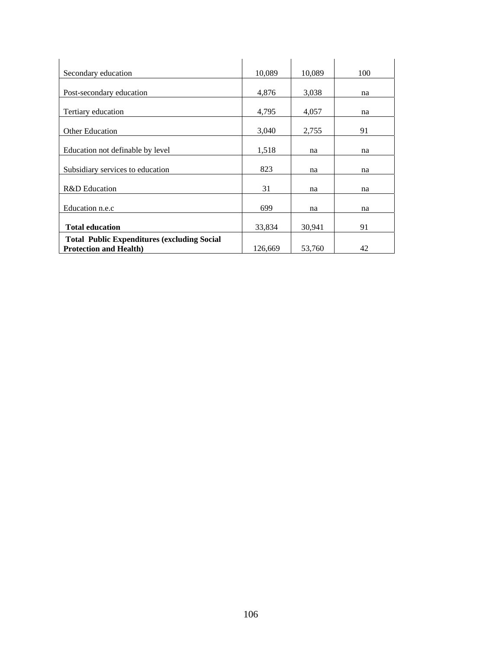| Secondary education                                | 10,089  | 10,089 | 100 |
|----------------------------------------------------|---------|--------|-----|
|                                                    |         |        |     |
| Post-secondary education                           | 4,876   | 3,038  | na  |
|                                                    |         |        |     |
| Tertiary education                                 | 4,795   | 4,057  | na  |
|                                                    |         |        |     |
| <b>Other Education</b>                             | 3,040   | 2,755  | 91  |
| Education not definable by level                   | 1,518   | na     | na  |
| Subsidiary services to education                   | 823     | na     | na  |
| R&D Education                                      | 31      | na     | na  |
| Education n.e.c                                    | 699     | na     | na  |
| <b>Total education</b>                             | 33,834  | 30,941 | 91  |
| <b>Total Public Expenditures (excluding Social</b> |         |        |     |
| <b>Protection and Health)</b>                      | 126,669 | 53,760 | 42  |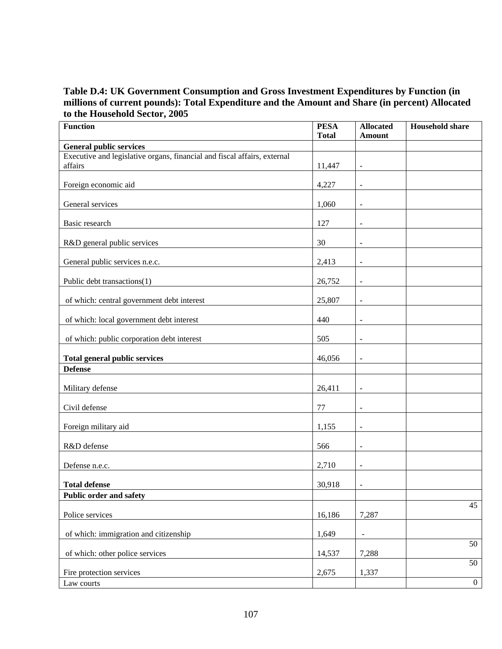## **Table D.4: UK Government Consumption and Gross Investment Expenditures by Function (in millions of current pounds): Total Expenditure and the Amount and Share (in percent) Allocated to the Household Sector, 2005**

| <b>Function</b>                                                                     | <b>PESA</b><br><b>Total</b> | <b>Allocated</b><br><b>Amount</b> | <b>Household share</b> |
|-------------------------------------------------------------------------------------|-----------------------------|-----------------------------------|------------------------|
| <b>General public services</b>                                                      |                             |                                   |                        |
| Executive and legislative organs, financial and fiscal affairs, external<br>affairs | 11,447                      | $\overline{\phantom{a}}$          |                        |
| Foreign economic aid                                                                | 4,227                       | $\overline{\phantom{a}}$          |                        |
| General services                                                                    | 1,060                       | $\ddot{\phantom{1}}$              |                        |
| Basic research                                                                      | 127                         | $\blacksquare$                    |                        |
| R&D general public services                                                         | 30                          | $\overline{\phantom{a}}$          |                        |
| General public services n.e.c.                                                      | 2,413                       | $\overline{\phantom{a}}$          |                        |
| Public debt transactions(1)                                                         | 26,752                      | $\overline{\phantom{a}}$          |                        |
| of which: central government debt interest                                          | 25,807                      | $\overline{\phantom{a}}$          |                        |
| of which: local government debt interest                                            | 440                         | $\overline{\phantom{a}}$          |                        |
| of which: public corporation debt interest                                          | 505                         | $\bar{\phantom{a}}$               |                        |
| <b>Total general public services</b>                                                | 46,056                      | $\blacksquare$                    |                        |
| <b>Defense</b>                                                                      |                             |                                   |                        |
| Military defense                                                                    | 26,411                      | $\bar{\phantom{a}}$               |                        |
| Civil defense                                                                       | 77                          | $\blacksquare$                    |                        |
| Foreign military aid                                                                | 1,155                       | $\blacksquare$                    |                        |
| R&D defense                                                                         | 566                         | $\blacksquare$                    |                        |
| Defense n.e.c.                                                                      | 2,710                       | $\overline{\phantom{a}}$          |                        |
| <b>Total defense</b>                                                                | 30,918                      | $\blacksquare$                    |                        |
| Public order and safety                                                             |                             |                                   | 45                     |
| Police services                                                                     | 16,186                      | 7,287                             |                        |
| of which: immigration and citizenship                                               | 1,649                       | $\qquad \qquad \blacksquare$      |                        |
| of which: other police services                                                     | 14,537                      | 7,288                             | 50                     |
| Fire protection services                                                            | 2,675                       | 1,337                             | 50                     |
| Law courts                                                                          |                             |                                   | $\boldsymbol{0}$       |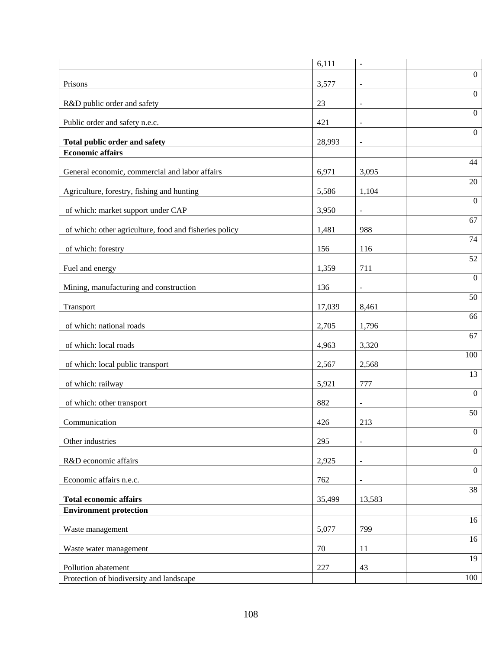|                                                                 | 6,111  | $\blacksquare$               |                  |
|-----------------------------------------------------------------|--------|------------------------------|------------------|
| Prisons                                                         | 3,577  | $\blacksquare$               | $\mathbf{0}$     |
| R&D public order and safety                                     | 23     | $\blacksquare$               | $\boldsymbol{0}$ |
|                                                                 |        |                              | $\boldsymbol{0}$ |
| Public order and safety n.e.c.                                  | 421    | $\overline{\phantom{a}}$     | $\boldsymbol{0}$ |
| Total public order and safety                                   | 28,993 | $\overline{\phantom{a}}$     |                  |
| <b>Economic affairs</b>                                         |        |                              | 44               |
| General economic, commercial and labor affairs                  | 6,971  | 3,095                        | 20               |
| Agriculture, forestry, fishing and hunting                      | 5,586  | 1,104                        |                  |
| of which: market support under CAP                              | 3,950  | $\overline{\phantom{a}}$     | $\Omega$         |
| of which: other agriculture, food and fisheries policy          | 1,481  | 988                          | 67               |
| of which: forestry                                              | 156    | 116                          | 74               |
| Fuel and energy                                                 | 1,359  | 711                          | 52               |
| Mining, manufacturing and construction                          | 136    |                              | $\boldsymbol{0}$ |
|                                                                 |        |                              | 50               |
| Transport                                                       | 17,039 | 8,461                        | 66               |
| of which: national roads                                        | 2,705  | 1,796                        |                  |
| of which: local roads                                           | 4,963  | 3,320                        | 67               |
| of which: local public transport                                | 2,567  | 2,568                        | 100              |
| of which: railway                                               | 5,921  | 777                          | 13               |
| of which: other transport                                       | 882    | $\qquad \qquad \blacksquare$ | $\boldsymbol{0}$ |
| Communication                                                   | 426    | 213                          | 50               |
| Other industries                                                | 295    | $\blacksquare$               | $\boldsymbol{0}$ |
| R&D economic affairs                                            | 2,925  | ÷,                           | $\boldsymbol{0}$ |
| Economic affairs n.e.c.                                         | 762    | $\overline{\phantom{a}}$     | $\boldsymbol{0}$ |
| <b>Total economic affairs</b>                                   | 35,499 | 13,583                       | 38               |
| <b>Environment protection</b>                                   |        |                              |                  |
| Waste management                                                | 5,077  | 799                          | 16               |
| Waste water management                                          | 70     | 11                           | 16               |
|                                                                 |        |                              | 19               |
| Pollution abatement<br>Protection of biodiversity and landscape | 227    | 43                           | 100              |
|                                                                 |        |                              |                  |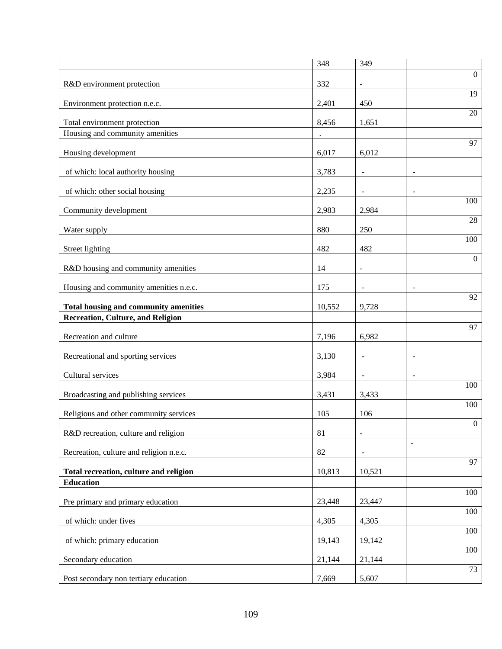|                                                                 | 348    | 349                      |                          |
|-----------------------------------------------------------------|--------|--------------------------|--------------------------|
| R&D environment protection                                      | 332    | $\blacksquare$           | $\mathbf{0}$             |
| Environment protection n.e.c.                                   | 2,401  | 450                      | 19                       |
|                                                                 |        |                          | 20                       |
| Total environment protection<br>Housing and community amenities | 8,456  | 1,651                    |                          |
|                                                                 |        |                          | 97                       |
| Housing development                                             | 6,017  | 6,012                    |                          |
| of which: local authority housing                               | 3,783  | $\overline{\phantom{a}}$ | $\overline{\phantom{a}}$ |
| of which: other social housing                                  | 2,235  |                          |                          |
| Community development                                           | 2,983  | 2,984                    | 100                      |
| Water supply                                                    | 880    | 250                      | 28                       |
| Street lighting                                                 | 482    | 482                      | 100                      |
|                                                                 |        |                          | $\mathbf{0}$             |
| R&D housing and community amenities                             | 14     | $\blacksquare$           |                          |
| Housing and community amenities n.e.c.                          | 175    |                          | 92                       |
| <b>Total housing and community amenities</b>                    | 10,552 | 9,728                    |                          |
| <b>Recreation, Culture, and Religion</b>                        |        |                          | 97                       |
| Recreation and culture                                          | 7,196  | 6,982                    |                          |
| Recreational and sporting services                              | 3,130  |                          | $\overline{\phantom{a}}$ |
| Cultural services                                               | 3,984  |                          |                          |
| Broadcasting and publishing services                            | 3,431  | 3,433                    | 100                      |
| Religious and other community services                          | 105    | 106                      | 100                      |
| R&D recreation, culture and religion                            | 81     | $\overline{\phantom{a}}$ | $\boldsymbol{0}$         |
|                                                                 |        |                          | $\blacksquare$           |
| Recreation, culture and religion n.e.c.                         | 82     | $\overline{\phantom{a}}$ | 97                       |
| Total recreation, culture and religion<br><b>Education</b>      | 10,813 | 10,521                   |                          |
|                                                                 |        |                          | 100                      |
| Pre primary and primary education                               | 23,448 | 23,447                   |                          |
| of which: under fives                                           | 4,305  | 4,305                    | 100                      |
| of which: primary education                                     | 19,143 | 19,142                   | 100                      |
| Secondary education                                             | 21,144 | 21,144                   | 100                      |
| Post secondary non tertiary education                           | 7,669  | 5,607                    | 73                       |